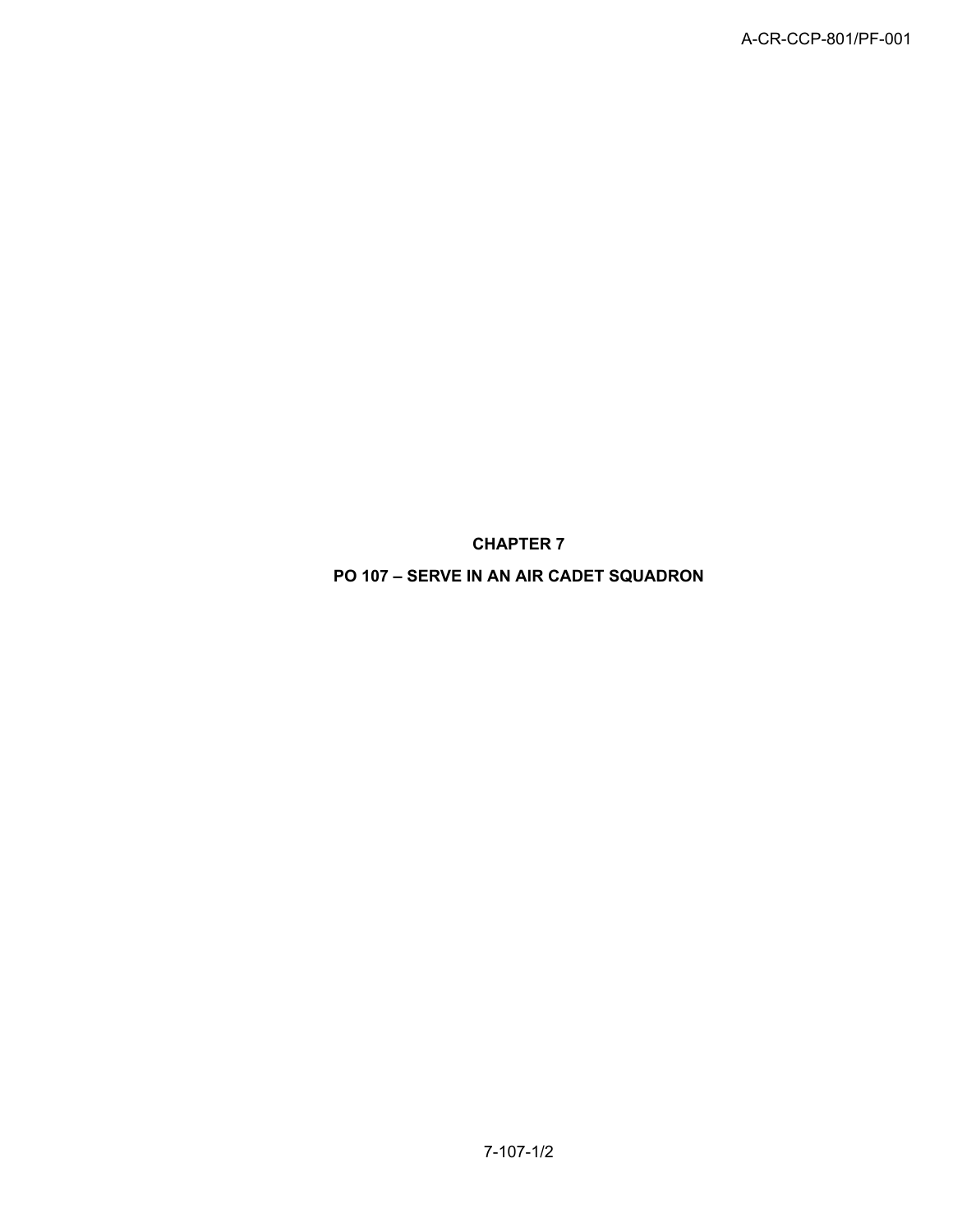**CHAPTER 7**

**PO 107 – SERVE IN AN AIR CADET SQUADRON**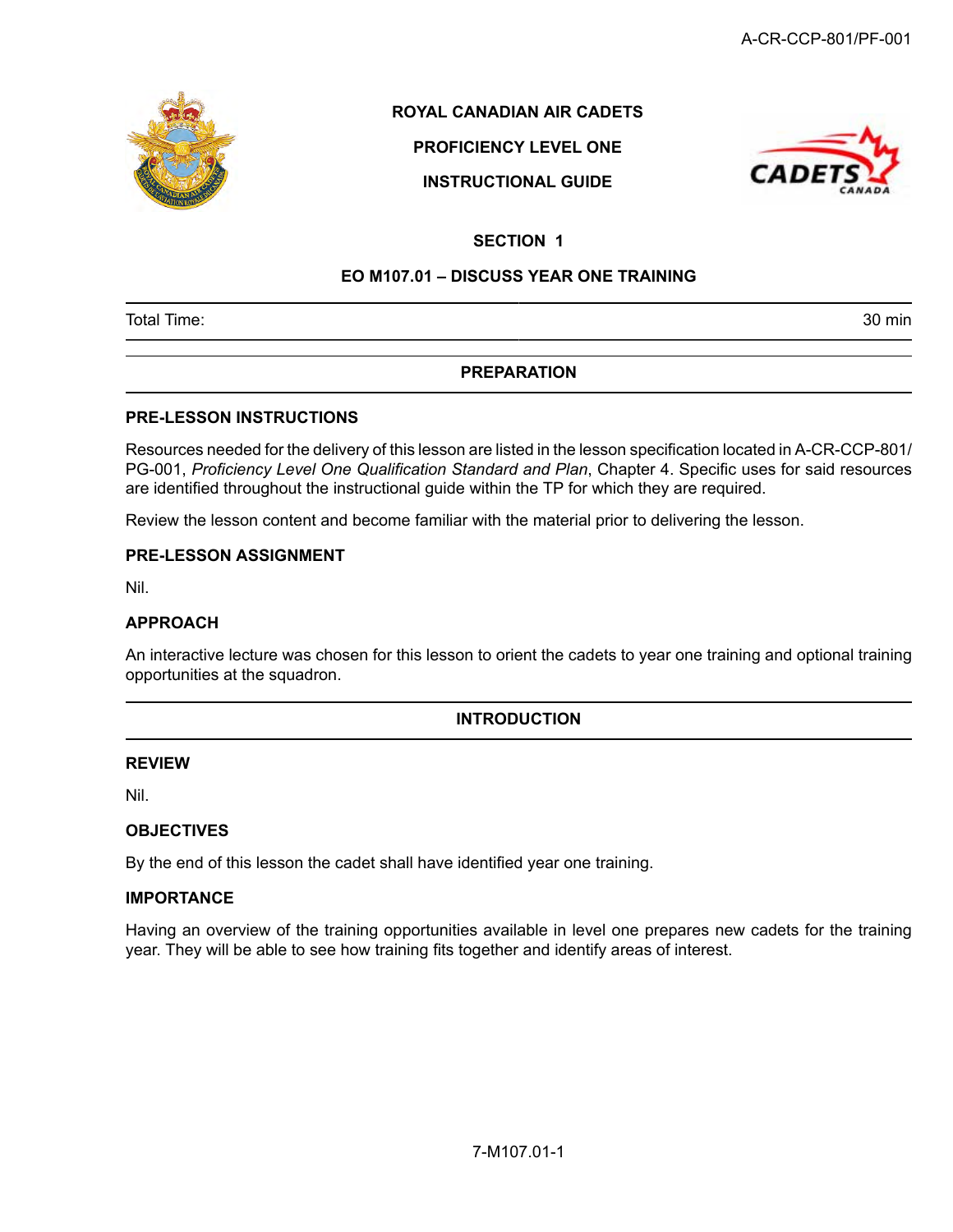

# **ROYAL CANADIAN AIR CADETS**

# **PROFICIENCY LEVEL ONE**

# **INSTRUCTIONAL GUIDE**



# **SECTION 1**

### **EO M107.01 – DISCUSS YEAR ONE TRAINING**

Total Time: 30 min

### **PREPARATION**

#### **PRE-LESSON INSTRUCTIONS**

Resources needed for the delivery of this lesson are listed in the lesson specification located in A-CR-CCP-801/ PG-001, *Proficiency Level One Qualification Standard and Plan*, Chapter 4. Specific uses for said resources are identified throughout the instructional guide within the TP for which they are required.

Review the lesson content and become familiar with the material prior to delivering the lesson.

#### **PRE-LESSON ASSIGNMENT**

Nil.

#### **APPROACH**

An interactive lecture was chosen for this lesson to orient the cadets to year one training and optional training opportunities at the squadron.

# **INTRODUCTION**

# **REVIEW**

Nil.

### **OBJECTIVES**

By the end of this lesson the cadet shall have identified year one training.

### **IMPORTANCE**

Having an overview of the training opportunities available in level one prepares new cadets for the training year. They will be able to see how training fits together and identify areas of interest.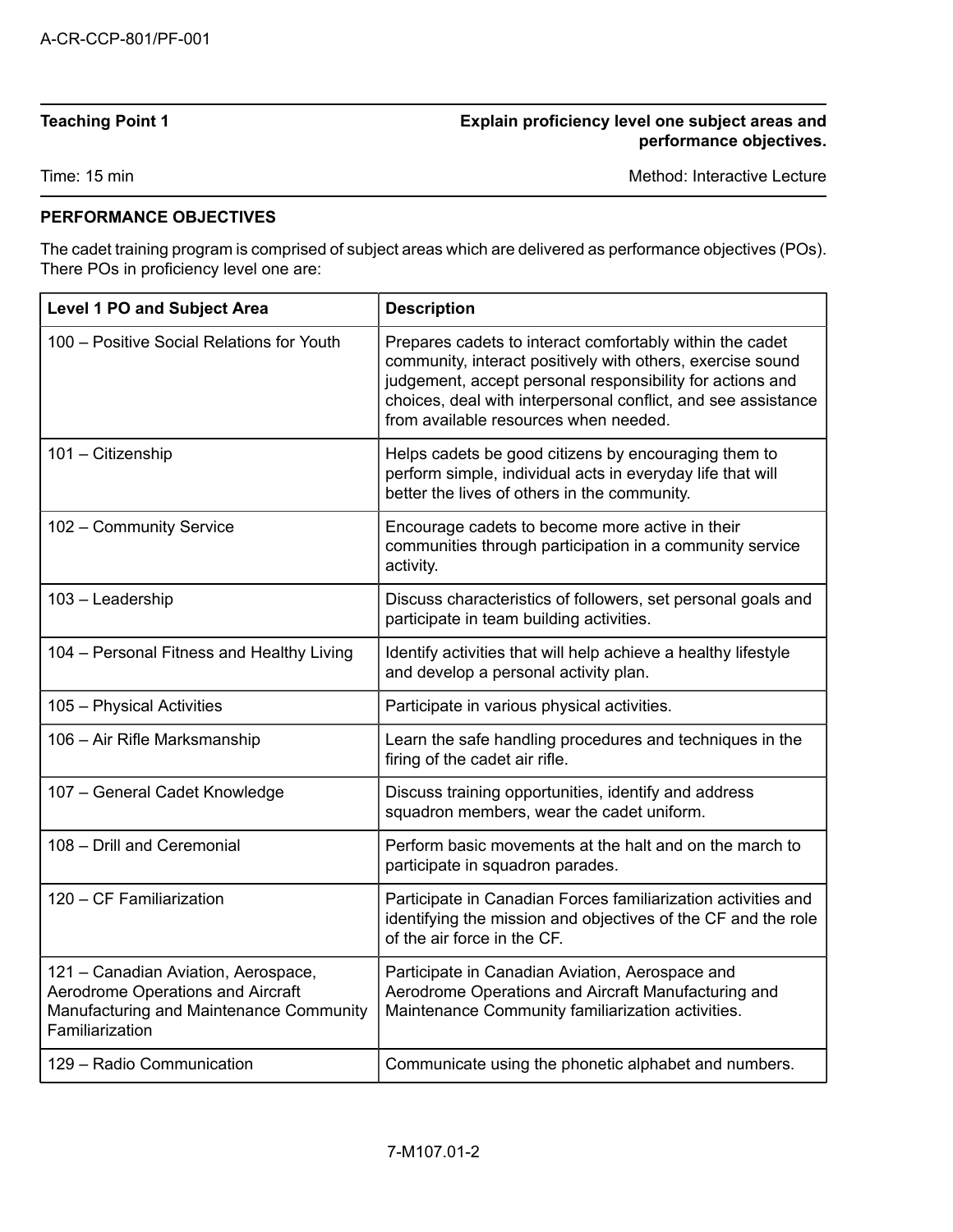# **Teaching Point 1 Explain proficiency level one subject areas and performance objectives.**

Time: 15 min Method: Interactive Lecture

# **PERFORMANCE OBJECTIVES**

The cadet training program is comprised of subject areas which are delivered as performance objectives (POs). There POs in proficiency level one are:

| <b>Level 1 PO and Subject Area</b>                                                                                                     | <b>Description</b>                                                                                                                                                                                                                                                                            |
|----------------------------------------------------------------------------------------------------------------------------------------|-----------------------------------------------------------------------------------------------------------------------------------------------------------------------------------------------------------------------------------------------------------------------------------------------|
| 100 - Positive Social Relations for Youth                                                                                              | Prepares cadets to interact comfortably within the cadet<br>community, interact positively with others, exercise sound<br>judgement, accept personal responsibility for actions and<br>choices, deal with interpersonal conflict, and see assistance<br>from available resources when needed. |
| 101 - Citizenship                                                                                                                      | Helps cadets be good citizens by encouraging them to<br>perform simple, individual acts in everyday life that will<br>better the lives of others in the community.                                                                                                                            |
| 102 - Community Service                                                                                                                | Encourage cadets to become more active in their<br>communities through participation in a community service<br>activity.                                                                                                                                                                      |
| 103 - Leadership                                                                                                                       | Discuss characteristics of followers, set personal goals and<br>participate in team building activities.                                                                                                                                                                                      |
| 104 - Personal Fitness and Healthy Living                                                                                              | Identify activities that will help achieve a healthy lifestyle<br>and develop a personal activity plan.                                                                                                                                                                                       |
| 105 - Physical Activities                                                                                                              | Participate in various physical activities.                                                                                                                                                                                                                                                   |
| 106 - Air Rifle Marksmanship                                                                                                           | Learn the safe handling procedures and techniques in the<br>firing of the cadet air rifle.                                                                                                                                                                                                    |
| 107 - General Cadet Knowledge                                                                                                          | Discuss training opportunities, identify and address<br>squadron members, wear the cadet uniform.                                                                                                                                                                                             |
| 108 - Drill and Ceremonial                                                                                                             | Perform basic movements at the halt and on the march to<br>participate in squadron parades.                                                                                                                                                                                                   |
| 120 - CF Familiarization                                                                                                               | Participate in Canadian Forces familiarization activities and<br>identifying the mission and objectives of the CF and the role<br>of the air force in the CF.                                                                                                                                 |
| 121 - Canadian Aviation, Aerospace,<br>Aerodrome Operations and Aircraft<br>Manufacturing and Maintenance Community<br>Familiarization | Participate in Canadian Aviation, Aerospace and<br>Aerodrome Operations and Aircraft Manufacturing and<br>Maintenance Community familiarization activities.                                                                                                                                   |
| 129 - Radio Communication                                                                                                              | Communicate using the phonetic alphabet and numbers.                                                                                                                                                                                                                                          |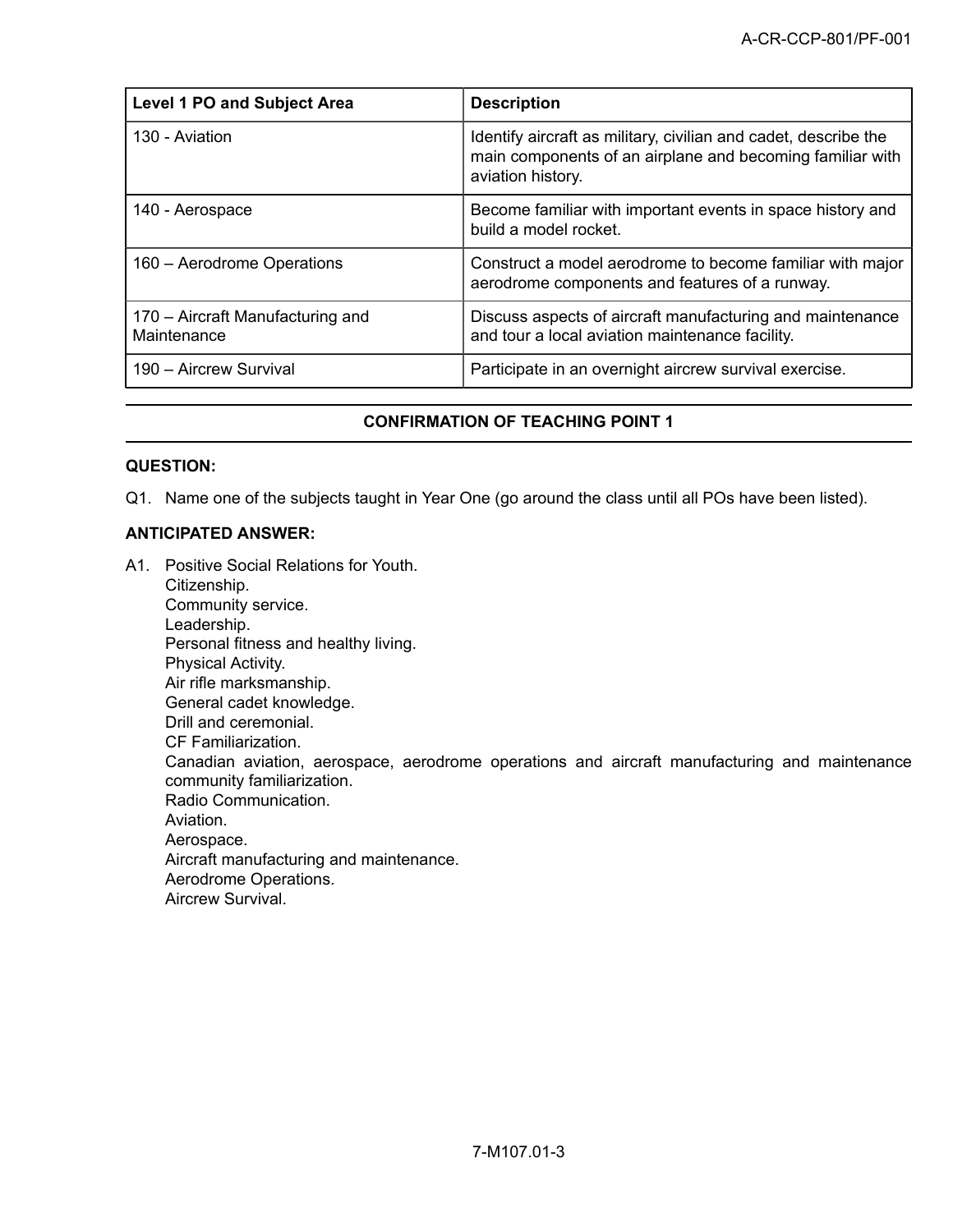| <b>Level 1 PO and Subject Area</b>              | <b>Description</b>                                                                                                                                |
|-------------------------------------------------|---------------------------------------------------------------------------------------------------------------------------------------------------|
| 130 - Aviation                                  | Identify aircraft as military, civilian and cadet, describe the<br>main components of an airplane and becoming familiar with<br>aviation history. |
| 140 - Aerospace                                 | Become familiar with important events in space history and<br>build a model rocket.                                                               |
| 160 - Aerodrome Operations                      | Construct a model aerodrome to become familiar with major<br>aerodrome components and features of a runway.                                       |
| 170 - Aircraft Manufacturing and<br>Maintenance | Discuss aspects of aircraft manufacturing and maintenance<br>and tour a local aviation maintenance facility.                                      |
| 190 - Aircrew Survival                          | Participate in an overnight aircrew survival exercise.                                                                                            |

### **CONFIRMATION OF TEACHING POINT 1**

#### **QUESTION:**

Q1. Name one of the subjects taught in Year One (go around the class until all POs have been listed).

### **ANTICIPATED ANSWER:**

A1. Positive Social Relations for Youth. Citizenship. Community service. Leadership. Personal fitness and healthy living. Physical Activity. Air rifle marksmanship. General cadet knowledge. Drill and ceremonial. CF Familiarization. Canadian aviation, aerospace, aerodrome operations and aircraft manufacturing and maintenance community familiarization. Radio Communication. Aviation. Aerospace. Aircraft manufacturing and maintenance. Aerodrome Operations. Aircrew Survival.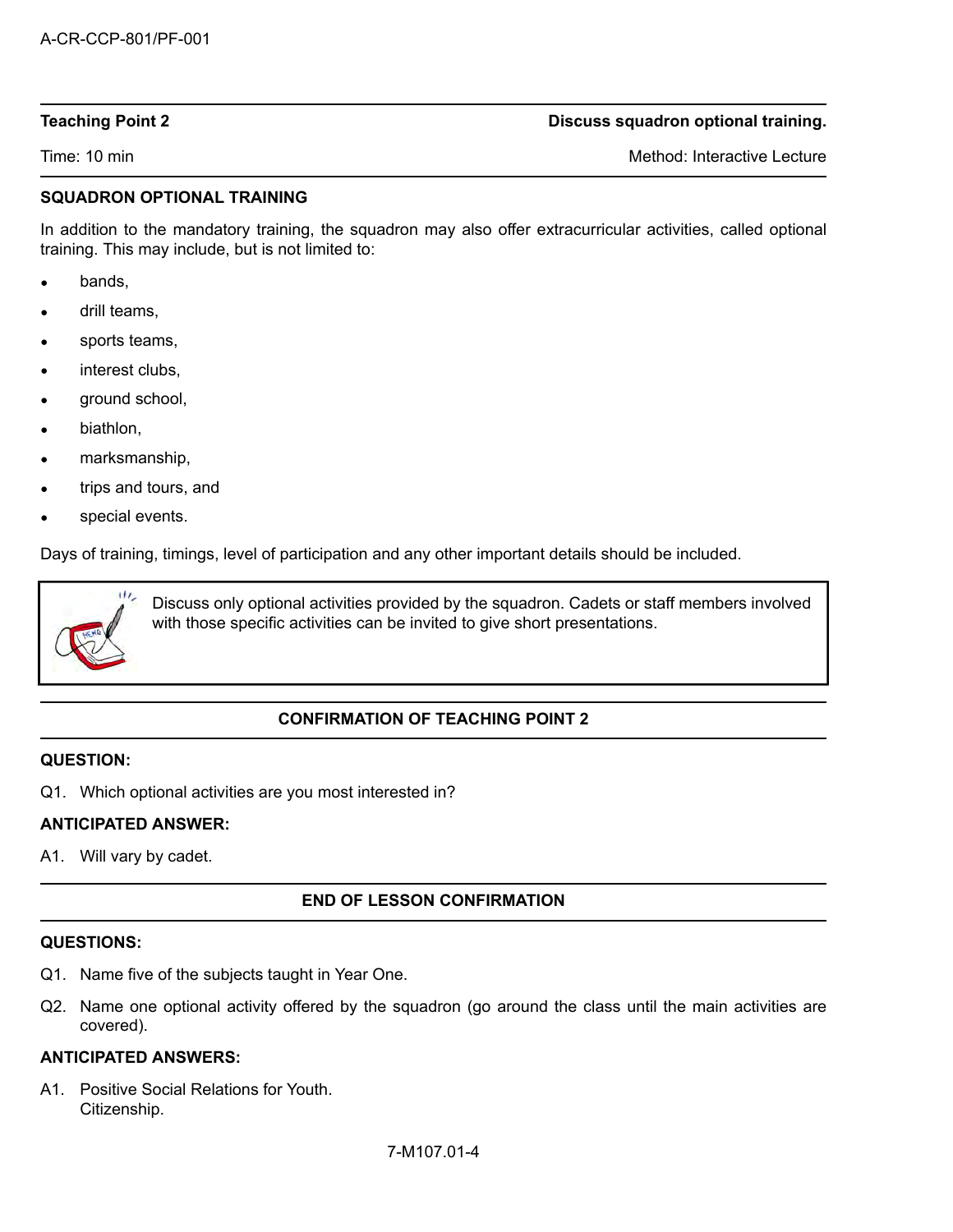**Teaching Point 2 Discuss squadron optional training.**

Time: 10 min Method: Interactive Lecture Communication of the Method: Interactive Lecture

# **SQUADRON OPTIONAL TRAINING**

In addition to the mandatory training, the squadron may also offer extracurricular activities, called optional training. This may include, but is not limited to:

- bands,
- drill teams.
- sports teams,
- interest clubs,
- ground school,
- biathlon,
- marksmanship,
- trips and tours, and
- special events.

Days of training, timings, level of participation and any other important details should be included.



Discuss only optional activities provided by the squadron. Cadets or staff members involved with those specific activities can be invited to give short presentations.

# **CONFIRMATION OF TEACHING POINT 2**

### **QUESTION:**

Q1. Which optional activities are you most interested in?

# **ANTICIPATED ANSWER:**

A1. Will vary by cadet.

# **END OF LESSON CONFIRMATION**

#### **QUESTIONS:**

- Q1. Name five of the subjects taught in Year One.
- Q2. Name one optional activity offered by the squadron (go around the class until the main activities are covered).

# **ANTICIPATED ANSWERS:**

A1. Positive Social Relations for Youth. Citizenship.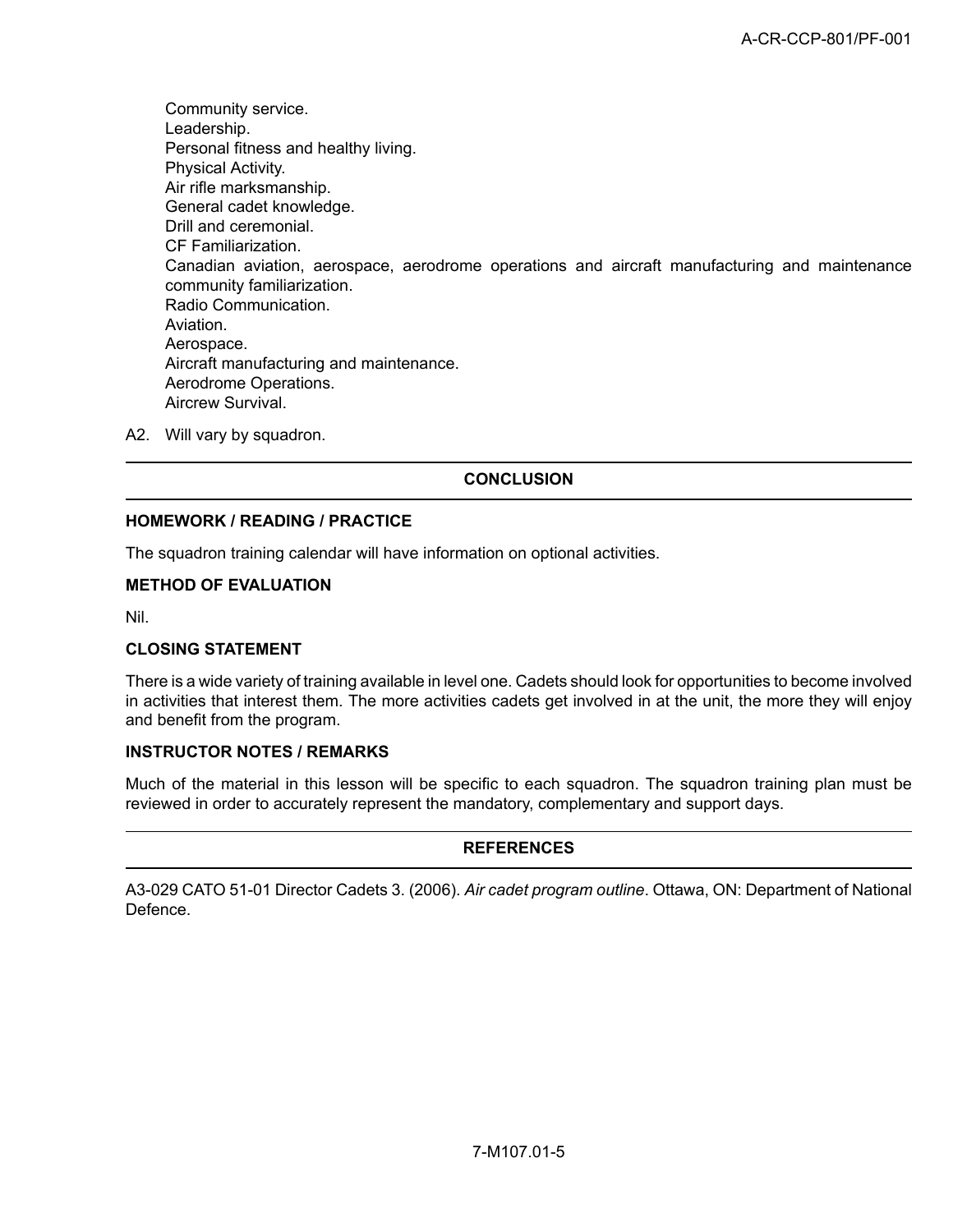Community service. Leadership. Personal fitness and healthy living. Physical Activity. Air rifle marksmanship. General cadet knowledge. Drill and ceremonial. CF Familiarization. Canadian aviation, aerospace, aerodrome operations and aircraft manufacturing and maintenance community familiarization. Radio Communication. Aviation. Aerospace. Aircraft manufacturing and maintenance. Aerodrome Operations. Aircrew Survival.

A2. Will vary by squadron.

# **CONCLUSION**

### **HOMEWORK / READING / PRACTICE**

The squadron training calendar will have information on optional activities.

### **METHOD OF EVALUATION**

Nil.

### **CLOSING STATEMENT**

There is a wide variety of training available in level one. Cadets should look for opportunities to become involved in activities that interest them. The more activities cadets get involved in at the unit, the more they will enjoy and benefit from the program.

### **INSTRUCTOR NOTES / REMARKS**

Much of the material in this lesson will be specific to each squadron. The squadron training plan must be reviewed in order to accurately represent the mandatory, complementary and support days.

# **REFERENCES**

A3-029 CATO 51-01 Director Cadets 3. (2006). *Air cadet program outline*. Ottawa, ON: Department of National Defence.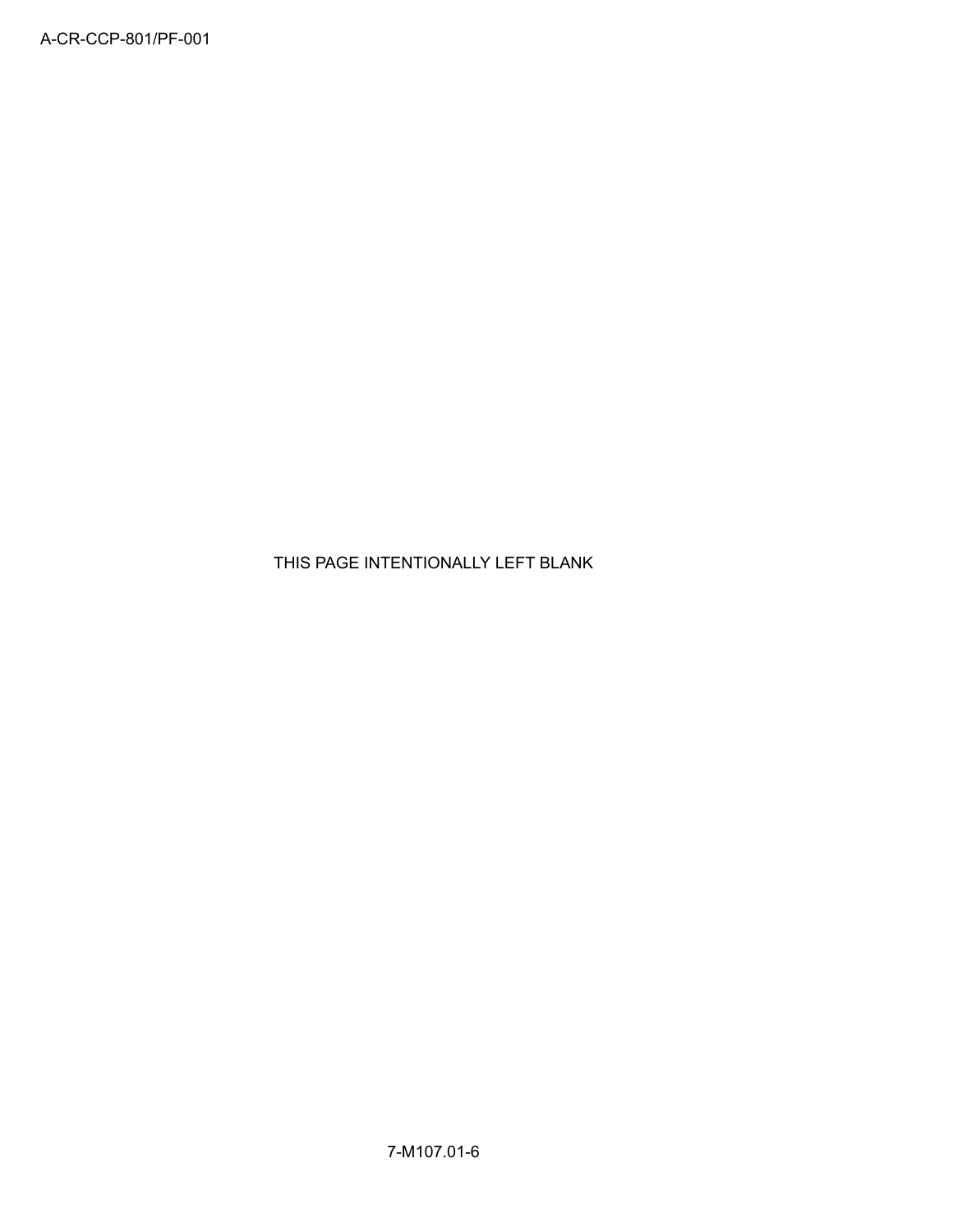THIS PAGE INTENTIONALLY LEFT BLANK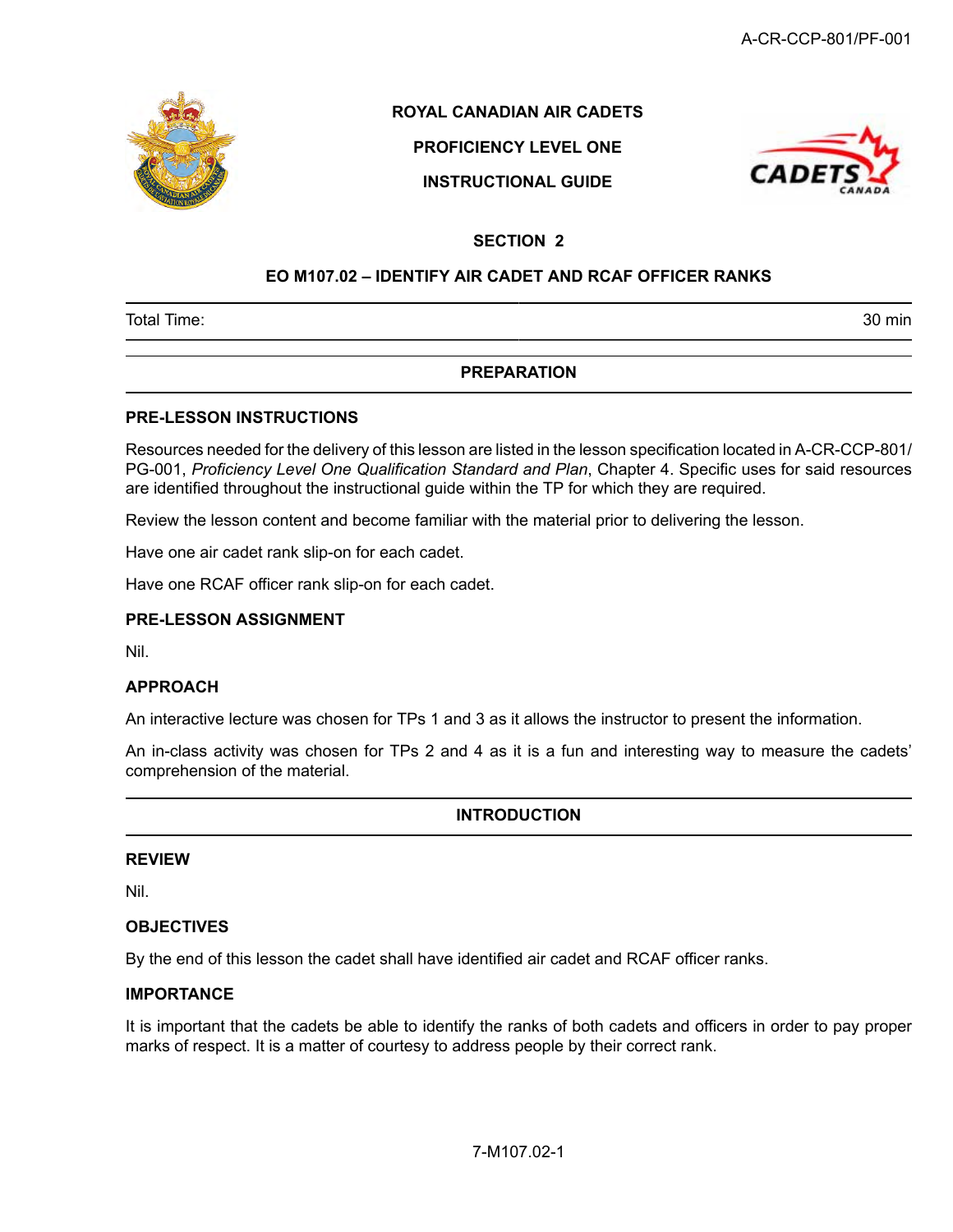

# **ROYAL CANADIAN AIR CADETS**

# **PROFICIENCY LEVEL ONE**

# **INSTRUCTIONAL GUIDE**



# **SECTION 2**

### **EO M107.02 – IDENTIFY AIR CADET AND RCAF OFFICER RANKS**

Total Time: 30 min

### **PREPARATION**

#### **PRE-LESSON INSTRUCTIONS**

Resources needed for the delivery of this lesson are listed in the lesson specification located in A-CR-CCP-801/ PG-001, *Proficiency Level One Qualification Standard and Plan*, Chapter 4. Specific uses for said resources are identified throughout the instructional guide within the TP for which they are required.

Review the lesson content and become familiar with the material prior to delivering the lesson.

Have one air cadet rank slip-on for each cadet.

Have one RCAF officer rank slip-on for each cadet.

#### **PRE-LESSON ASSIGNMENT**

Nil.

#### **APPROACH**

An interactive lecture was chosen for TPs 1 and 3 as it allows the instructor to present the information.

An in-class activity was chosen for TPs 2 and 4 as it is a fun and interesting way to measure the cadets' comprehension of the material.

# **INTRODUCTION**

#### **REVIEW**

Nil.

# **OBJECTIVES**

By the end of this lesson the cadet shall have identified air cadet and RCAF officer ranks.

# **IMPORTANCE**

It is important that the cadets be able to identify the ranks of both cadets and officers in order to pay proper marks of respect. It is a matter of courtesy to address people by their correct rank.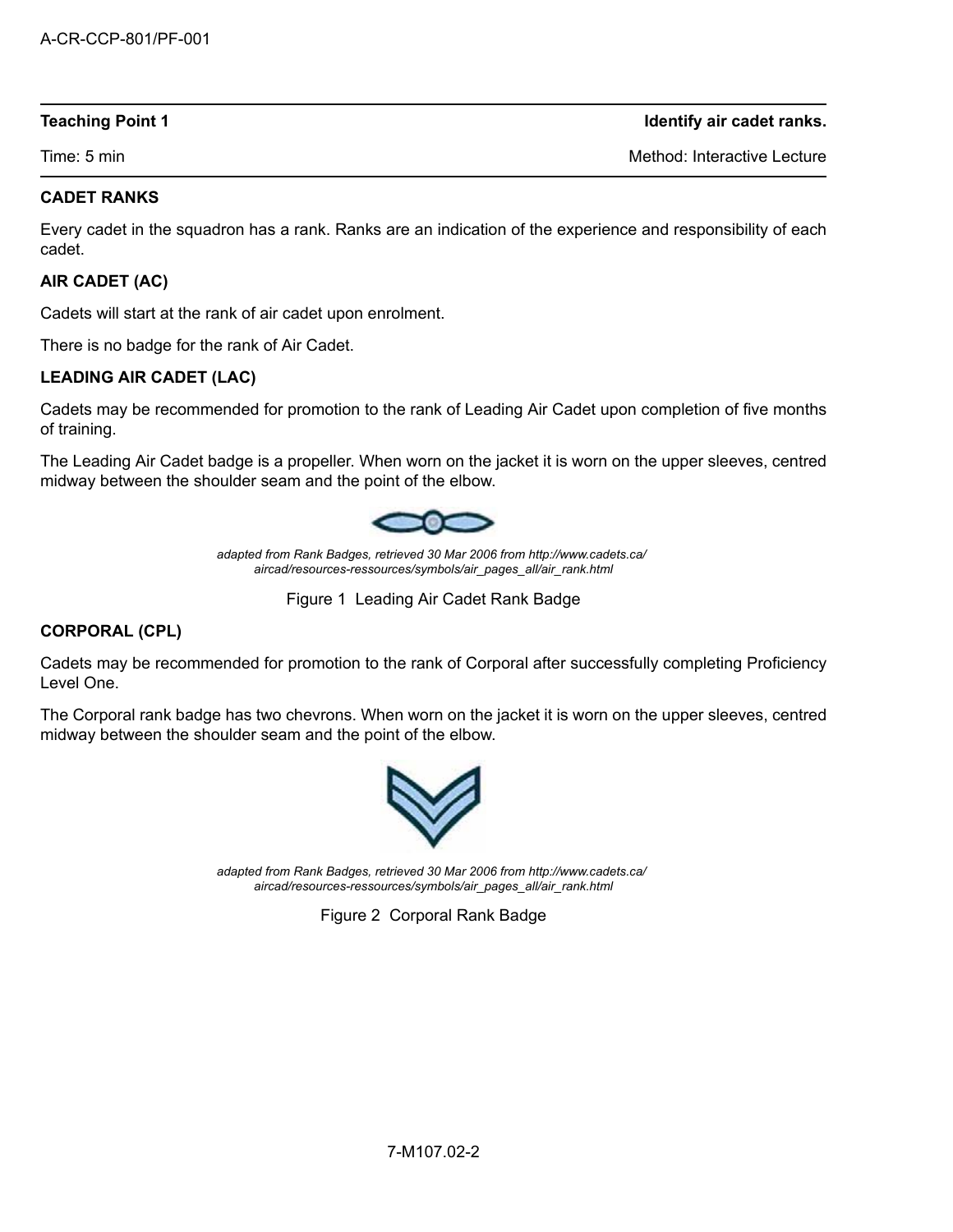**Teaching Point 1 IDENE 1 <b>IDENE 1 IDENE 1 IDENE 1 IDENTIFY air cadet ranks.** 

Time: 5 min Method: Interactive Lecture Company of Time: 5 min Method: Interactive Lecture

### **CADET RANKS**

Every cadet in the squadron has a rank. Ranks are an indication of the experience and responsibility of each cadet.

# **AIR CADET (AC)**

Cadets will start at the rank of air cadet upon enrolment.

There is no badge for the rank of Air Cadet.

### **LEADING AIR CADET (LAC)**

Cadets may be recommended for promotion to the rank of Leading Air Cadet upon completion of five months of training.

The Leading Air Cadet badge is a propeller. When worn on the jacket it is worn on the upper sleeves, centred midway between the shoulder seam and the point of the elbow.



*adapted from Rank Badges, retrieved 30 Mar 2006 from http://www.cadets.ca/ aircad/resources-ressources/symbols/air\_pages\_all/air\_rank.html*

Figure 1 Leading Air Cadet Rank Badge

### **CORPORAL (CPL)**

Cadets may be recommended for promotion to the rank of Corporal after successfully completing Proficiency Level One.

The Corporal rank badge has two chevrons. When worn on the jacket it is worn on the upper sleeves, centred midway between the shoulder seam and the point of the elbow.



*adapted from Rank Badges, retrieved 30 Mar 2006 from http://www.cadets.ca/ aircad/resources-ressources/symbols/air\_pages\_all/air\_rank.html*

Figure 2 Corporal Rank Badge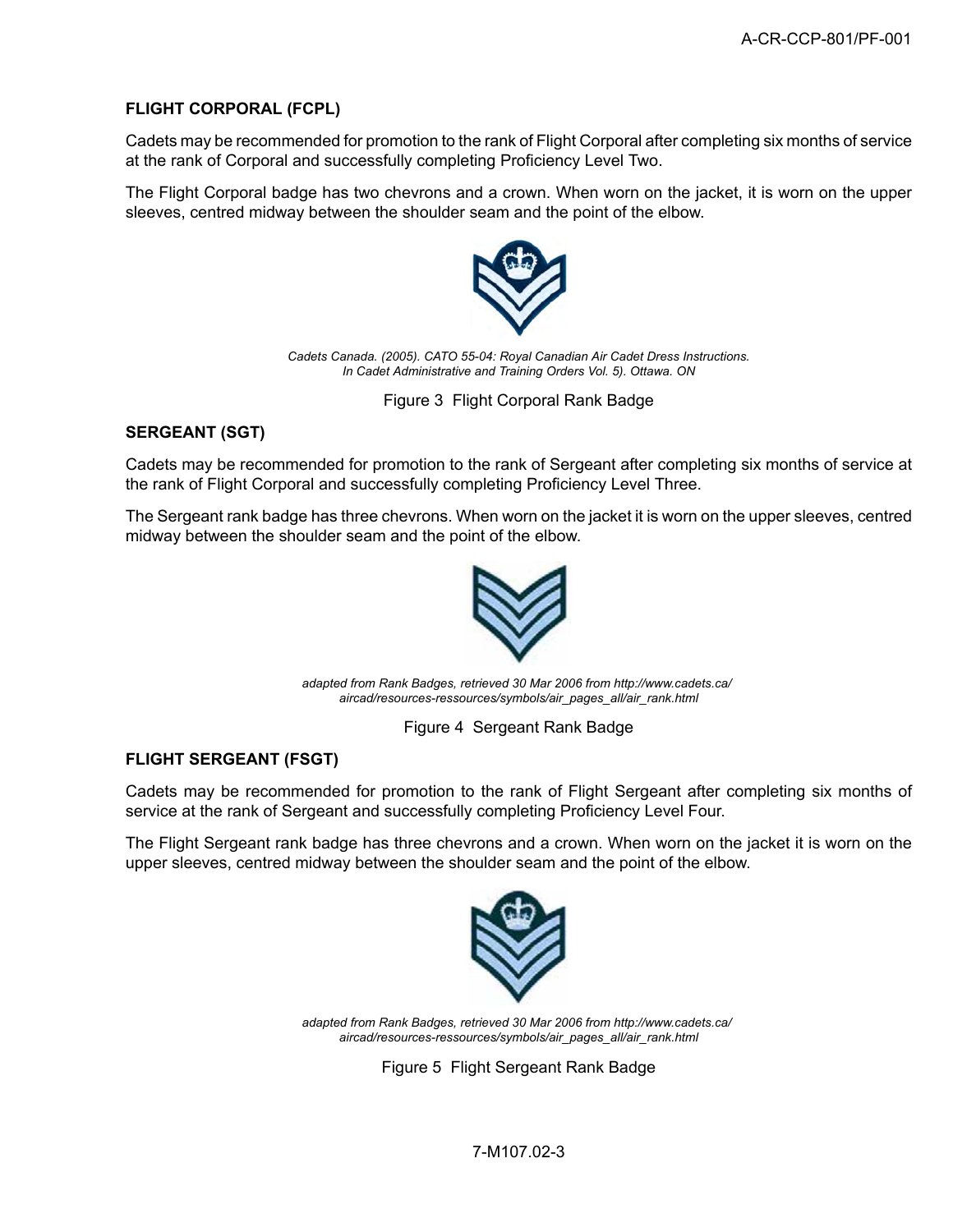# **FLIGHT CORPORAL (FCPL)**

Cadets may be recommended for promotion to the rank of Flight Corporal after completing six months of service at the rank of Corporal and successfully completing Proficiency Level Two.

The Flight Corporal badge has two chevrons and a crown. When worn on the jacket, it is worn on the upper sleeves, centred midway between the shoulder seam and the point of the elbow.



*Cadets Canada. (2005). CATO 55-04: Royal Canadian Air Cadet Dress Instructions. In Cadet Administrative and Training Orders Vol. 5). Ottawa. ON*

Figure 3 Flight Corporal Rank Badge

# **SERGEANT (SGT)**

Cadets may be recommended for promotion to the rank of Sergeant after completing six months of service at the rank of Flight Corporal and successfully completing Proficiency Level Three.

The Sergeant rank badge has three chevrons. When worn on the jacket it is worn on the upper sleeves, centred midway between the shoulder seam and the point of the elbow.



*adapted from Rank Badges, retrieved 30 Mar 2006 from http://www.cadets.ca/ aircad/resources-ressources/symbols/air\_pages\_all/air\_rank.html*

Figure 4 Sergeant Rank Badge

### **FLIGHT SERGEANT (FSGT)**

Cadets may be recommended for promotion to the rank of Flight Sergeant after completing six months of service at the rank of Sergeant and successfully completing Proficiency Level Four.

The Flight Sergeant rank badge has three chevrons and a crown. When worn on the jacket it is worn on the upper sleeves, centred midway between the shoulder seam and the point of the elbow.



*adapted from Rank Badges, retrieved 30 Mar 2006 from http://www.cadets.ca/ aircad/resources-ressources/symbols/air\_pages\_all/air\_rank.html*

Figure 5 Flight Sergeant Rank Badge

7-M107.02-3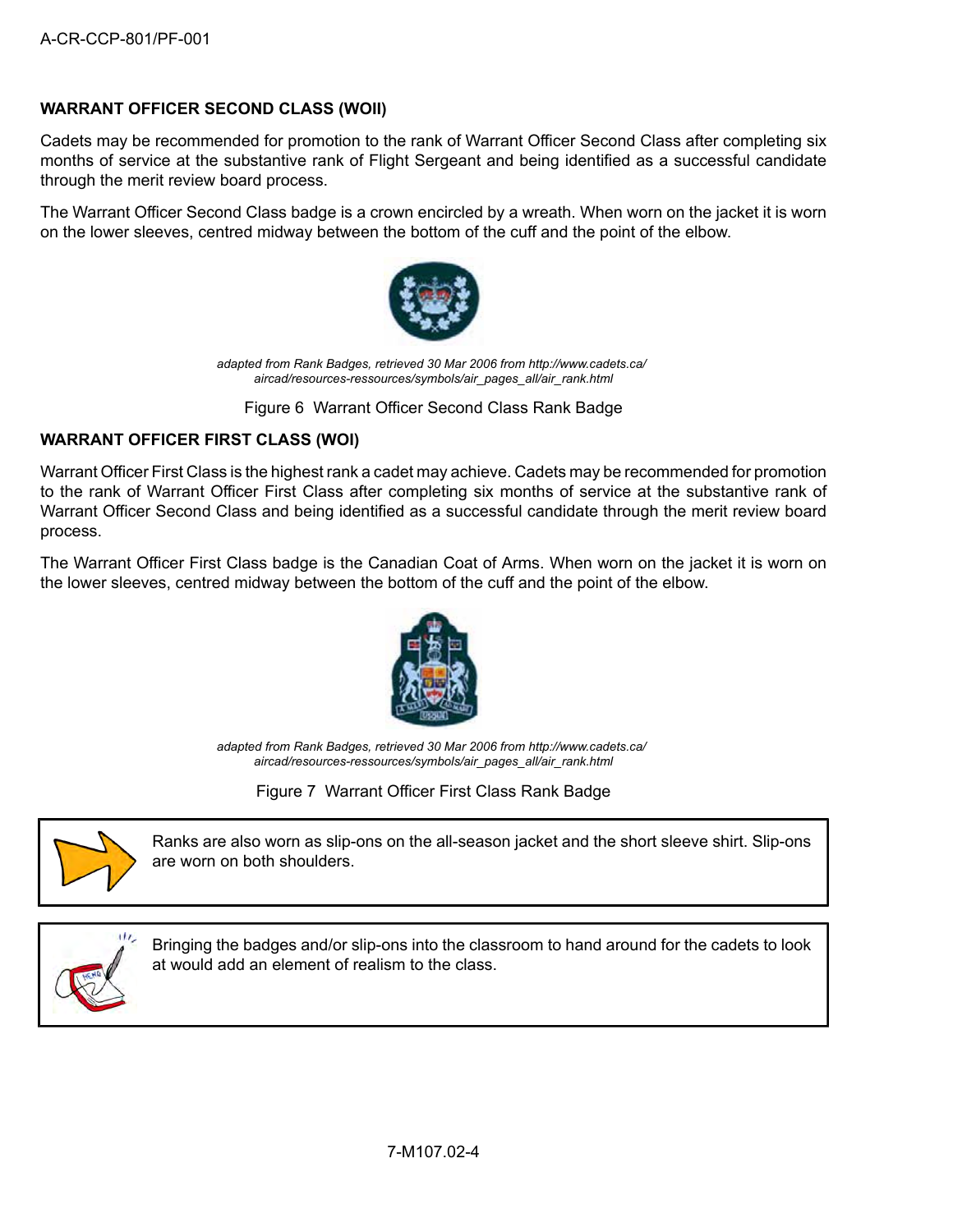# **WARRANT OFFICER SECOND CLASS (WOII)**

Cadets may be recommended for promotion to the rank of Warrant Officer Second Class after completing six months of service at the substantive rank of Flight Sergeant and being identified as a successful candidate through the merit review board process.

The Warrant Officer Second Class badge is a crown encircled by a wreath. When worn on the jacket it is worn on the lower sleeves, centred midway between the bottom of the cuff and the point of the elbow.



*adapted from Rank Badges, retrieved 30 Mar 2006 from http://www.cadets.ca/ aircad/resources-ressources/symbols/air\_pages\_all/air\_rank.html*

Figure 6 Warrant Officer Second Class Rank Badge

# **WARRANT OFFICER FIRST CLASS (WOI)**

Warrant Officer First Class is the highest rank a cadet may achieve. Cadets may be recommended for promotion to the rank of Warrant Officer First Class after completing six months of service at the substantive rank of Warrant Officer Second Class and being identified as a successful candidate through the merit review board process.

The Warrant Officer First Class badge is the Canadian Coat of Arms. When worn on the jacket it is worn on the lower sleeves, centred midway between the bottom of the cuff and the point of the elbow.



*adapted from Rank Badges, retrieved 30 Mar 2006 from http://www.cadets.ca/ aircad/resources-ressources/symbols/air\_pages\_all/air\_rank.html*

Figure 7 Warrant Officer First Class Rank Badge



Ranks are also worn as slip-ons on the all-season jacket and the short sleeve shirt. Slip-ons are worn on both shoulders.



Bringing the badges and/or slip-ons into the classroom to hand around for the cadets to look at would add an element of realism to the class.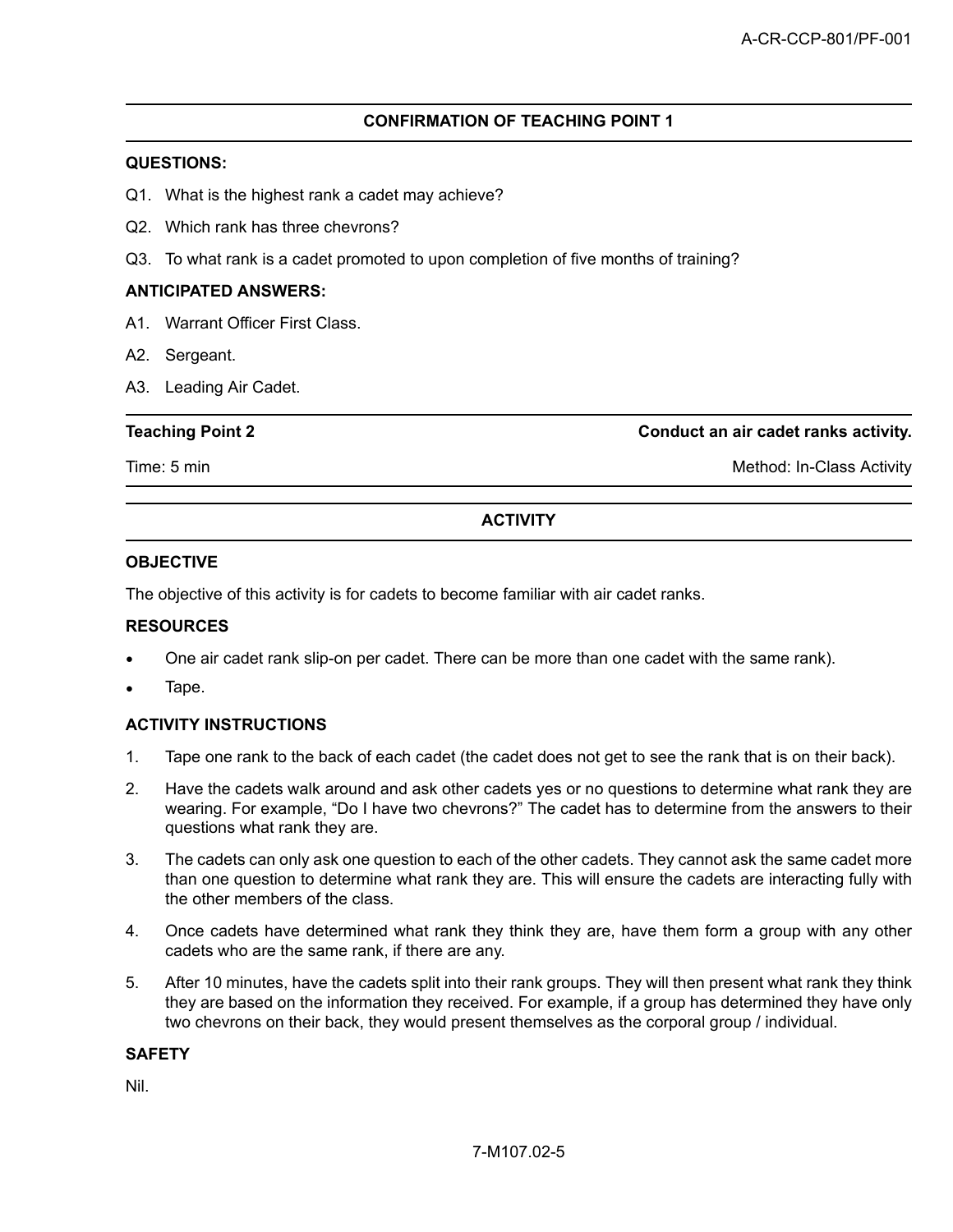#### **CONFIRMATION OF TEACHING POINT 1**

#### **QUESTIONS:**

- Q1. What is the highest rank a cadet may achieve?
- Q2. Which rank has three chevrons?
- Q3. To what rank is a cadet promoted to upon completion of five months of training?

#### **ANTICIPATED ANSWERS:**

- A1. Warrant Officer First Class.
- A2. Sergeant.
- A3. Leading Air Cadet.

**Teaching Point 2 Conduct an air cadet ranks activity.**

Time: 5 min Method: In-Class Activity

# **ACTIVITY**

#### **OBJECTIVE**

The objective of this activity is for cadets to become familiar with air cadet ranks.

#### **RESOURCES**

- One air cadet rank slip-on per cadet. There can be more than one cadet with the same rank).
- Tape.

### **ACTIVITY INSTRUCTIONS**

- 1. Tape one rank to the back of each cadet (the cadet does not get to see the rank that is on their back).
- 2. Have the cadets walk around and ask other cadets yes or no questions to determine what rank they are wearing. For example, "Do I have two chevrons?" The cadet has to determine from the answers to their questions what rank they are.
- 3. The cadets can only ask one question to each of the other cadets. They cannot ask the same cadet more than one question to determine what rank they are. This will ensure the cadets are interacting fully with the other members of the class.
- 4. Once cadets have determined what rank they think they are, have them form a group with any other cadets who are the same rank, if there are any.
- 5. After 10 minutes, have the cadets split into their rank groups. They will then present what rank they think they are based on the information they received. For example, if a group has determined they have only two chevrons on their back, they would present themselves as the corporal group / individual.

#### **SAFETY**

Nil.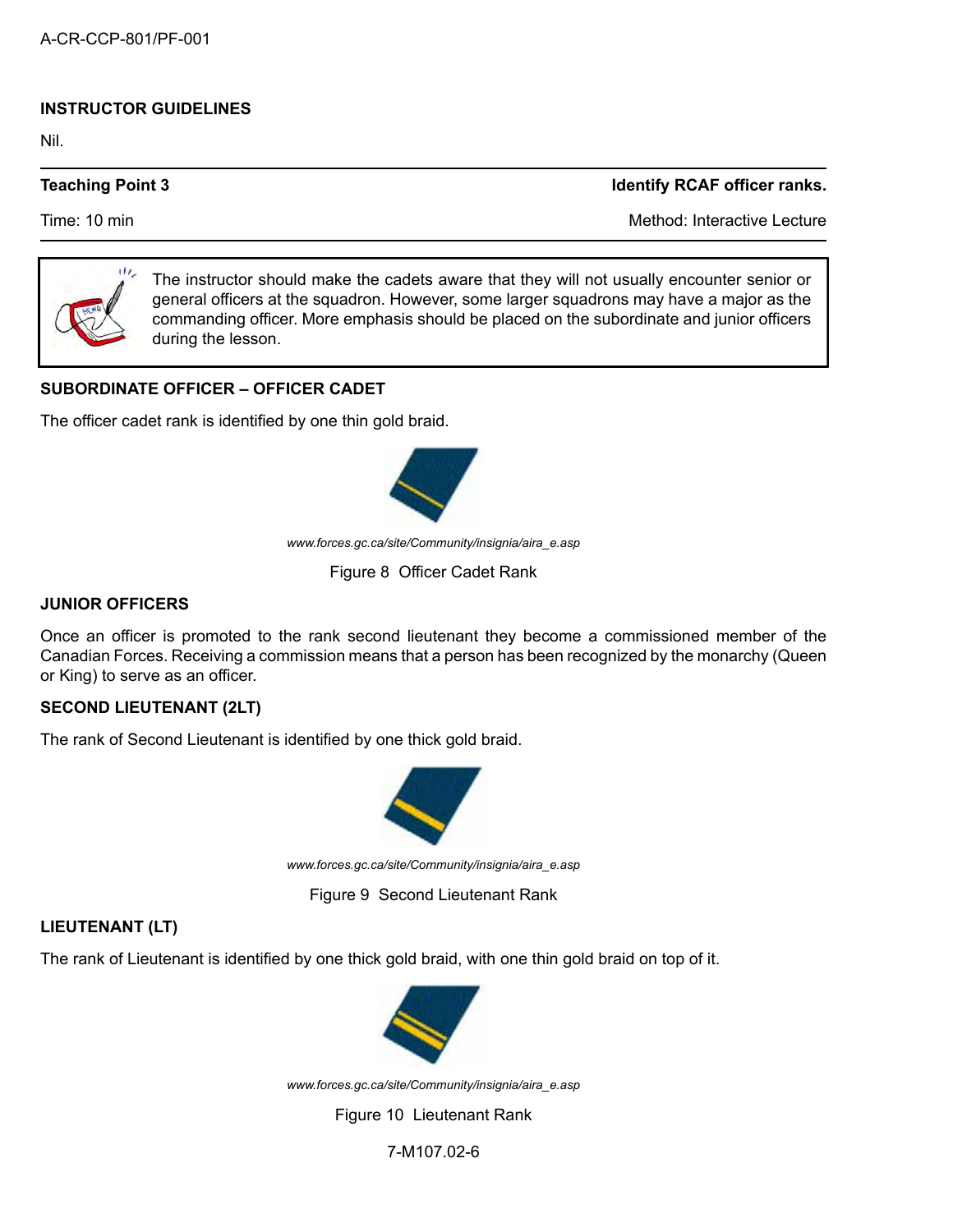# **INSTRUCTOR GUIDELINES**

Nil.

**Teaching Point 3 Identify RCAF officer ranks.**

Time: 10 min Method: Interactive Lecture Companies and Method: Interactive Lecture



The instructor should make the cadets aware that they will not usually encounter senior or general officers at the squadron. However, some larger squadrons may have a major as the commanding officer. More emphasis should be placed on the subordinate and junior officers during the lesson.

# **SUBORDINATE OFFICER – OFFICER CADET**

The officer cadet rank is identified by one thin gold braid.



*www.forces.gc.ca/site/Community/insignia/aira\_e.asp*

Figure 8 Officer Cadet Rank

### **JUNIOR OFFICERS**

Once an officer is promoted to the rank second lieutenant they become a commissioned member of the Canadian Forces. Receiving a commission means that a person has been recognized by the monarchy (Queen or King) to serve as an officer.

### **SECOND LIEUTENANT (2LT)**

The rank of Second Lieutenant is identified by one thick gold braid.



*www.forces.gc.ca/site/Community/insignia/aira\_e.asp*

Figure 9 Second Lieutenant Rank

### **LIEUTENANT (LT)**

The rank of Lieutenant is identified by one thick gold braid, with one thin gold braid on top of it.



*www.forces.gc.ca/site/Community/insignia/aira\_e.asp*

Figure 10 Lieutenant Rank

7-M107.02-6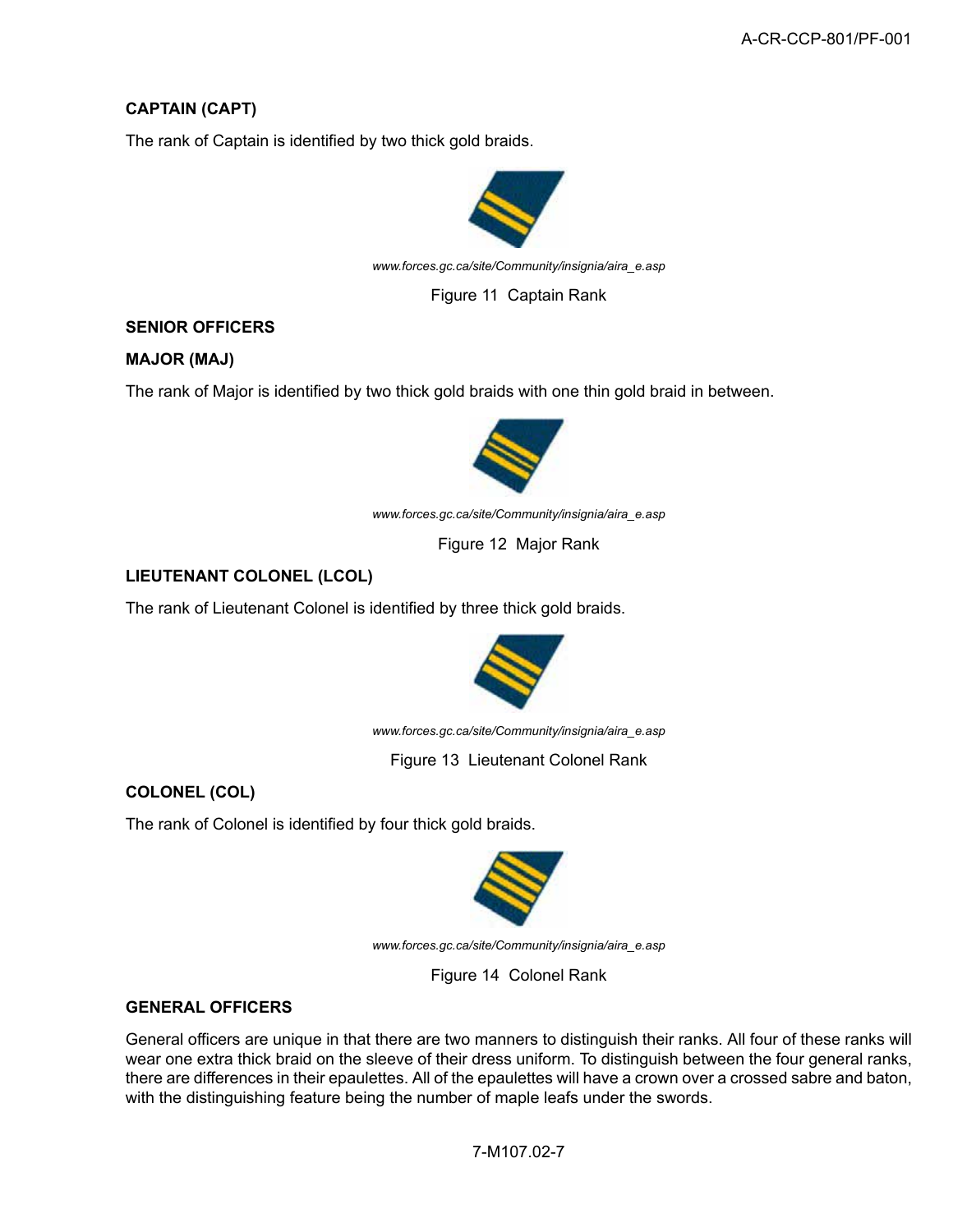# **CAPTAIN (CAPT)**

The rank of Captain is identified by two thick gold braids.



*www.forces.gc.ca/site/Community/insignia/aira\_e.asp*

Figure 11 Captain Rank

# **SENIOR OFFICERS**

# **MAJOR (MAJ)**

The rank of Major is identified by two thick gold braids with one thin gold braid in between.



*www.forces.gc.ca/site/Community/insignia/aira\_e.asp*

Figure 12 Major Rank

# **LIEUTENANT COLONEL (LCOL)**

The rank of Lieutenant Colonel is identified by three thick gold braids.



*www.forces.gc.ca/site/Community/insignia/aira\_e.asp*

Figure 13 Lieutenant Colonel Rank

**COLONEL (COL)**

The rank of Colonel is identified by four thick gold braids.



*www.forces.gc.ca/site/Community/insignia/aira\_e.asp*

Figure 14 Colonel Rank

### **GENERAL OFFICERS**

General officers are unique in that there are two manners to distinguish their ranks. All four of these ranks will wear one extra thick braid on the sleeve of their dress uniform. To distinguish between the four general ranks, there are differences in their epaulettes. All of the epaulettes will have a crown over a crossed sabre and baton, with the distinguishing feature being the number of maple leafs under the swords.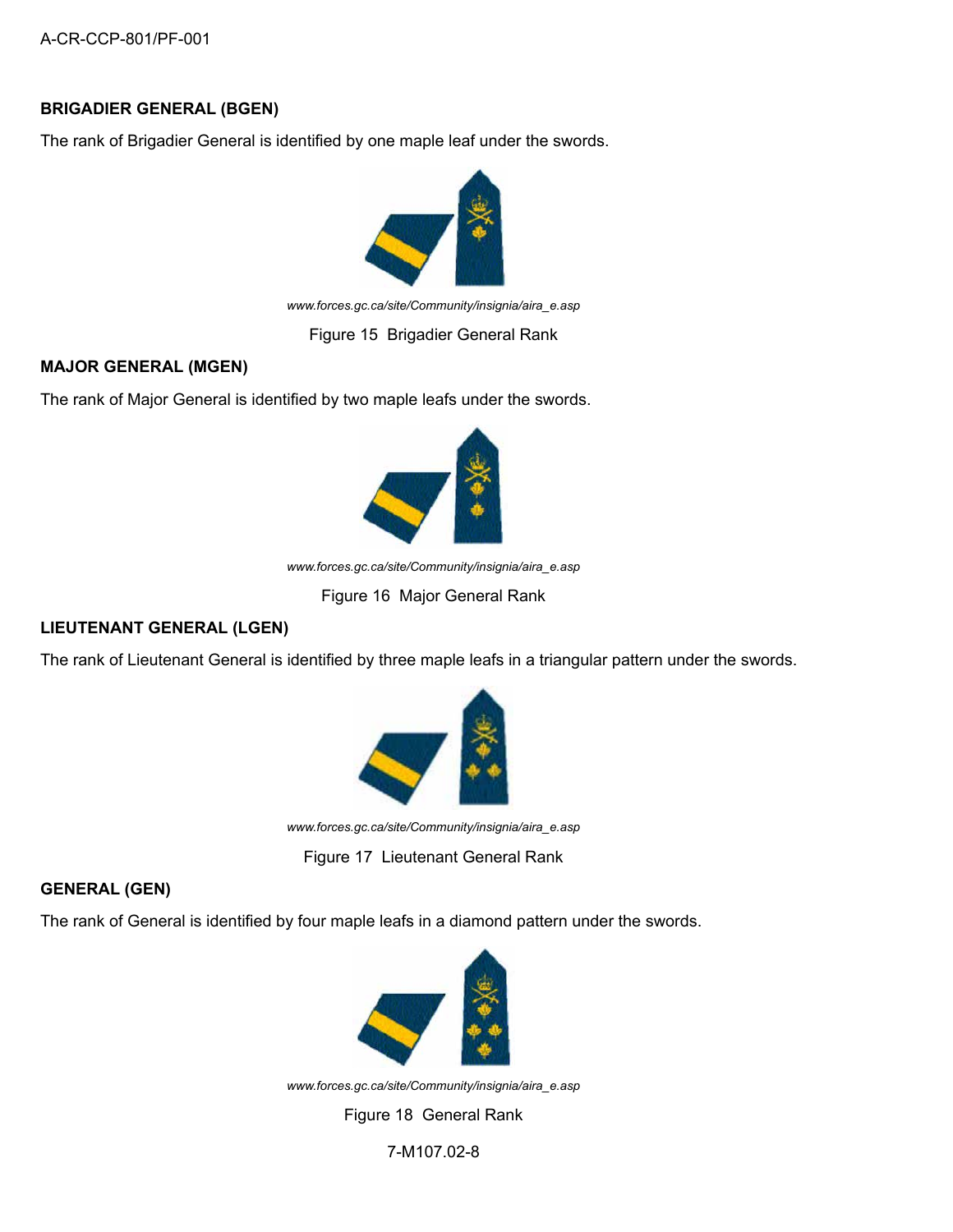# **BRIGADIER GENERAL (BGEN)**

The rank of Brigadier General is identified by one maple leaf under the swords.



*www.forces.gc.ca/site/Community/insignia/aira\_e.asp*

Figure 15 Brigadier General Rank

# **MAJOR GENERAL (MGEN)**

The rank of Major General is identified by two maple leafs under the swords.



*www.forces.gc.ca/site/Community/insignia/aira\_e.asp*



# **LIEUTENANT GENERAL (LGEN)**

The rank of Lieutenant General is identified by three maple leafs in a triangular pattern under the swords.



*www.forces.gc.ca/site/Community/insignia/aira\_e.asp*

Figure 17 Lieutenant General Rank

# **GENERAL (GEN)**

The rank of General is identified by four maple leafs in a diamond pattern under the swords.



*www.forces.gc.ca/site/Community/insignia/aira\_e.asp*

Figure 18 General Rank

7-M107.02-8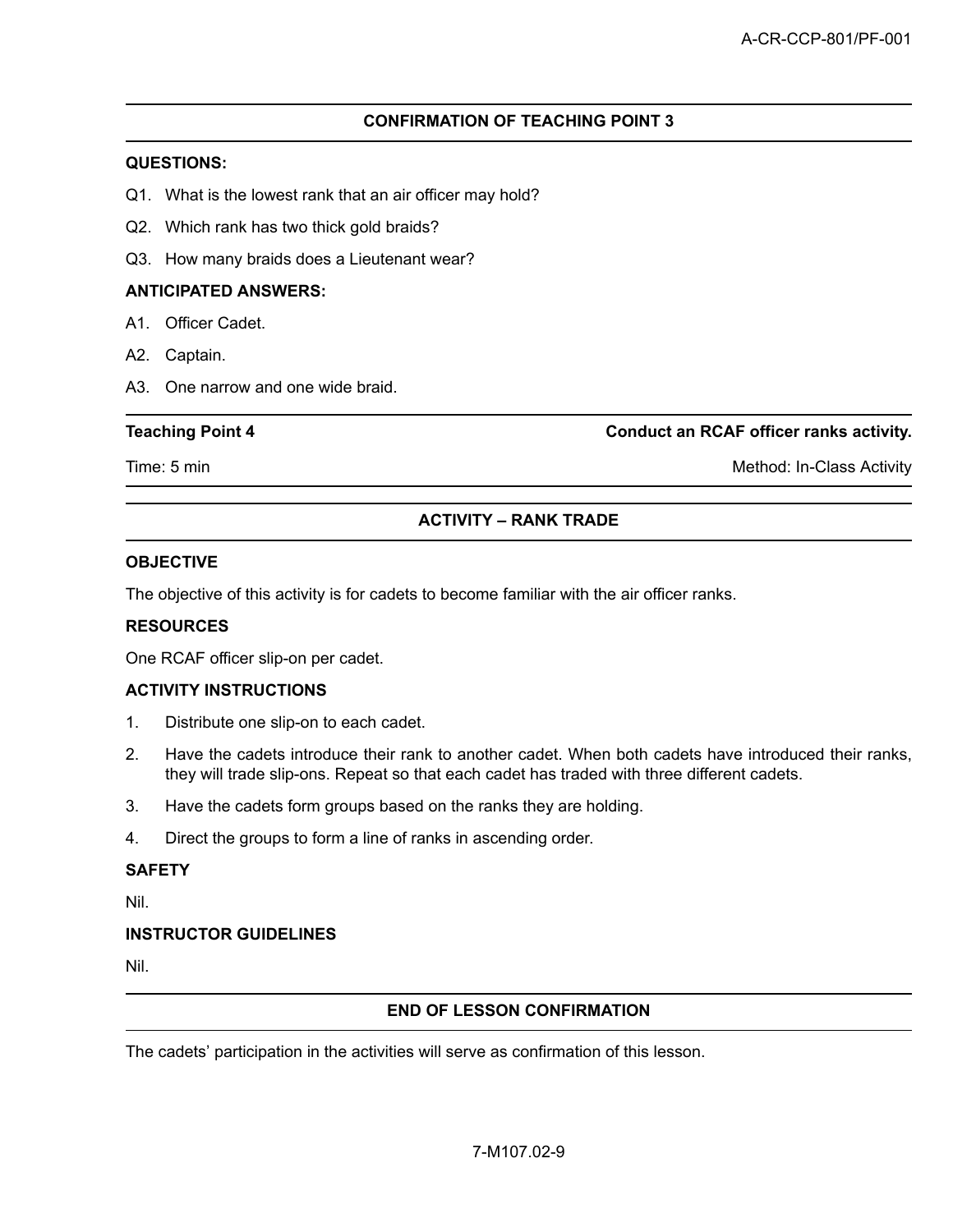#### **CONFIRMATION OF TEACHING POINT 3**

#### **QUESTIONS:**

- Q1. What is the lowest rank that an air officer may hold?
- Q2. Which rank has two thick gold braids?
- Q3. How many braids does a Lieutenant wear?

#### **ANTICIPATED ANSWERS:**

- A1. Officer Cadet.
- A2. Captain.
- A3. One narrow and one wide braid.

#### **Teaching Point 4 Conduct an RCAF officer ranks activity.**

Time: 5 min Method: In-Class Activity

# **ACTIVITY – RANK TRADE**

#### **OBJECTIVE**

The objective of this activity is for cadets to become familiar with the air officer ranks.

#### **RESOURCES**

One RCAF officer slip-on per cadet.

#### **ACTIVITY INSTRUCTIONS**

- 1. Distribute one slip-on to each cadet.
- 2. Have the cadets introduce their rank to another cadet. When both cadets have introduced their ranks, they will trade slip-ons. Repeat so that each cadet has traded with three different cadets.
- 3. Have the cadets form groups based on the ranks they are holding.
- 4. Direct the groups to form a line of ranks in ascending order.

#### **SAFETY**

Nil.

### **INSTRUCTOR GUIDELINES**

Nil.

### **END OF LESSON CONFIRMATION**

The cadets' participation in the activities will serve as confirmation of this lesson.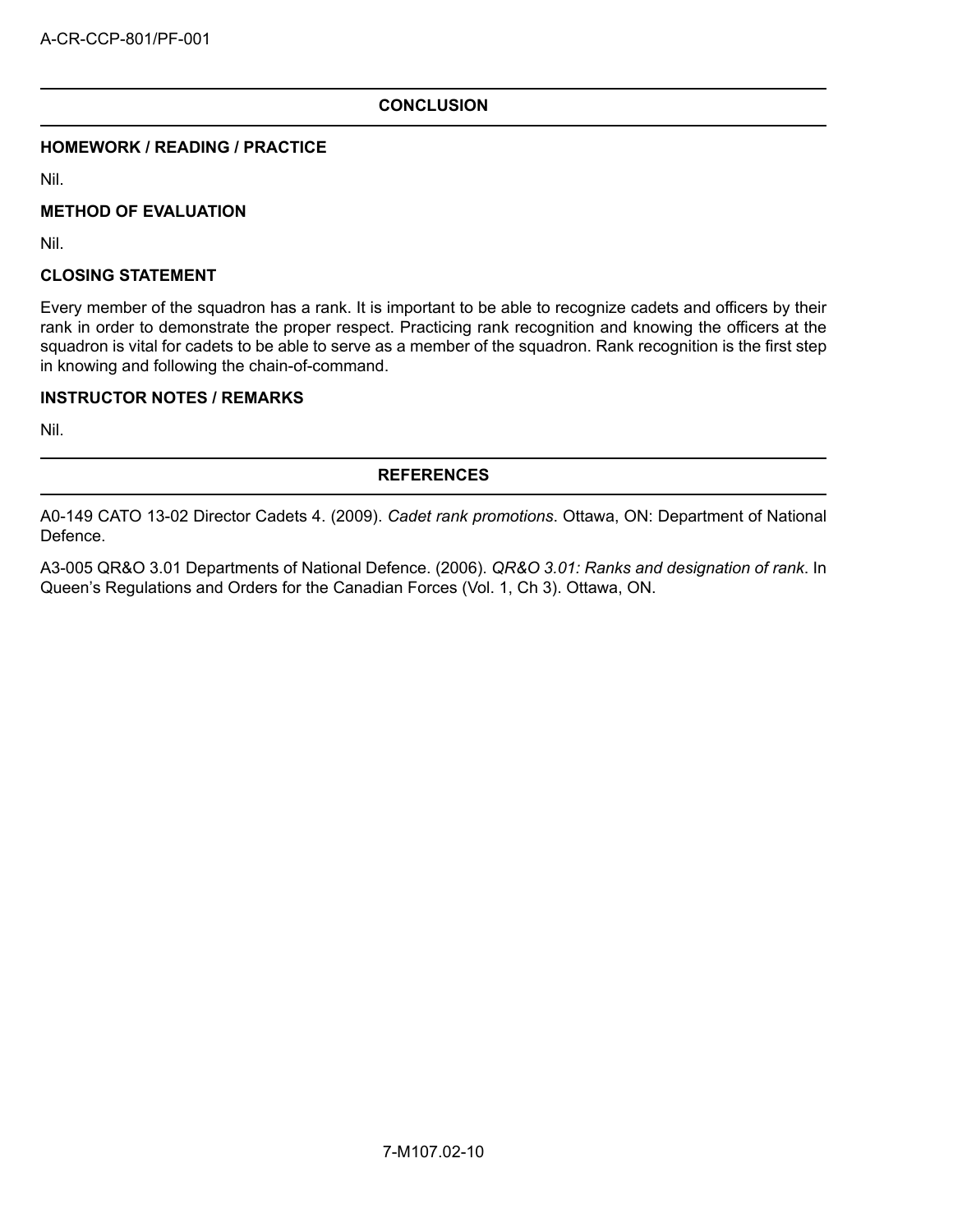# **CONCLUSION**

## **HOMEWORK / READING / PRACTICE**

Nil.

# **METHOD OF EVALUATION**

Nil.

# **CLOSING STATEMENT**

Every member of the squadron has a rank. It is important to be able to recognize cadets and officers by their rank in order to demonstrate the proper respect. Practicing rank recognition and knowing the officers at the squadron is vital for cadets to be able to serve as a member of the squadron. Rank recognition is the first step in knowing and following the chain-of-command.

# **INSTRUCTOR NOTES / REMARKS**

Nil.

# **REFERENCES**

A0-149 CATO 13-02 Director Cadets 4. (2009). *Cadet rank promotions*. Ottawa, ON: Department of National Defence.

A3-005 QR&O 3.01 Departments of National Defence. (2006). *QR&O 3.01: Ranks and designation of rank*. In Queen's Regulations and Orders for the Canadian Forces (Vol. 1, Ch 3). Ottawa, ON.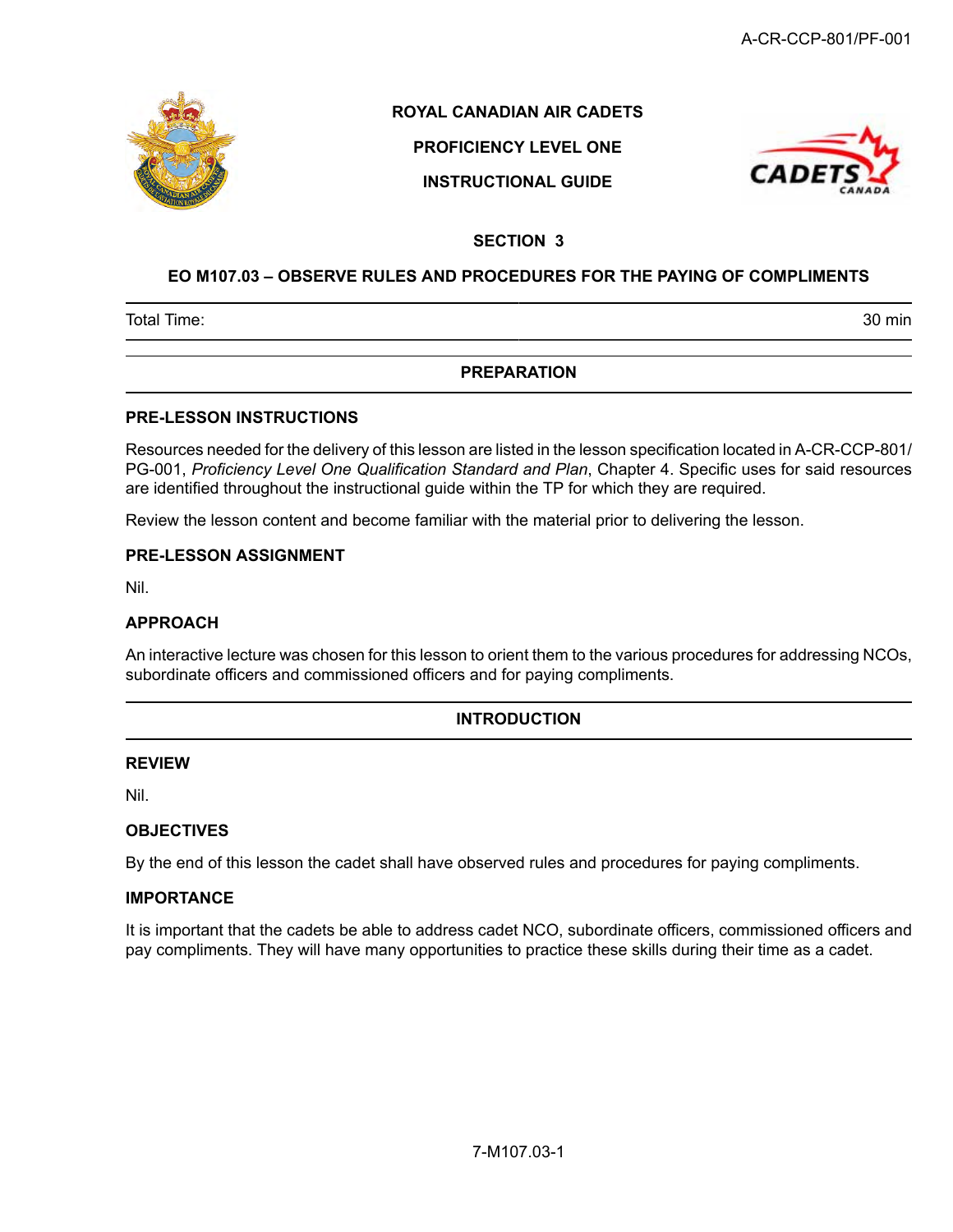

# **ROYAL CANADIAN AIR CADETS**

# **PROFICIENCY LEVEL ONE**

# **INSTRUCTIONAL GUIDE**



# **SECTION 3**

# **EO M107.03 – OBSERVE RULES AND PROCEDURES FOR THE PAYING OF COMPLIMENTS**

Total Time: 30 min

# **PREPARATION**

#### **PRE-LESSON INSTRUCTIONS**

Resources needed for the delivery of this lesson are listed in the lesson specification located in A-CR-CCP-801/ PG-001, *Proficiency Level One Qualification Standard and Plan*, Chapter 4. Specific uses for said resources are identified throughout the instructional guide within the TP for which they are required.

Review the lesson content and become familiar with the material prior to delivering the lesson.

### **PRE-LESSON ASSIGNMENT**

Nil.

#### **APPROACH**

An interactive lecture was chosen for this lesson to orient them to the various procedures for addressing NCOs, subordinate officers and commissioned officers and for paying compliments.

# **INTRODUCTION**

### **REVIEW**

Nil.

### **OBJECTIVES**

By the end of this lesson the cadet shall have observed rules and procedures for paying compliments.

# **IMPORTANCE**

It is important that the cadets be able to address cadet NCO, subordinate officers, commissioned officers and pay compliments. They will have many opportunities to practice these skills during their time as a cadet.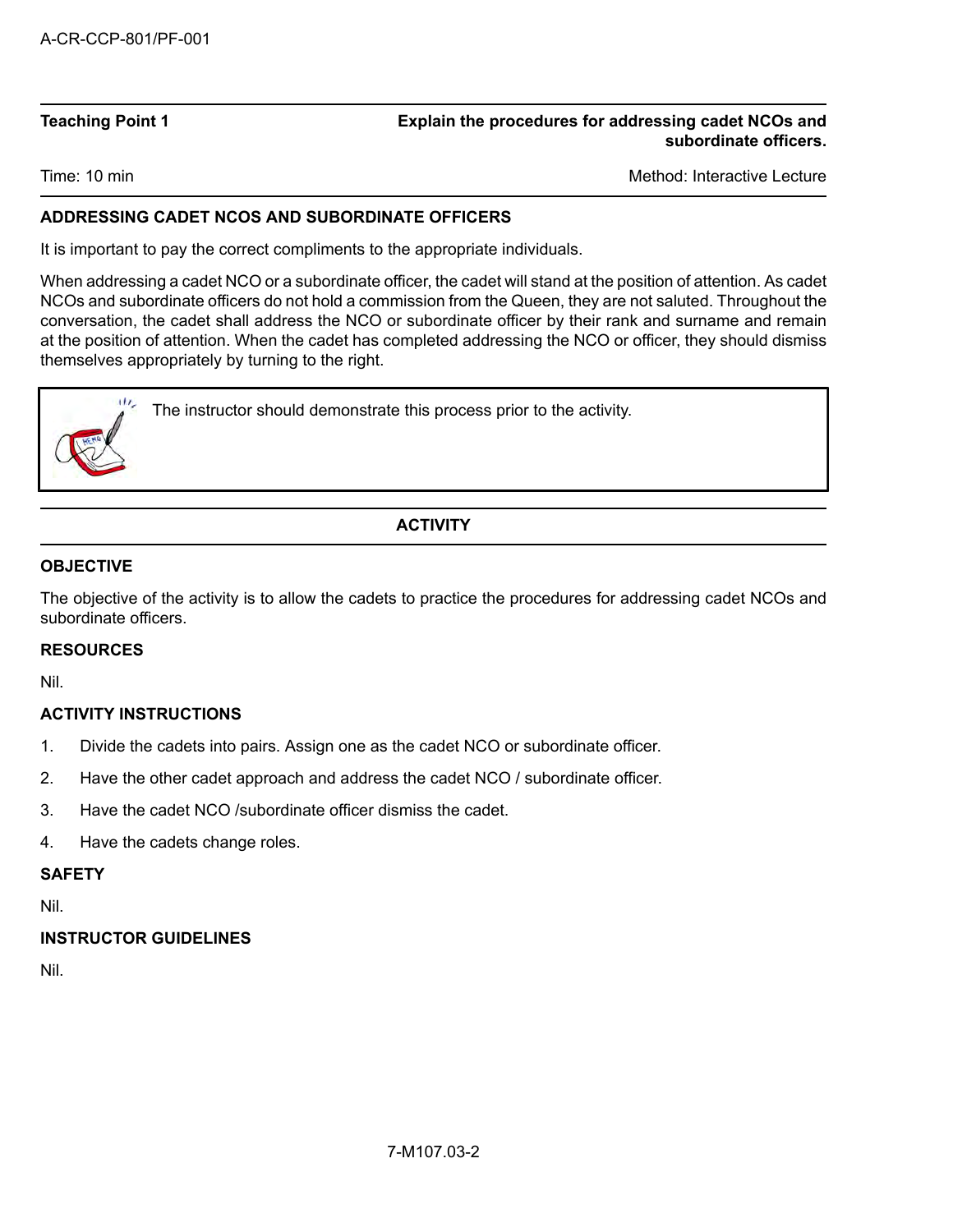### **Teaching Point 1 Explain the procedures for addressing cadet NCOs and subordinate officers.**

Time: 10 min Method: Interactive Lecture Lecture

## **ADDRESSING CADET NCOS AND SUBORDINATE OFFICERS**

It is important to pay the correct compliments to the appropriate individuals.

When addressing a cadet NCO or a subordinate officer, the cadet will stand at the position of attention. As cadet NCOs and subordinate officers do not hold a commission from the Queen, they are not saluted. Throughout the conversation, the cadet shall address the NCO or subordinate officer by their rank and surname and remain at the position of attention. When the cadet has completed addressing the NCO or officer, they should dismiss themselves appropriately by turning to the right.



The instructor should demonstrate this process prior to the activity.

# **ACTIVITY**

# **OBJECTIVE**

The objective of the activity is to allow the cadets to practice the procedures for addressing cadet NCOs and subordinate officers.

### **RESOURCES**

Nil.

# **ACTIVITY INSTRUCTIONS**

- 1. Divide the cadets into pairs. Assign one as the cadet NCO or subordinate officer.
- 2. Have the other cadet approach and address the cadet NCO / subordinate officer.
- 3. Have the cadet NCO /subordinate officer dismiss the cadet.
- 4. Have the cadets change roles.

# **SAFETY**

Nil.

### **INSTRUCTOR GUIDELINES**

Nil.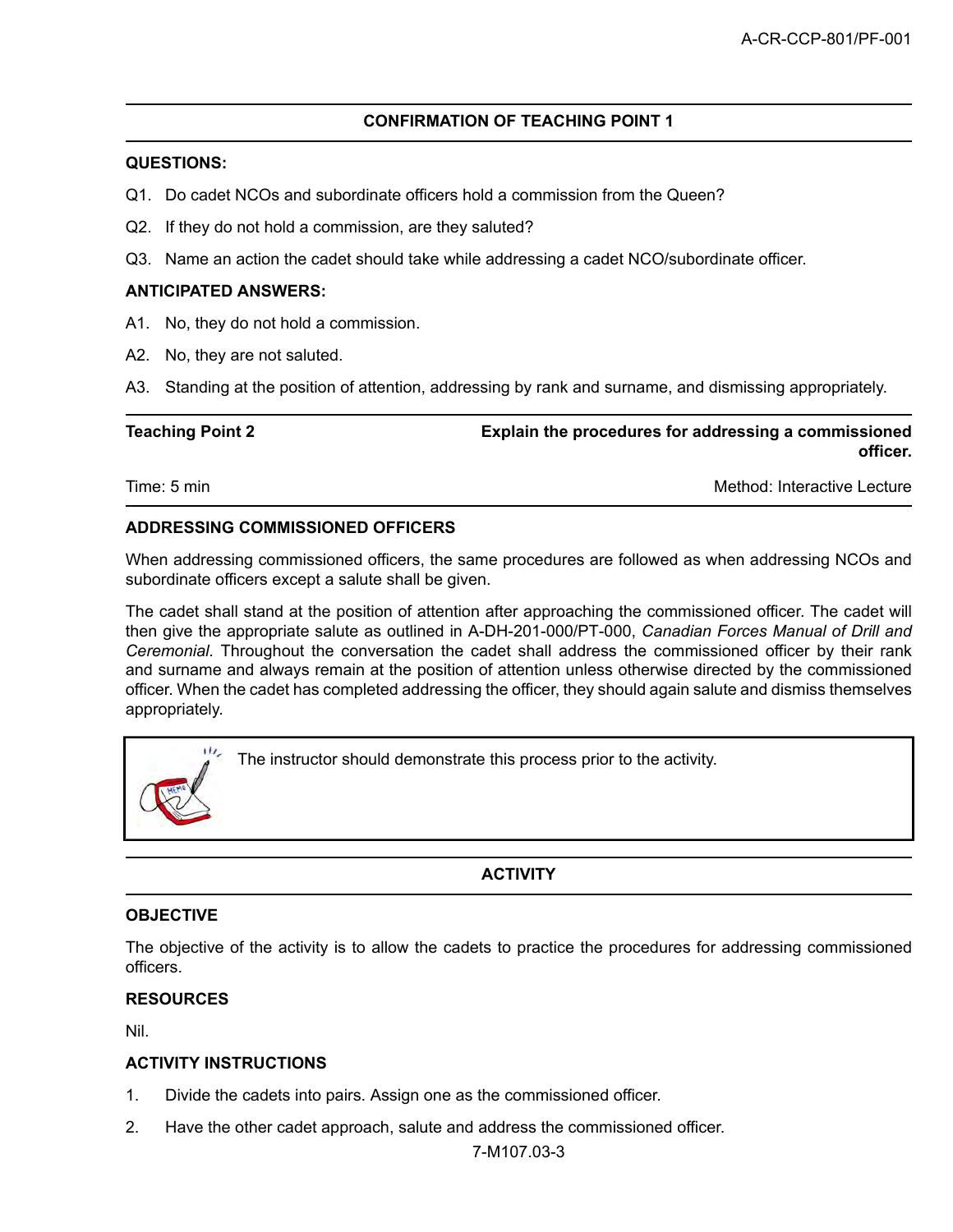#### **CONFIRMATION OF TEACHING POINT 1**

#### **QUESTIONS:**

- Q1. Do cadet NCOs and subordinate officers hold a commission from the Queen?
- Q2. If they do not hold a commission, are they saluted?
- Q3. Name an action the cadet should take while addressing a cadet NCO/subordinate officer.

#### **ANTICIPATED ANSWERS:**

- A1. No, they do not hold a commission.
- A2. No, they are not saluted.
- A3. Standing at the position of attention, addressing by rank and surname, and dismissing appropriately.

**Teaching Point 2 Explain the procedures for addressing a commissioned officer.**

Time: 5 min Method: Interactive Lecture Company of Time: 5 min Method: Interactive Lecture

#### **ADDRESSING COMMISSIONED OFFICERS**

When addressing commissioned officers, the same procedures are followed as when addressing NCOs and subordinate officers except a salute shall be given.

The cadet shall stand at the position of attention after approaching the commissioned officer. The cadet will then give the appropriate salute as outlined in A-DH-201-000/PT-000, *Canadian Forces Manual of Drill and Ceremonial*. Throughout the conversation the cadet shall address the commissioned officer by their rank and surname and always remain at the position of attention unless otherwise directed by the commissioned officer. When the cadet has completed addressing the officer, they should again salute and dismiss themselves appropriately.



The instructor should demonstrate this process prior to the activity.

# **ACTIVITY**

#### **OBJECTIVE**

The objective of the activity is to allow the cadets to practice the procedures for addressing commissioned officers.

### **RESOURCES**

Nil.

### **ACTIVITY INSTRUCTIONS**

- 1. Divide the cadets into pairs. Assign one as the commissioned officer.
- 2. Have the other cadet approach, salute and address the commissioned officer.

7-M107.03-3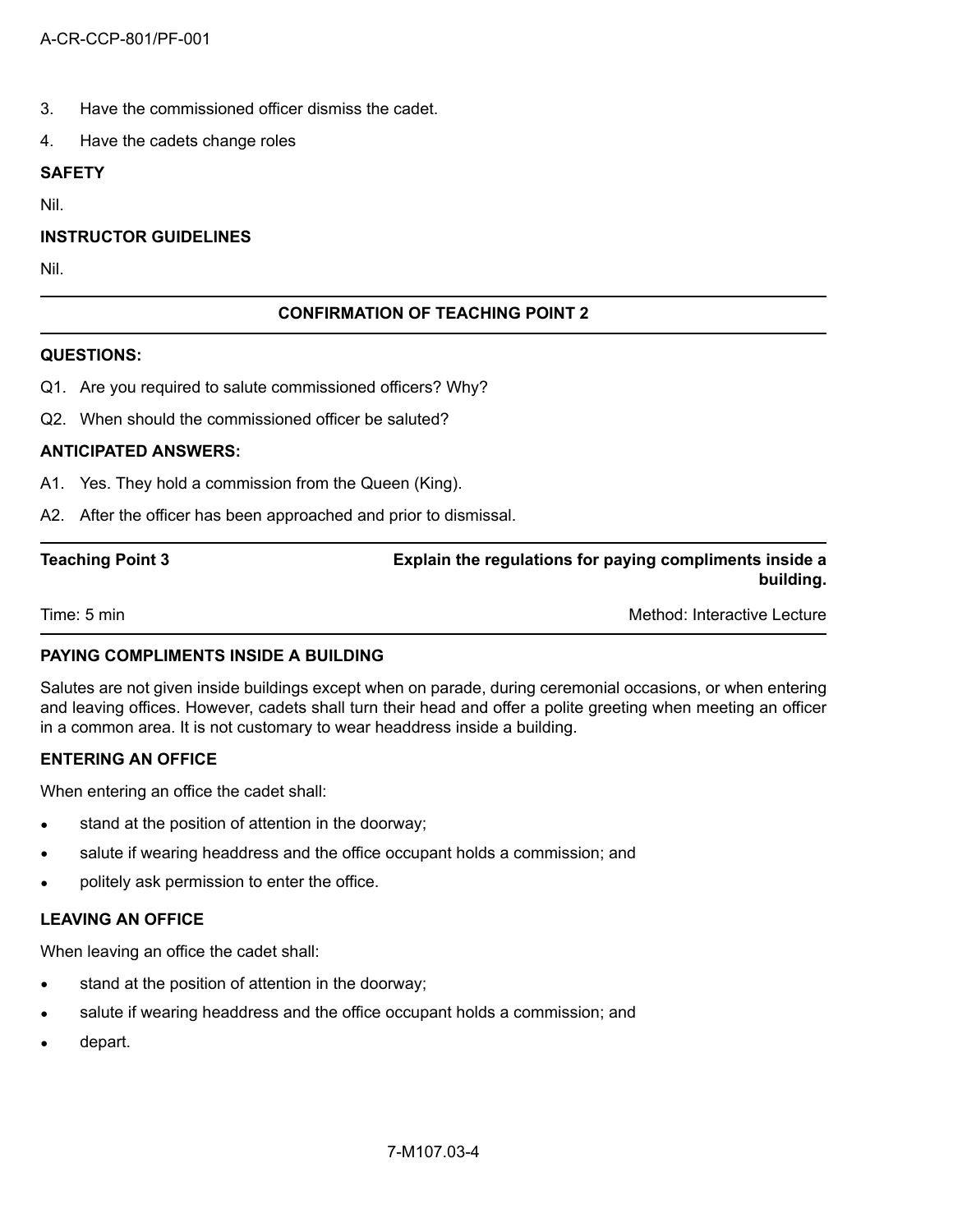- 3. Have the commissioned officer dismiss the cadet.
- 4. Have the cadets change roles

#### **SAFETY**

Nil.

#### **INSTRUCTOR GUIDELINES**

Nil.

# **CONFIRMATION OF TEACHING POINT 2**

#### **QUESTIONS:**

- Q1. Are you required to salute commissioned officers? Why?
- Q2. When should the commissioned officer be saluted?

#### **ANTICIPATED ANSWERS:**

- A1. Yes. They hold a commission from the Queen (King).
- A2. After the officer has been approached and prior to dismissal.

**Teaching Point 3 Explain the regulations for paying compliments inside a building.**

Time: 5 min Method: Interactive Lecture Company of Time: 5 min Method: Interactive Lecture

### **PAYING COMPLIMENTS INSIDE A BUILDING**

Salutes are not given inside buildings except when on parade, during ceremonial occasions, or when entering and leaving offices. However, cadets shall turn their head and offer a polite greeting when meeting an officer in a common area. It is not customary to wear headdress inside a building.

#### **ENTERING AN OFFICE**

When entering an office the cadet shall:

- stand at the position of attention in the doorway;
- salute if wearing headdress and the office occupant holds a commission; and
- politely ask permission to enter the office.

### **LEAVING AN OFFICE**

When leaving an office the cadet shall:

- stand at the position of attention in the doorway;
- salute if wearing headdress and the office occupant holds a commission; and
- depart.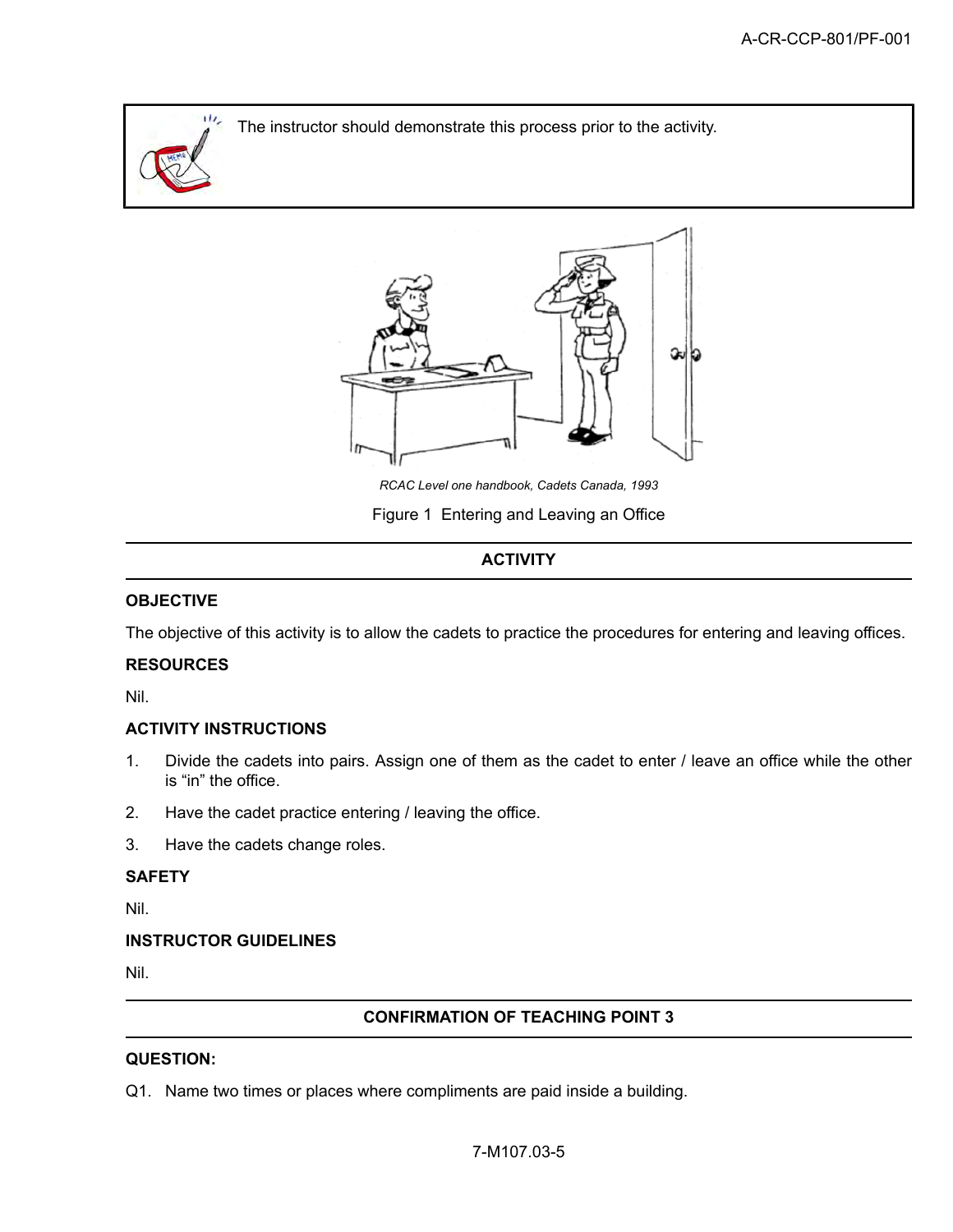

The instructor should demonstrate this process prior to the activity.



*RCAC Level one handbook, Cadets Canada, 1993*

Figure 1 Entering and Leaving an Office

### **ACTIVITY**

#### **OBJECTIVE**

The objective of this activity is to allow the cadets to practice the procedures for entering and leaving offices.

#### **RESOURCES**

Nil.

### **ACTIVITY INSTRUCTIONS**

- 1. Divide the cadets into pairs. Assign one of them as the cadet to enter / leave an office while the other is "in" the office.
- 2. Have the cadet practice entering / leaving the office.
- 3. Have the cadets change roles.

### **SAFETY**

Nil.

#### **INSTRUCTOR GUIDELINES**

Nil.

#### **CONFIRMATION OF TEACHING POINT 3**

#### **QUESTION:**

Q1. Name two times or places where compliments are paid inside a building.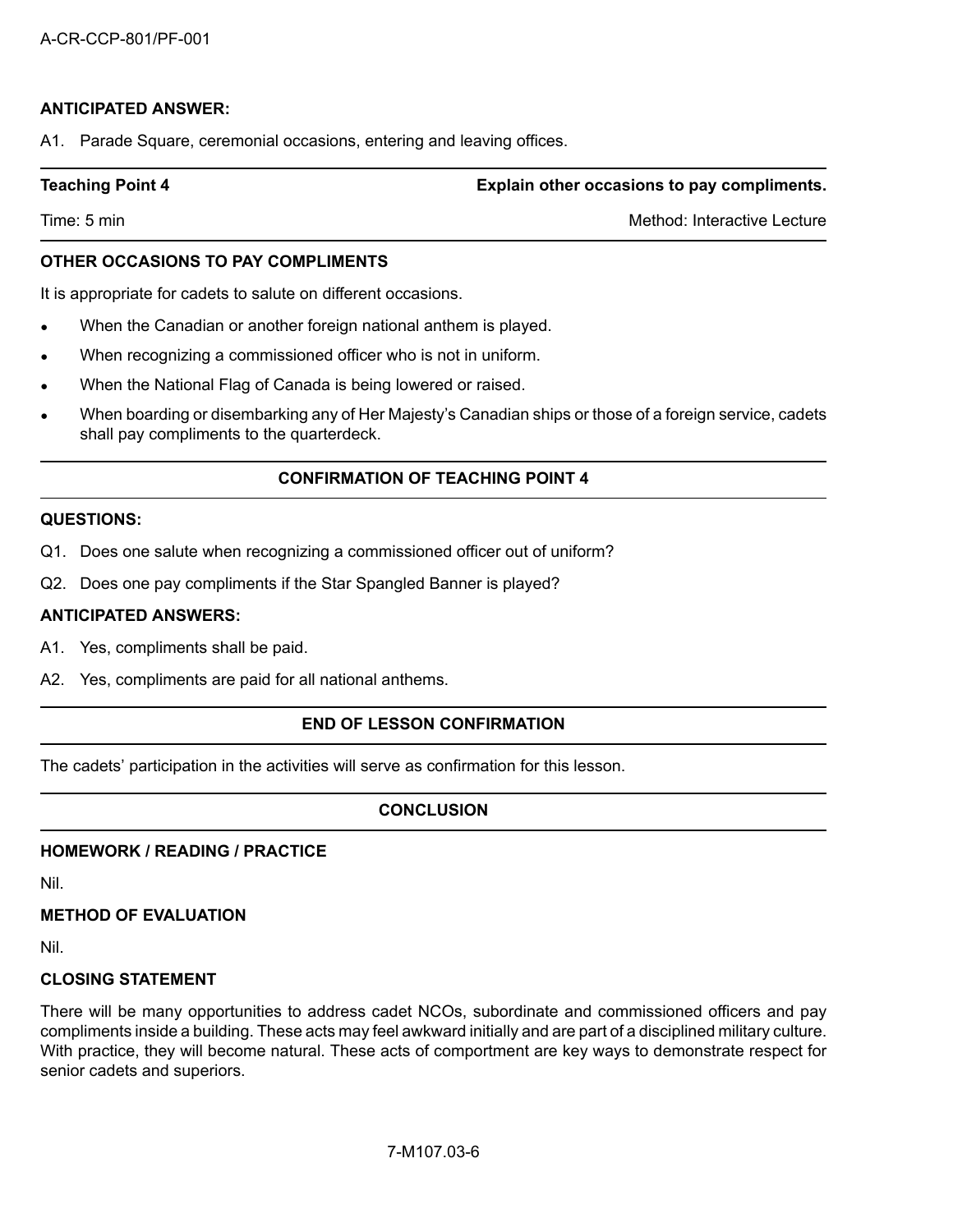#### **ANTICIPATED ANSWER:**

A1. Parade Square, ceremonial occasions, entering and leaving offices.

**Teaching Point 4 Explain other occasions to pay compliments.**

Time: 5 min Method: Interactive Lecture Companies And Method: Interactive Lecture

## **OTHER OCCASIONS TO PAY COMPLIMENTS**

It is appropriate for cadets to salute on different occasions.

- When the Canadian or another foreign national anthem is played.
- When recognizing a commissioned officer who is not in uniform.
- When the National Flag of Canada is being lowered or raised.
- When boarding or disembarking any of Her Majesty's Canadian ships or those of a foreign service, cadets shall pay compliments to the quarterdeck.

### **CONFIRMATION OF TEACHING POINT 4**

#### **QUESTIONS:**

- Q1. Does one salute when recognizing a commissioned officer out of uniform?
- Q2. Does one pay compliments if the Star Spangled Banner is played?

#### **ANTICIPATED ANSWERS:**

- A1. Yes, compliments shall be paid.
- A2. Yes, compliments are paid for all national anthems.

#### **END OF LESSON CONFIRMATION**

The cadets' participation in the activities will serve as confirmation for this lesson.

### **CONCLUSION**

#### **HOMEWORK / READING / PRACTICE**

Nil.

# **METHOD OF EVALUATION**

Nil.

# **CLOSING STATEMENT**

There will be many opportunities to address cadet NCOs, subordinate and commissioned officers and pay compliments inside a building. These acts may feel awkward initially and are part of a disciplined military culture. With practice, they will become natural. These acts of comportment are key ways to demonstrate respect for senior cadets and superiors.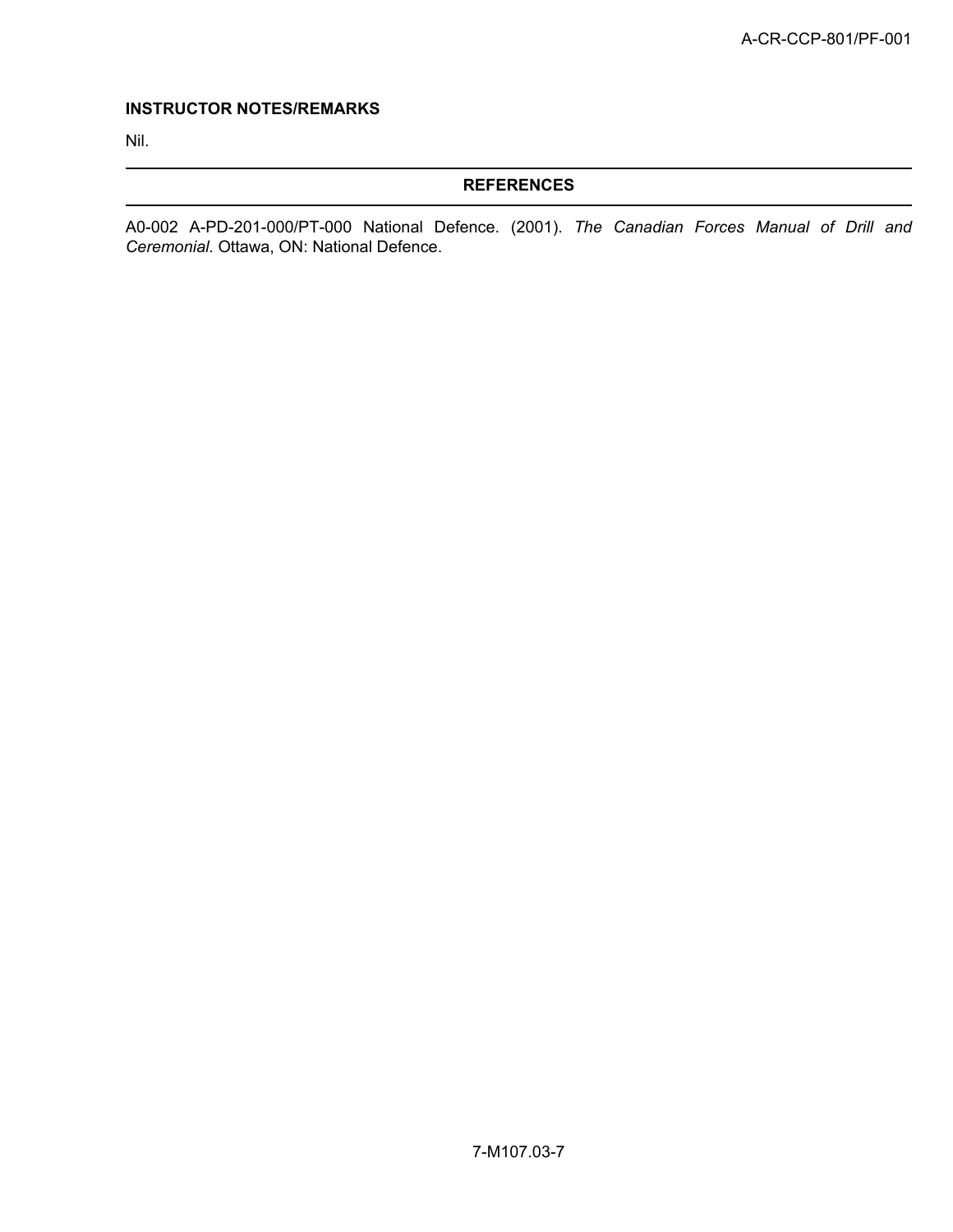### **INSTRUCTOR NOTES/REMARKS**

Nil.

#### **REFERENCES**

A0-002 A-PD-201-000/PT-000 National Defence. (2001). *The Canadian Forces Manual of Drill and Ceremonial*. Ottawa, ON: National Defence.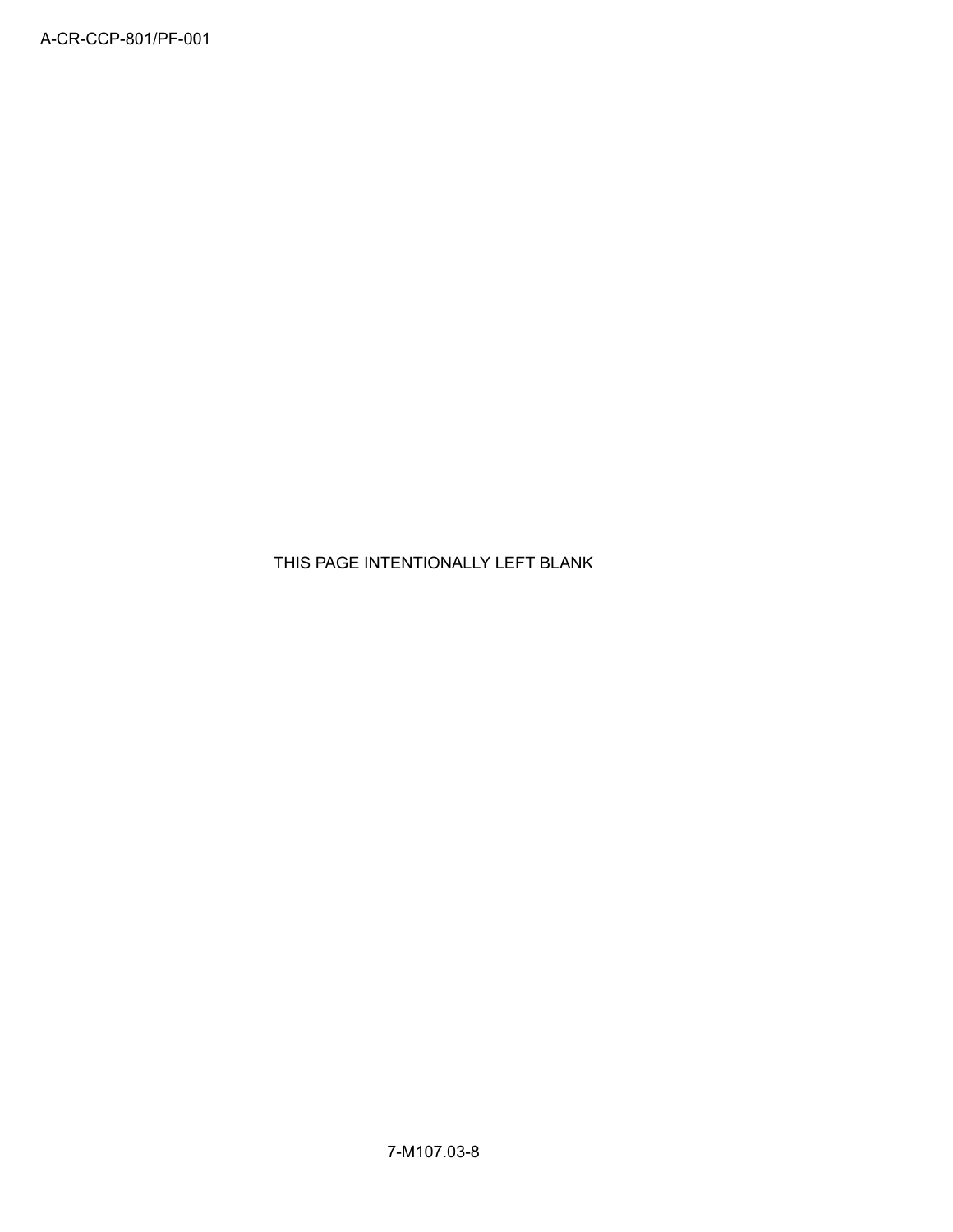THIS PAGE INTENTIONALLY LEFT BLANK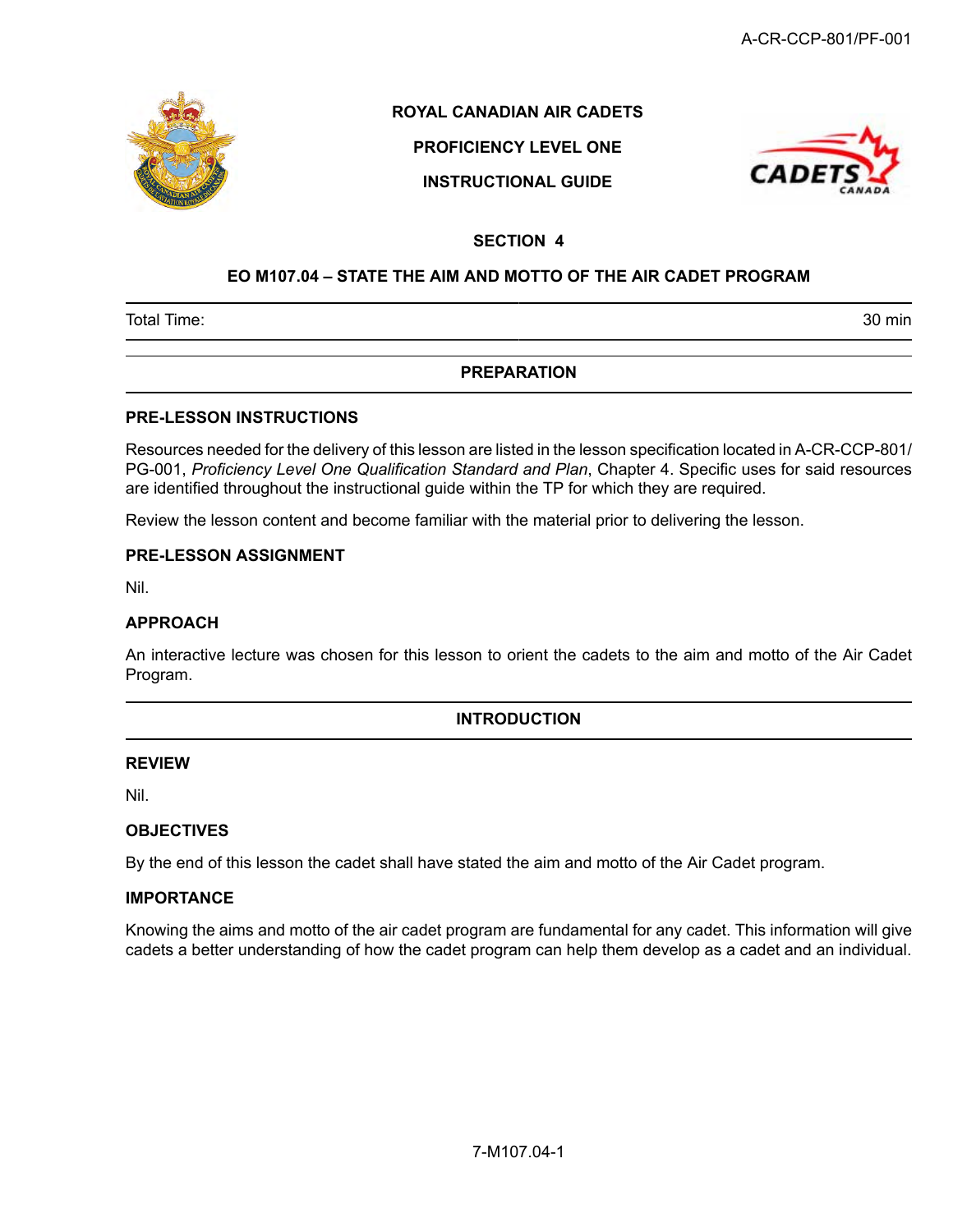

# **ROYAL CANADIAN AIR CADETS**

# **PROFICIENCY LEVEL ONE**

# **INSTRUCTIONAL GUIDE**



# **SECTION 4**

## **EO M107.04 – STATE THE AIM AND MOTTO OF THE AIR CADET PROGRAM**

Total Time: 30 min

# **PREPARATION**

#### **PRE-LESSON INSTRUCTIONS**

Resources needed for the delivery of this lesson are listed in the lesson specification located in A-CR-CCP-801/ PG-001, *Proficiency Level One Qualification Standard and Plan*, Chapter 4. Specific uses for said resources are identified throughout the instructional guide within the TP for which they are required.

Review the lesson content and become familiar with the material prior to delivering the lesson.

#### **PRE-LESSON ASSIGNMENT**

Nil.

#### **APPROACH**

An interactive lecture was chosen for this lesson to orient the cadets to the aim and motto of the Air Cadet Program.

# **INTRODUCTION**

# **REVIEW**

Nil.

### **OBJECTIVES**

By the end of this lesson the cadet shall have stated the aim and motto of the Air Cadet program.

### **IMPORTANCE**

Knowing the aims and motto of the air cadet program are fundamental for any cadet. This information will give cadets a better understanding of how the cadet program can help them develop as a cadet and an individual.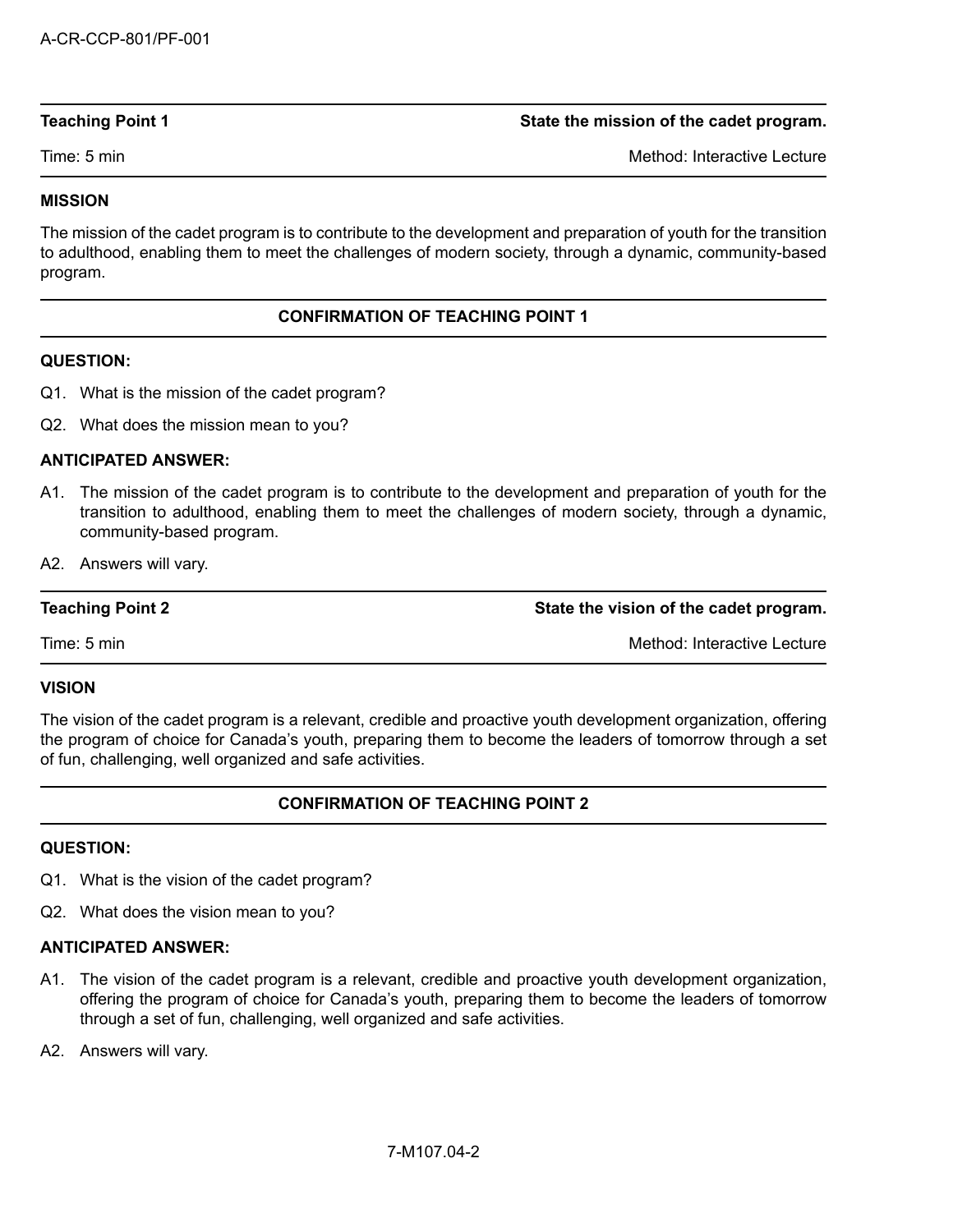**Teaching Point 1 State the mission of the cadet program.**

Time: 5 min Method: Interactive Lecture Communication of the Method: Interactive Lecture

#### **MISSION**

The mission of the cadet program is to contribute to the development and preparation of youth for the transition to adulthood, enabling them to meet the challenges of modern society, through a dynamic, community-based program.

# **CONFIRMATION OF TEACHING POINT 1**

#### **QUESTION:**

- Q1. What is the mission of the cadet program?
- Q2. What does the mission mean to you?

#### **ANTICIPATED ANSWER:**

- A1. The mission of the cadet program is to contribute to the development and preparation of youth for the transition to adulthood, enabling them to meet the challenges of modern society, through a dynamic, community-based program.
- A2. Answers will vary.

**Teaching Point 2 State the vision of the cadet program.**

Time: 5 min Method: Interactive Lecture Contractive Lecture Contractive Lecture Contractive Lecture

#### **VISION**

The vision of the cadet program is a relevant, credible and proactive youth development organization, offering the program of choice for Canada's youth, preparing them to become the leaders of tomorrow through a set of fun, challenging, well organized and safe activities.

### **CONFIRMATION OF TEACHING POINT 2**

#### **QUESTION:**

- Q1. What is the vision of the cadet program?
- Q2. What does the vision mean to you?

# **ANTICIPATED ANSWER:**

- A1. The vision of the cadet program is a relevant, credible and proactive youth development organization, offering the program of choice for Canada's youth, preparing them to become the leaders of tomorrow through a set of fun, challenging, well organized and safe activities.
- A2. Answers will vary.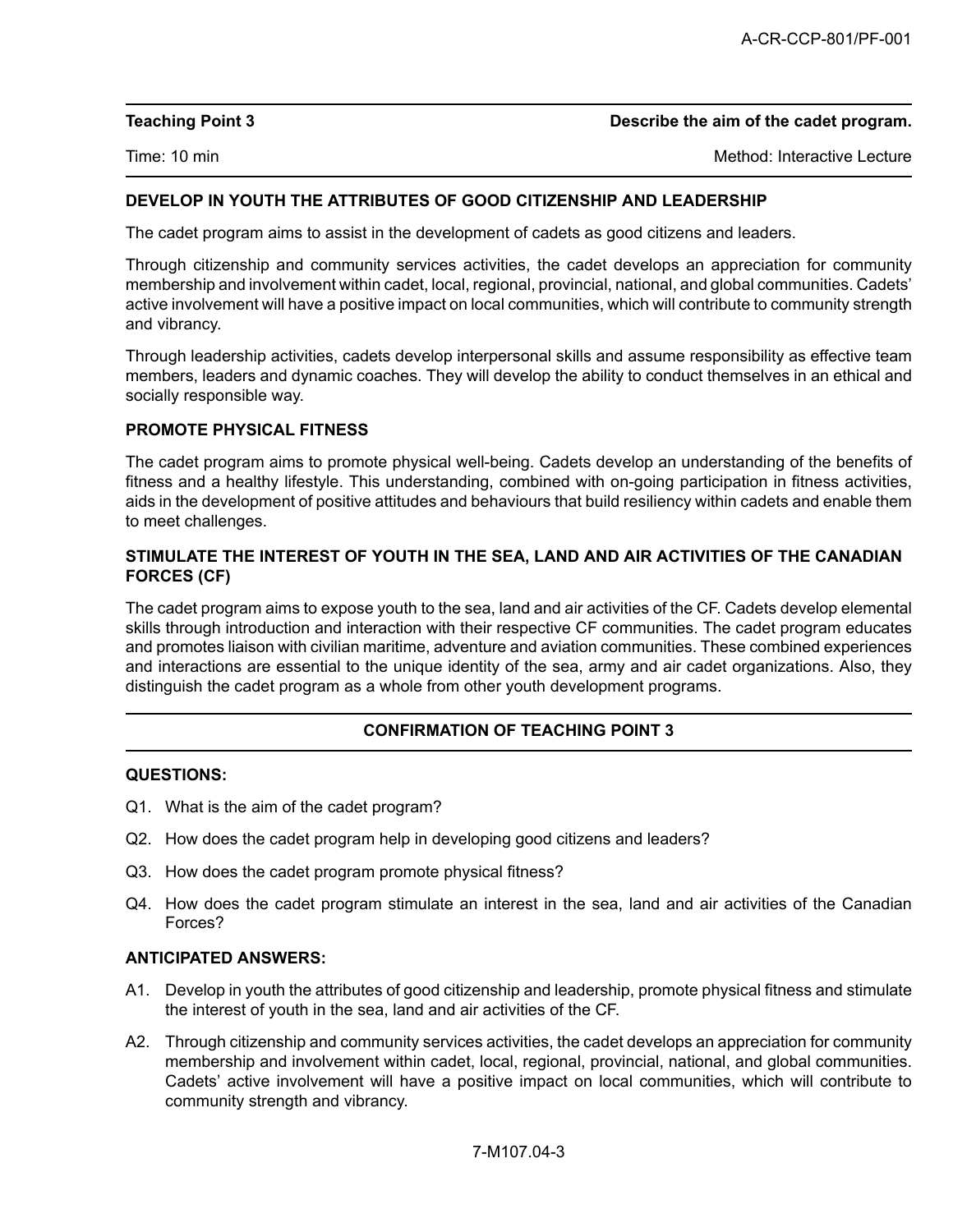#### **Teaching Point 3 Describe the aim of the cadet program.**

#### Time: 10 min Method: Interactive Lecture Communication of the Method: Interactive Lecture

### **DEVELOP IN YOUTH THE ATTRIBUTES OF GOOD CITIZENSHIP AND LEADERSHIP**

The cadet program aims to assist in the development of cadets as good citizens and leaders.

Through citizenship and community services activities, the cadet develops an appreciation for community membership and involvement within cadet, local, regional, provincial, national, and global communities. Cadets' active involvement will have a positive impact on local communities, which will contribute to community strength and vibrancy.

Through leadership activities, cadets develop interpersonal skills and assume responsibility as effective team members, leaders and dynamic coaches. They will develop the ability to conduct themselves in an ethical and socially responsible way.

# **PROMOTE PHYSICAL FITNESS**

The cadet program aims to promote physical well-being. Cadets develop an understanding of the benefits of fitness and a healthy lifestyle. This understanding, combined with on-going participation in fitness activities, aids in the development of positive attitudes and behaviours that build resiliency within cadets and enable them to meet challenges.

# **STIMULATE THE INTEREST OF YOUTH IN THE SEA, LAND AND AIR ACTIVITIES OF THE CANADIAN FORCES (CF)**

The cadet program aims to expose youth to the sea, land and air activities of the CF. Cadets develop elemental skills through introduction and interaction with their respective CF communities. The cadet program educates and promotes liaison with civilian maritime, adventure and aviation communities. These combined experiences and interactions are essential to the unique identity of the sea, army and air cadet organizations. Also, they distinguish the cadet program as a whole from other youth development programs.

## **CONFIRMATION OF TEACHING POINT 3**

#### **QUESTIONS:**

- Q1. What is the aim of the cadet program?
- Q2. How does the cadet program help in developing good citizens and leaders?
- Q3. How does the cadet program promote physical fitness?
- Q4. How does the cadet program stimulate an interest in the sea, land and air activities of the Canadian Forces?

#### **ANTICIPATED ANSWERS:**

- A1. Develop in youth the attributes of good citizenship and leadership, promote physical fitness and stimulate the interest of youth in the sea, land and air activities of the CF.
- A2. Through citizenship and community services activities, the cadet develops an appreciation for community membership and involvement within cadet, local, regional, provincial, national, and global communities. Cadets' active involvement will have a positive impact on local communities, which will contribute to community strength and vibrancy.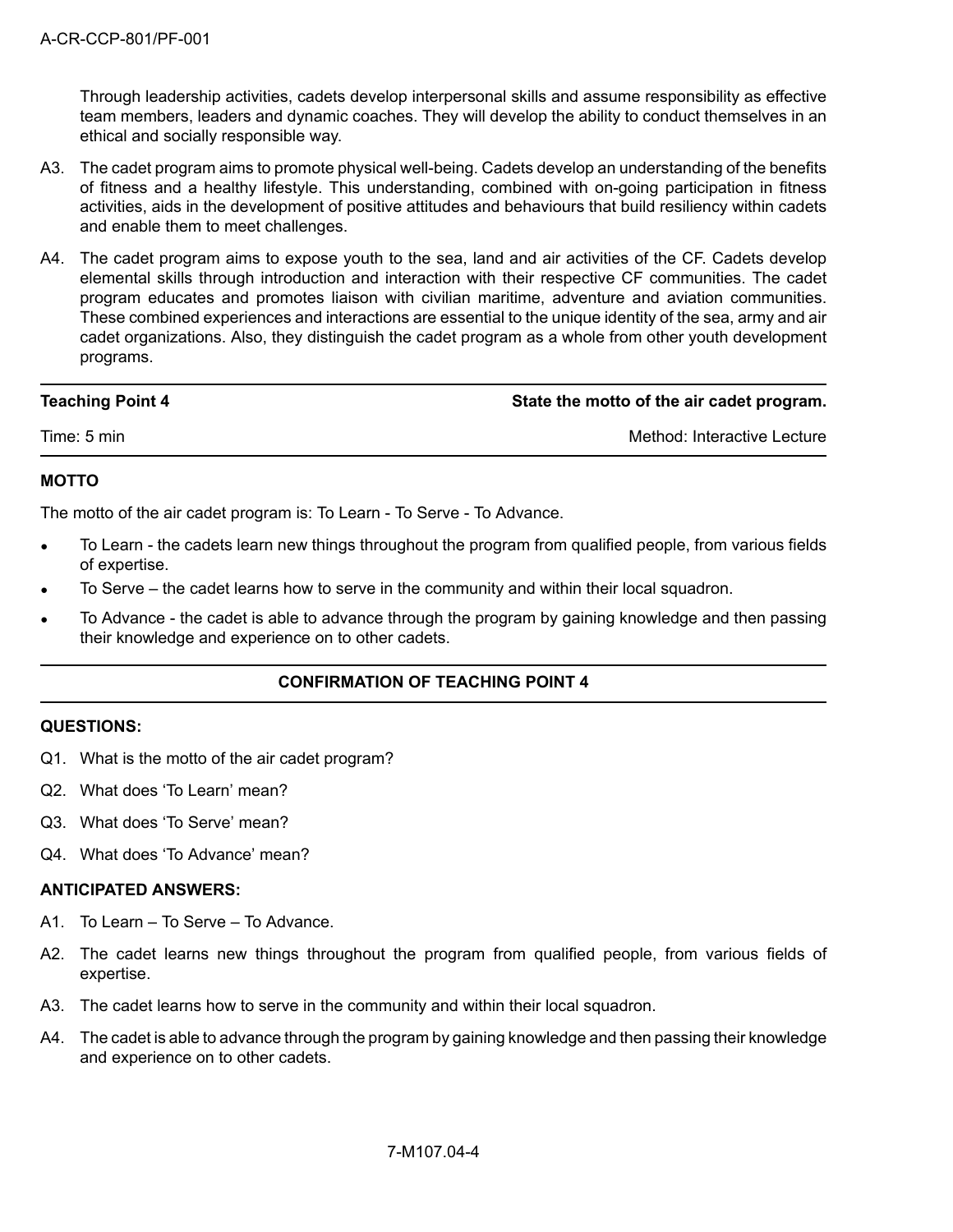Through leadership activities, cadets develop interpersonal skills and assume responsibility as effective team members, leaders and dynamic coaches. They will develop the ability to conduct themselves in an ethical and socially responsible way.

- A3. The cadet program aims to promote physical well-being. Cadets develop an understanding of the benefits of fitness and a healthy lifestyle. This understanding, combined with on-going participation in fitness activities, aids in the development of positive attitudes and behaviours that build resiliency within cadets and enable them to meet challenges.
- A4. The cadet program aims to expose youth to the sea, land and air activities of the CF. Cadets develop elemental skills through introduction and interaction with their respective CF communities. The cadet program educates and promotes liaison with civilian maritime, adventure and aviation communities. These combined experiences and interactions are essential to the unique identity of the sea, army and air cadet organizations. Also, they distinguish the cadet program as a whole from other youth development programs.

**Teaching Point 4 State the motto of the air cadet program.**

Time: 5 min Method: Interactive Lecture Company of Time: 5 min Method: Interactive Lecture

### **MOTTO**

The motto of the air cadet program is: To Learn - To Serve - To Advance.

- To Learn the cadets learn new things throughout the program from qualified people, from various fields of expertise.
- To Serve the cadet learns how to serve in the community and within their local squadron.
- To Advance the cadet is able to advance through the program by gaining knowledge and then passing their knowledge and experience on to other cadets.

### **CONFIRMATION OF TEACHING POINT 4**

### **QUESTIONS:**

- Q1. What is the motto of the air cadet program?
- Q2. What does 'To Learn' mean?
- Q3. What does 'To Serve' mean?
- Q4. What does 'To Advance' mean?

# **ANTICIPATED ANSWERS:**

- A1. To Learn To Serve To Advance.
- A2. The cadet learns new things throughout the program from qualified people, from various fields of expertise.
- A3. The cadet learns how to serve in the community and within their local squadron.
- A4. The cadet is able to advance through the program by gaining knowledge and then passing their knowledge and experience on to other cadets.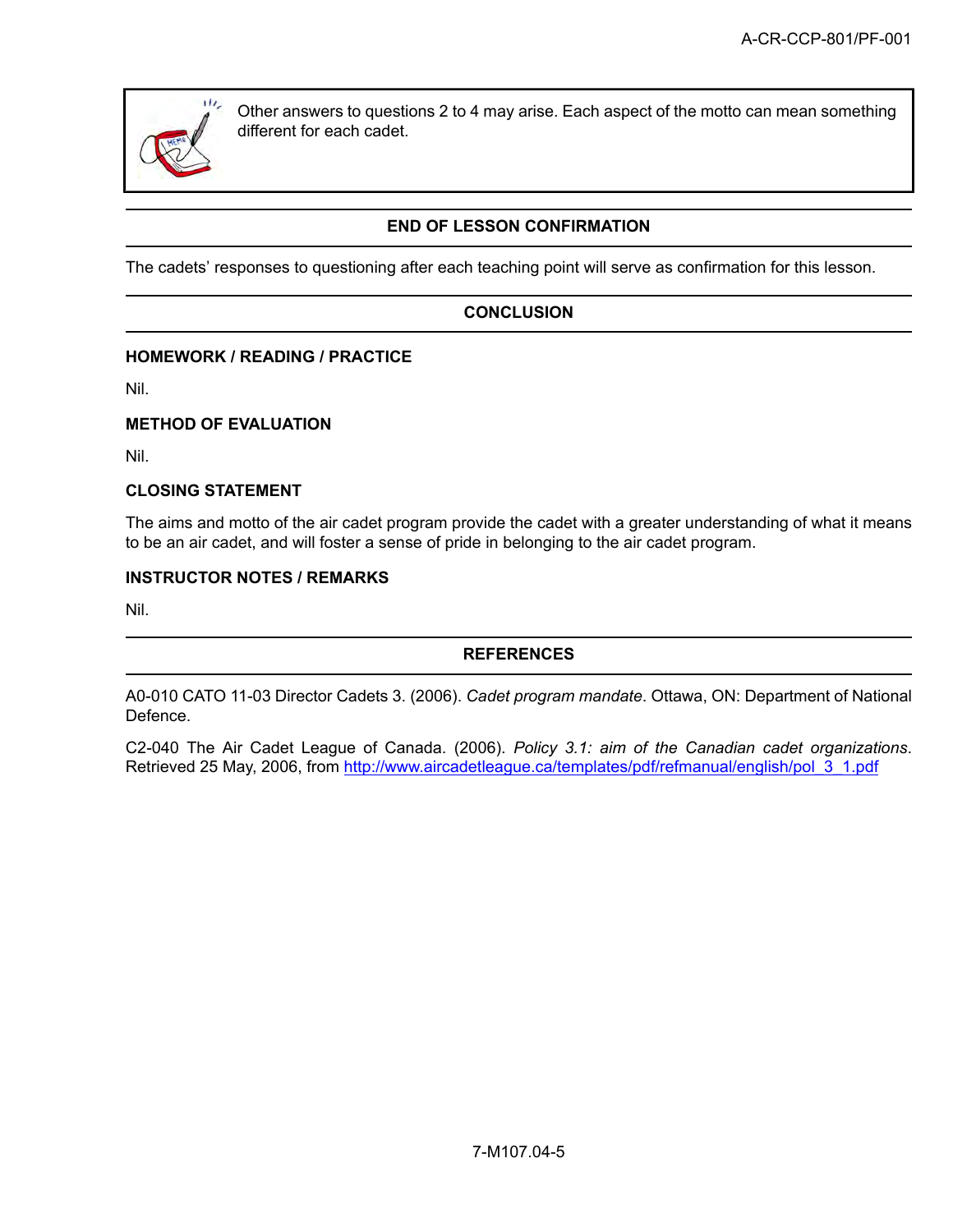

Other answers to questions 2 to 4 may arise. Each aspect of the motto can mean something different for each cadet.

# **END OF LESSON CONFIRMATION**

The cadets' responses to questioning after each teaching point will serve as confirmation for this lesson.

# **CONCLUSION**

#### **HOMEWORK / READING / PRACTICE**

Nil.

#### **METHOD OF EVALUATION**

Nil.

### **CLOSING STATEMENT**

The aims and motto of the air cadet program provide the cadet with a greater understanding of what it means to be an air cadet, and will foster a sense of pride in belonging to the air cadet program.

#### **INSTRUCTOR NOTES / REMARKS**

Nil.

# **REFERENCES**

A0-010 CATO 11-03 Director Cadets 3. (2006). *Cadet program mandate*. Ottawa, ON: Department of National Defence.

C2-040 The Air Cadet League of Canada. (2006). *Policy 3.1: aim of the Canadian cadet organizations*. Retrieved 25 May, 2006, from http://www.aircadetleague.ca/templates/pdf/refmanual/english/pol\_3\_1.pdf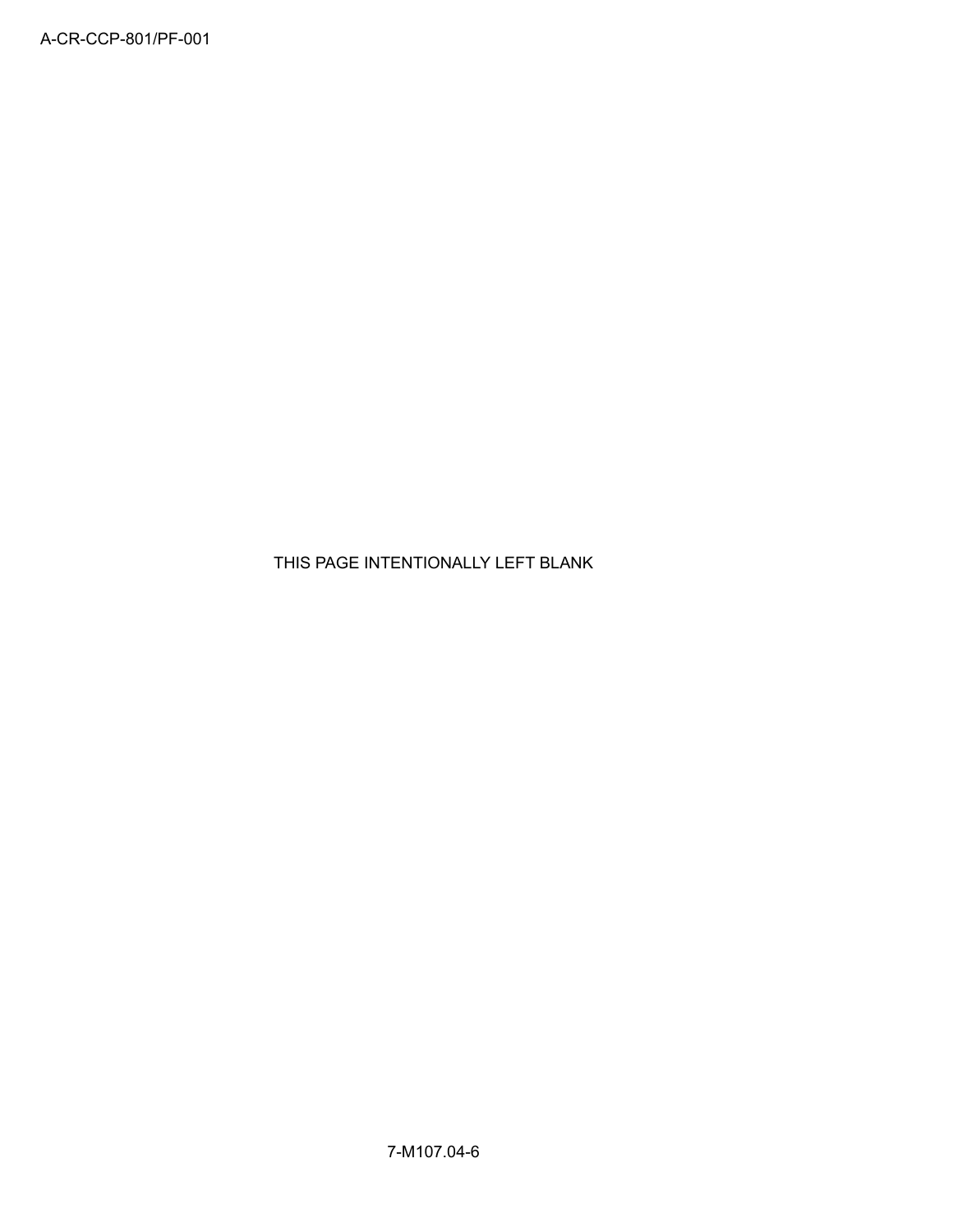THIS PAGE INTENTIONALLY LEFT BLANK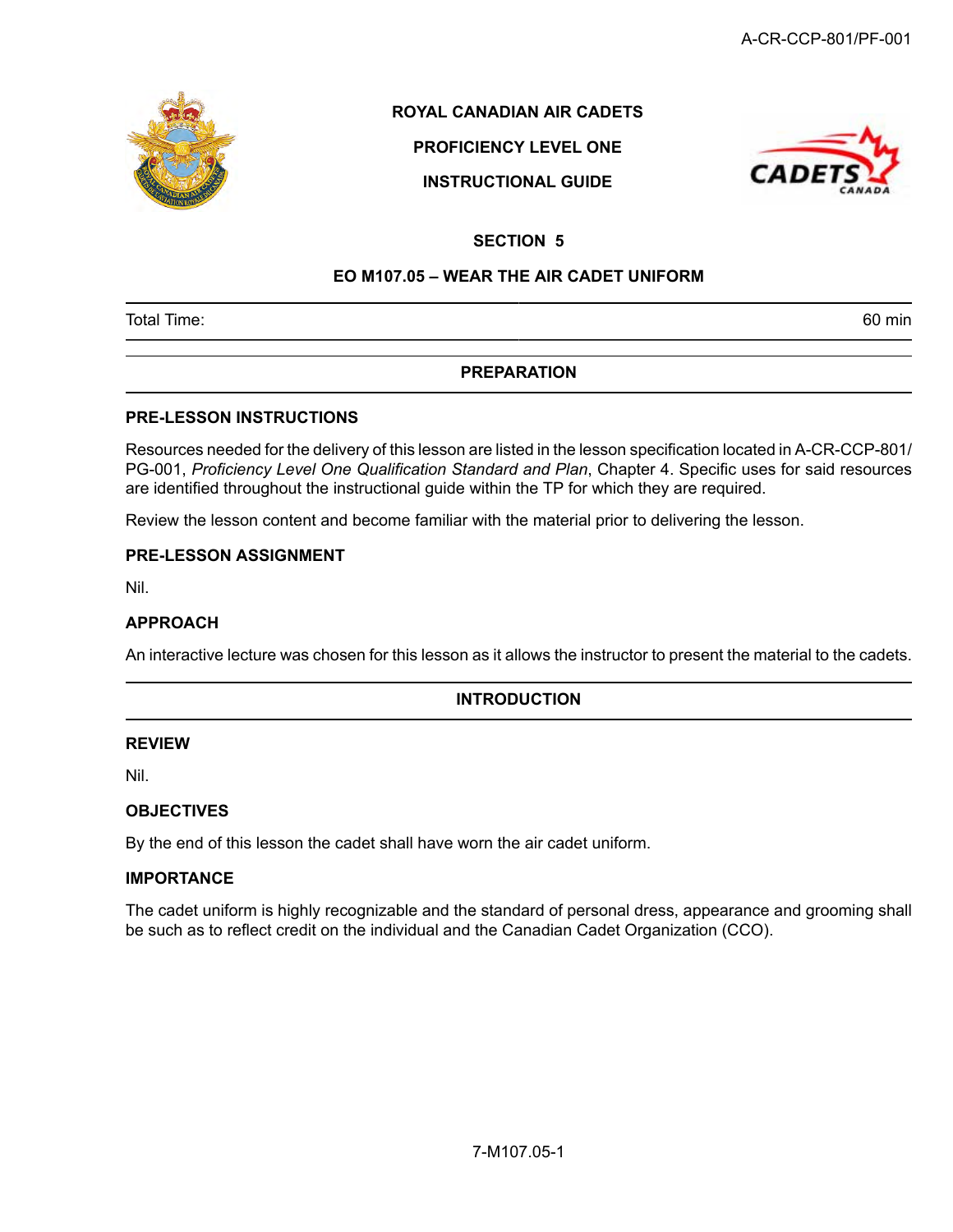

# **ROYAL CANADIAN AIR CADETS**

# **PROFICIENCY LEVEL ONE**

# **INSTRUCTIONAL GUIDE**



# **SECTION 5**

#### **EO M107.05 – WEAR THE AIR CADET UNIFORM**

Total Time: 60 min

### **PREPARATION**

#### **PRE-LESSON INSTRUCTIONS**

Resources needed for the delivery of this lesson are listed in the lesson specification located in A-CR-CCP-801/ PG-001, *Proficiency Level One Qualification Standard and Plan*, Chapter 4. Specific uses for said resources are identified throughout the instructional guide within the TP for which they are required.

Review the lesson content and become familiar with the material prior to delivering the lesson.

#### **PRE-LESSON ASSIGNMENT**

Nil.

#### **APPROACH**

An interactive lecture was chosen for this lesson as it allows the instructor to present the material to the cadets.

### **INTRODUCTION**

#### **REVIEW**

Nil.

### **OBJECTIVES**

By the end of this lesson the cadet shall have worn the air cadet uniform.

#### **IMPORTANCE**

The cadet uniform is highly recognizable and the standard of personal dress, appearance and grooming shall be such as to reflect credit on the individual and the Canadian Cadet Organization (CCO).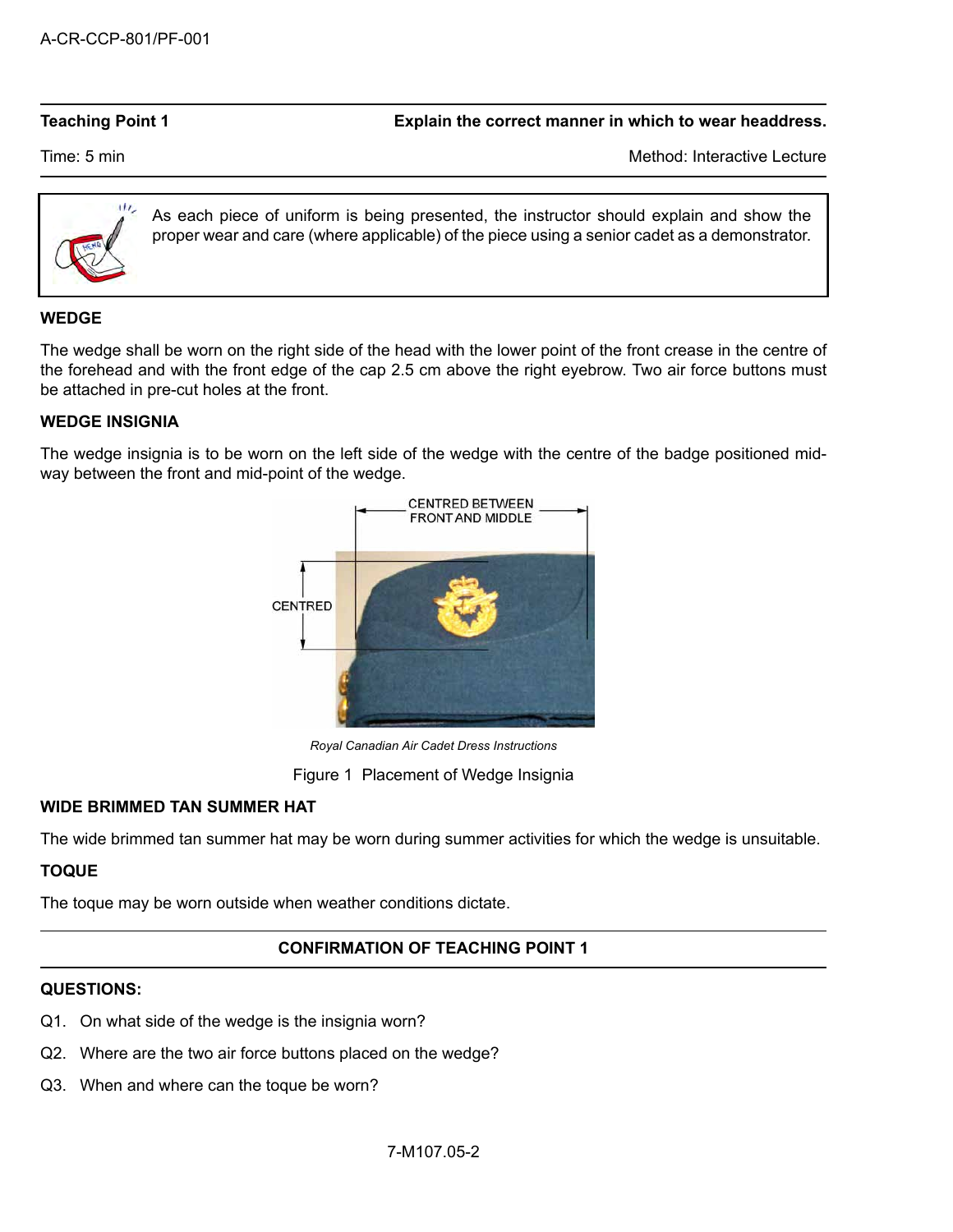**Teaching Point 1 Explain the correct manner in which to wear headdress.**

Time: 5 min Method: Interactive Lecture Communication of the Method: Interactive Lecture



As each piece of uniform is being presented, the instructor should explain and show the proper wear and care (where applicable) of the piece using a senior cadet as a demonstrator.

### **WEDGE**

The wedge shall be worn on the right side of the head with the lower point of the front crease in the centre of the forehead and with the front edge of the cap 2.5 cm above the right eyebrow. Two air force buttons must be attached in pre-cut holes at the front.

# **WEDGE INSIGNIA**

The wedge insignia is to be worn on the left side of the wedge with the centre of the badge positioned midway between the front and mid-point of the wedge.



*Royal Canadian Air Cadet Dress Instructions*

Figure 1 Placement of Wedge Insignia

## **WIDE BRIMMED TAN SUMMER HAT**

The wide brimmed tan summer hat may be worn during summer activities for which the wedge is unsuitable.

### **TOQUE**

The toque may be worn outside when weather conditions dictate.

# **CONFIRMATION OF TEACHING POINT 1**

#### **QUESTIONS:**

- Q1. On what side of the wedge is the insignia worn?
- Q2. Where are the two air force buttons placed on the wedge?
- Q3. When and where can the toque be worn?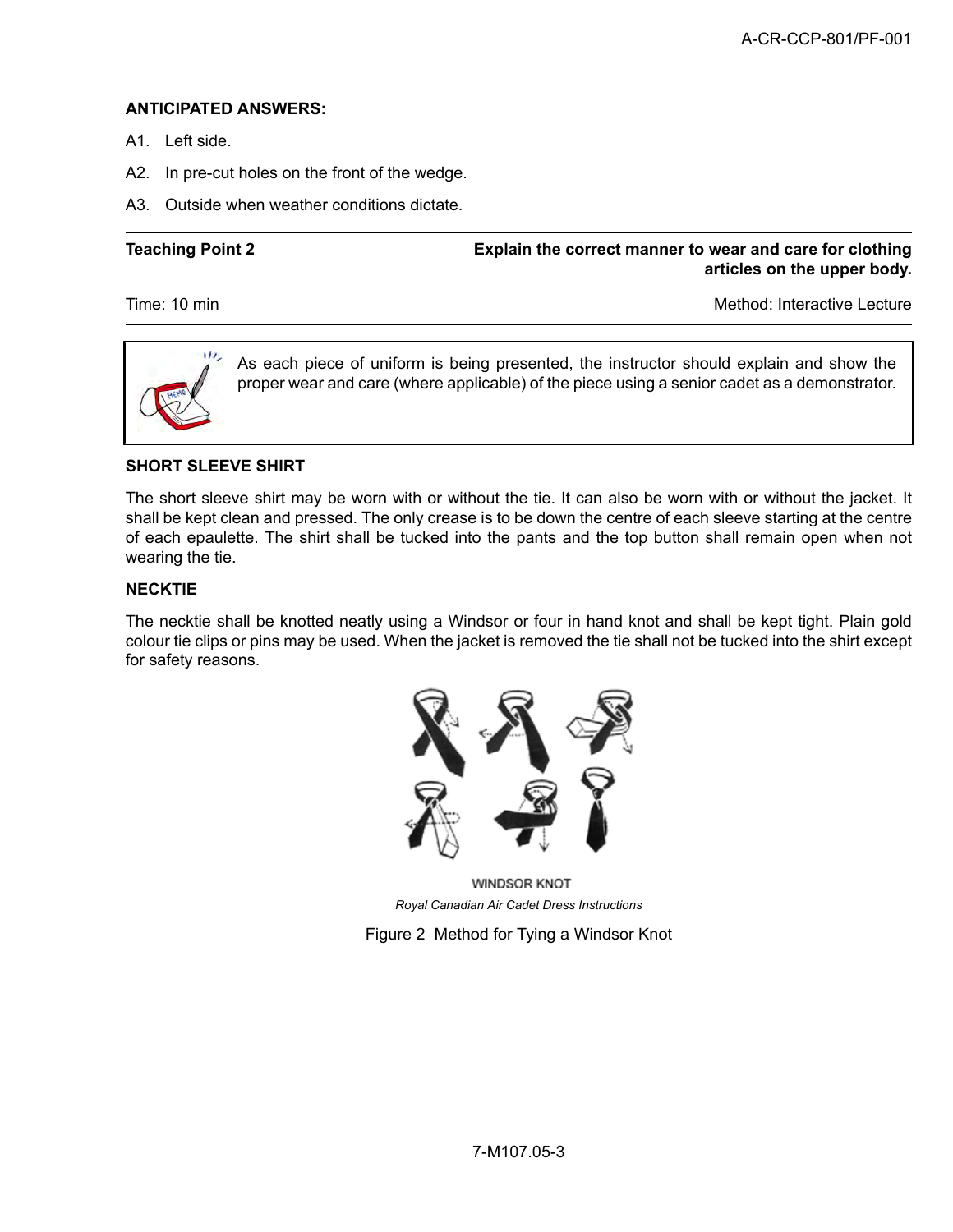## **ANTICIPATED ANSWERS:**

- A1. Left side.
- A2. In pre-cut holes on the front of the wedge.
- A3. Outside when weather conditions dictate.

# **Teaching Point 2 Explain the correct manner to wear and care for clothing articles on the upper body.**

Time: 10 min Method: Interactive Lecture Communication of the Method: Interactive Lecture



As each piece of uniform is being presented, the instructor should explain and show the proper wear and care (where applicable) of the piece using a senior cadet as a demonstrator.

# **SHORT SLEEVE SHIRT**

The short sleeve shirt may be worn with or without the tie. It can also be worn with or without the jacket. It shall be kept clean and pressed. The only crease is to be down the centre of each sleeve starting at the centre of each epaulette. The shirt shall be tucked into the pants and the top button shall remain open when not wearing the tie.

# **NECKTIE**

The necktie shall be knotted neatly using a Windsor or four in hand knot and shall be kept tight. Plain gold colour tie clips or pins may be used. When the jacket is removed the tie shall not be tucked into the shirt except for safety reasons.



WINDSOR KNOT *Royal Canadian Air Cadet Dress Instructions*

Figure 2 Method for Tying a Windsor Knot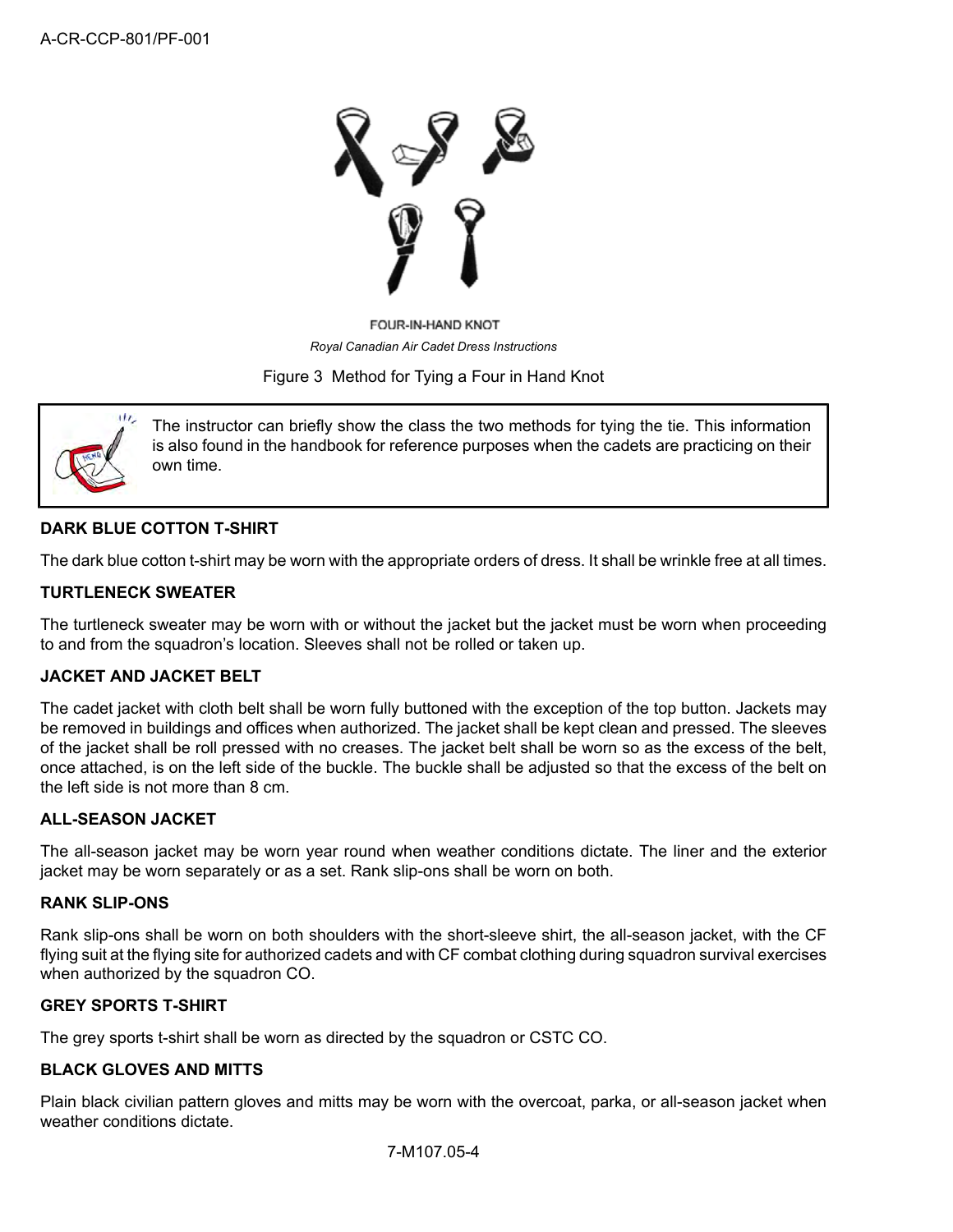

FOUR-IN-HAND KNOT *Royal Canadian Air Cadet Dress Instructions*

Figure 3 Method for Tying a Four in Hand Knot



The instructor can briefly show the class the two methods for tying the tie. This information is also found in the handbook for reference purposes when the cadets are practicing on their own time.

# **DARK BLUE COTTON T-SHIRT**

The dark blue cotton t-shirt may be worn with the appropriate orders of dress. It shall be wrinkle free at all times.

### **TURTLENECK SWEATER**

The turtleneck sweater may be worn with or without the jacket but the jacket must be worn when proceeding to and from the squadron's location. Sleeves shall not be rolled or taken up.

# **JACKET AND JACKET BELT**

The cadet jacket with cloth belt shall be worn fully buttoned with the exception of the top button. Jackets may be removed in buildings and offices when authorized. The jacket shall be kept clean and pressed. The sleeves of the jacket shall be roll pressed with no creases. The jacket belt shall be worn so as the excess of the belt, once attached, is on the left side of the buckle. The buckle shall be adjusted so that the excess of the belt on the left side is not more than 8 cm.

### **ALL-SEASON JACKET**

The all-season jacket may be worn year round when weather conditions dictate. The liner and the exterior jacket may be worn separately or as a set. Rank slip-ons shall be worn on both.

### **RANK SLIP-ONS**

Rank slip-ons shall be worn on both shoulders with the short-sleeve shirt, the all-season jacket, with the CF flying suit at the flying site for authorized cadets and with CF combat clothing during squadron survival exercises when authorized by the squadron CO.

### **GREY SPORTS T-SHIRT**

The grey sports t-shirt shall be worn as directed by the squadron or CSTC CO.

### **BLACK GLOVES AND MITTS**

Plain black civilian pattern gloves and mitts may be worn with the overcoat, parka, or all-season jacket when weather conditions dictate.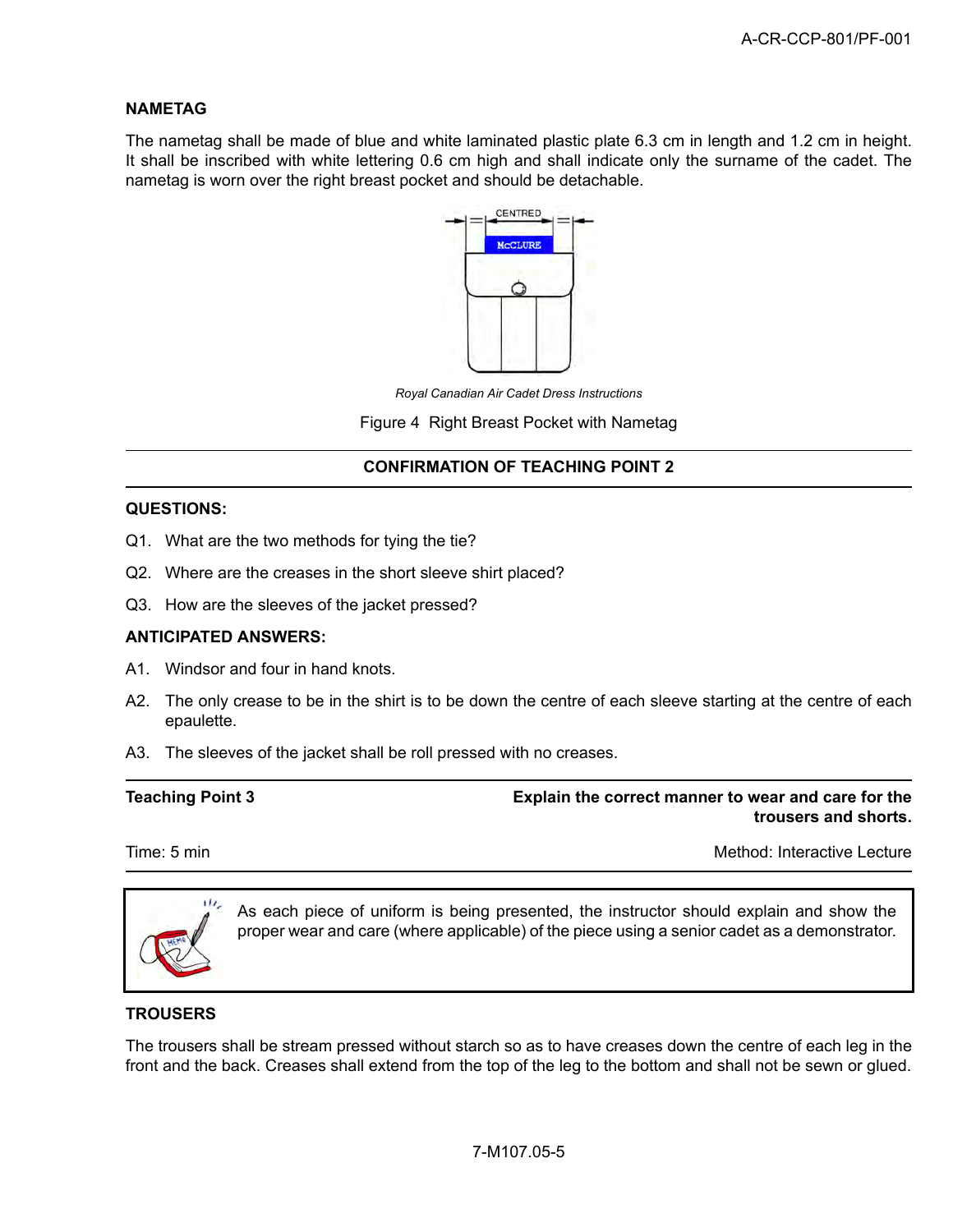### **NAMETAG**

The nametag shall be made of blue and white laminated plastic plate 6.3 cm in length and 1.2 cm in height. It shall be inscribed with white lettering 0.6 cm high and shall indicate only the surname of the cadet. The nametag is worn over the right breast pocket and should be detachable.



*Royal Canadian Air Cadet Dress Instructions*

Figure 4 Right Breast Pocket with Nametag

### **CONFIRMATION OF TEACHING POINT 2**

#### **QUESTIONS:**

- Q1. What are the two methods for tying the tie?
- Q2. Where are the creases in the short sleeve shirt placed?
- Q3. How are the sleeves of the jacket pressed?

### **ANTICIPATED ANSWERS:**

- A1. Windsor and four in hand knots.
- A2. The only crease to be in the shirt is to be down the centre of each sleeve starting at the centre of each epaulette.
- A3. The sleeves of the jacket shall be roll pressed with no creases.

**Teaching Point 3 Explain the correct manner to wear and care for the trousers and shorts.**

Time: 5 min Method: Interactive Lecture Contractive Lecture Contractive Lecture Contractive Lecture



As each piece of uniform is being presented, the instructor should explain and show the proper wear and care (where applicable) of the piece using a senior cadet as a demonstrator.

### **TROUSERS**

The trousers shall be stream pressed without starch so as to have creases down the centre of each leg in the front and the back. Creases shall extend from the top of the leg to the bottom and shall not be sewn or glued.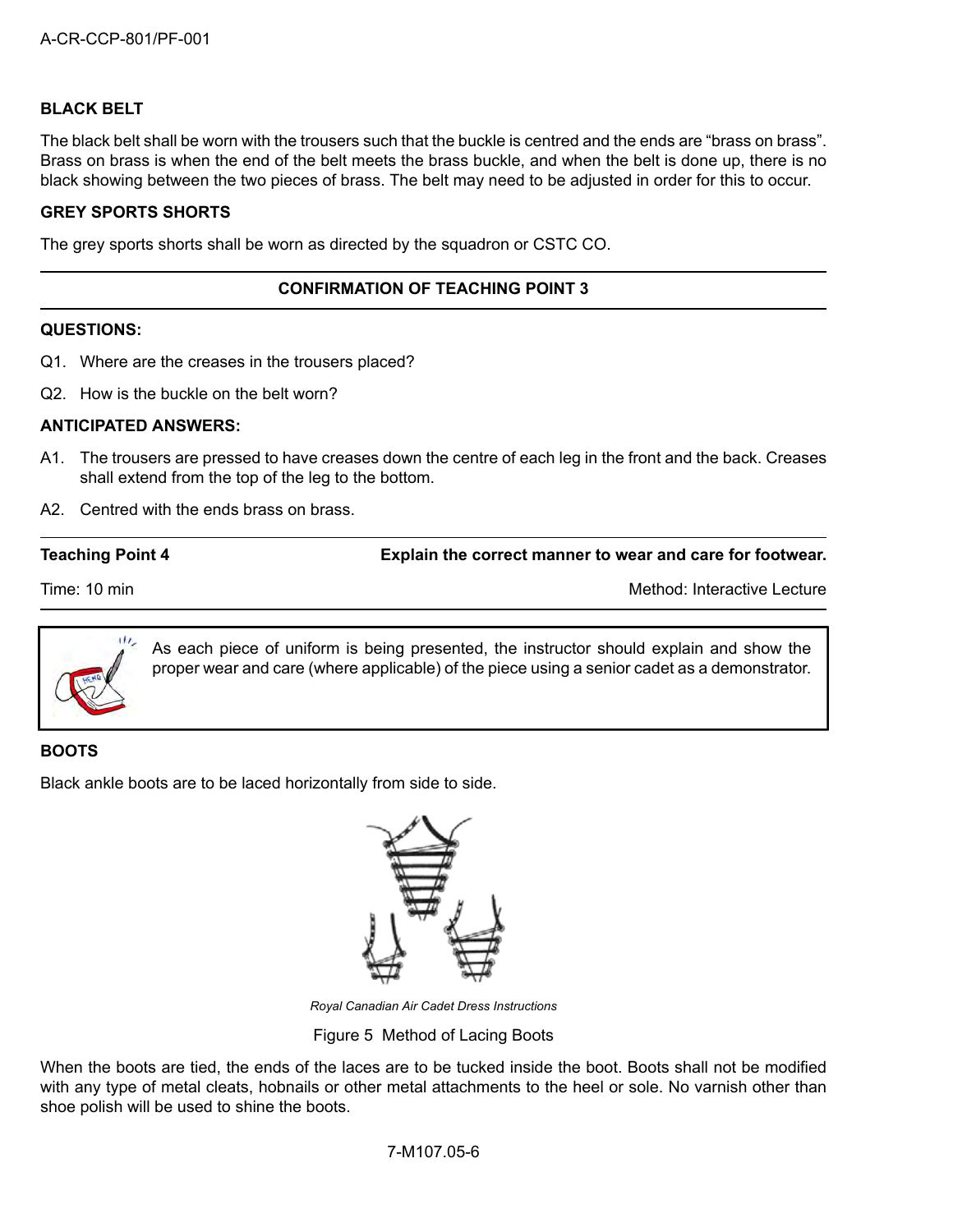## **BLACK BELT**

The black belt shall be worn with the trousers such that the buckle is centred and the ends are "brass on brass". Brass on brass is when the end of the belt meets the brass buckle, and when the belt is done up, there is no black showing between the two pieces of brass. The belt may need to be adjusted in order for this to occur.

#### **GREY SPORTS SHORTS**

The grey sports shorts shall be worn as directed by the squadron or CSTC CO.

### **CONFIRMATION OF TEACHING POINT 3**

#### **QUESTIONS:**

- Q1. Where are the creases in the trousers placed?
- Q2. How is the buckle on the belt worn?

#### **ANTICIPATED ANSWERS:**

- A1. The trousers are pressed to have creases down the centre of each leg in the front and the back. Creases shall extend from the top of the leg to the bottom.
- A2. Centred with the ends brass on brass.

**Teaching Point 4 Explain the correct manner to wear and care for footwear.**

Time: 10 min Method: Interactive Lecture Communication of the Method: Interactive Lecture



As each piece of uniform is being presented, the instructor should explain and show the proper wear and care (where applicable) of the piece using a senior cadet as a demonstrator.

### **BOOTS**

Black ankle boots are to be laced horizontally from side to side.



*Royal Canadian Air Cadet Dress Instructions*

Figure 5 Method of Lacing Boots

When the boots are tied, the ends of the laces are to be tucked inside the boot. Boots shall not be modified with any type of metal cleats, hobnails or other metal attachments to the heel or sole. No varnish other than shoe polish will be used to shine the boots.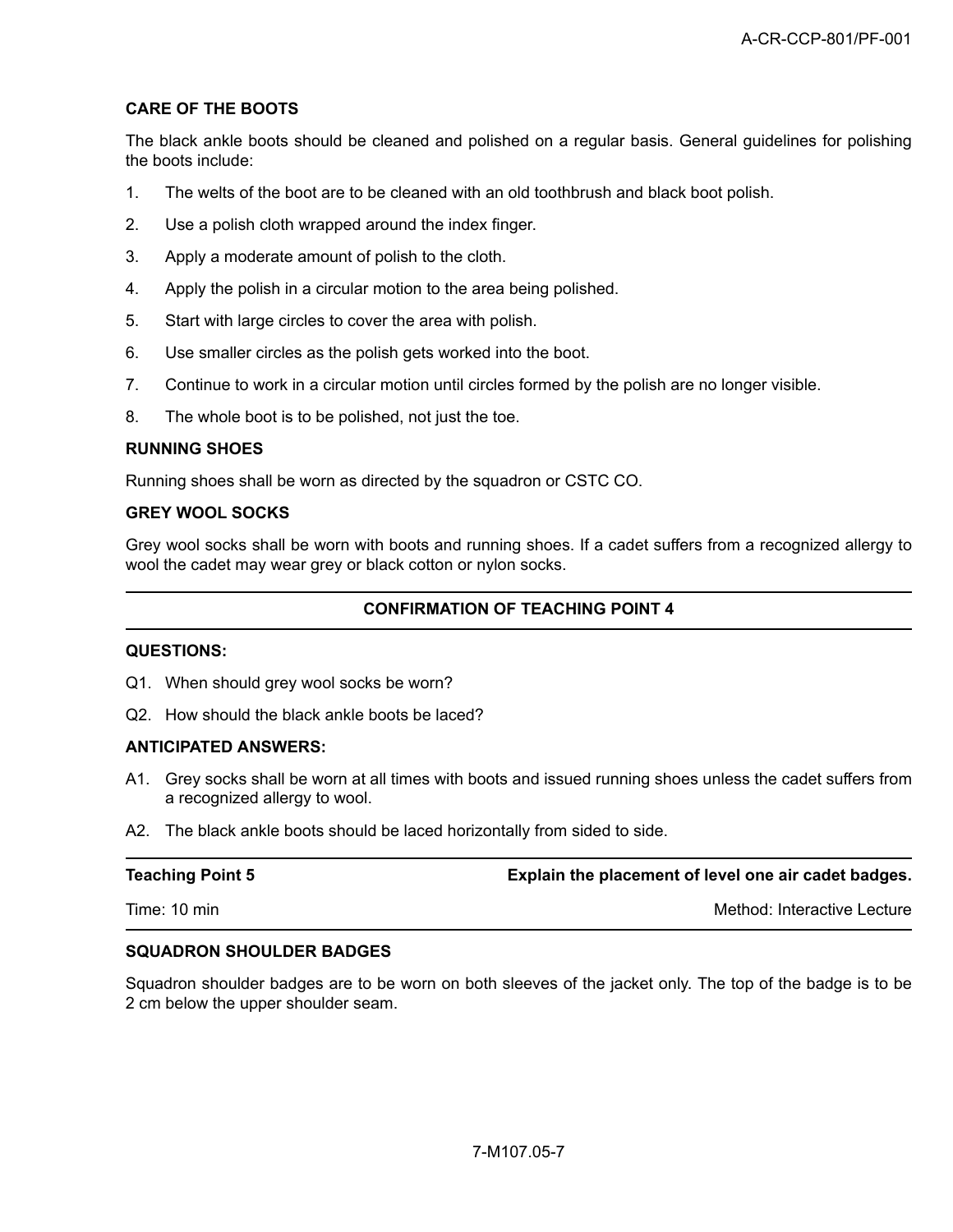## **CARE OF THE BOOTS**

The black ankle boots should be cleaned and polished on a regular basis. General guidelines for polishing the boots include:

- 1. The welts of the boot are to be cleaned with an old toothbrush and black boot polish.
- 2. Use a polish cloth wrapped around the index finger.
- 3. Apply a moderate amount of polish to the cloth.
- 4. Apply the polish in a circular motion to the area being polished.
- 5. Start with large circles to cover the area with polish.
- 6. Use smaller circles as the polish gets worked into the boot.
- 7. Continue to work in a circular motion until circles formed by the polish are no longer visible.
- 8. The whole boot is to be polished, not just the toe.

#### **RUNNING SHOES**

Running shoes shall be worn as directed by the squadron or CSTC CO.

### **GREY WOOL SOCKS**

Grey wool socks shall be worn with boots and running shoes. If a cadet suffers from a recognized allergy to wool the cadet may wear grey or black cotton or nylon socks.

## **CONFIRMATION OF TEACHING POINT 4**

#### **QUESTIONS:**

- Q1. When should grey wool socks be worn?
- Q2. How should the black ankle boots be laced?

#### **ANTICIPATED ANSWERS:**

- A1. Grey socks shall be worn at all times with boots and issued running shoes unless the cadet suffers from a recognized allergy to wool.
- A2. The black ankle boots should be laced horizontally from sided to side.

**Teaching Point 5 Explain the placement of level one air cadet badges.**

Time: 10 min Method: Interactive Lecture Communication of the Method: Interactive Lecture

### **SQUADRON SHOULDER BADGES**

Squadron shoulder badges are to be worn on both sleeves of the jacket only. The top of the badge is to be 2 cm below the upper shoulder seam.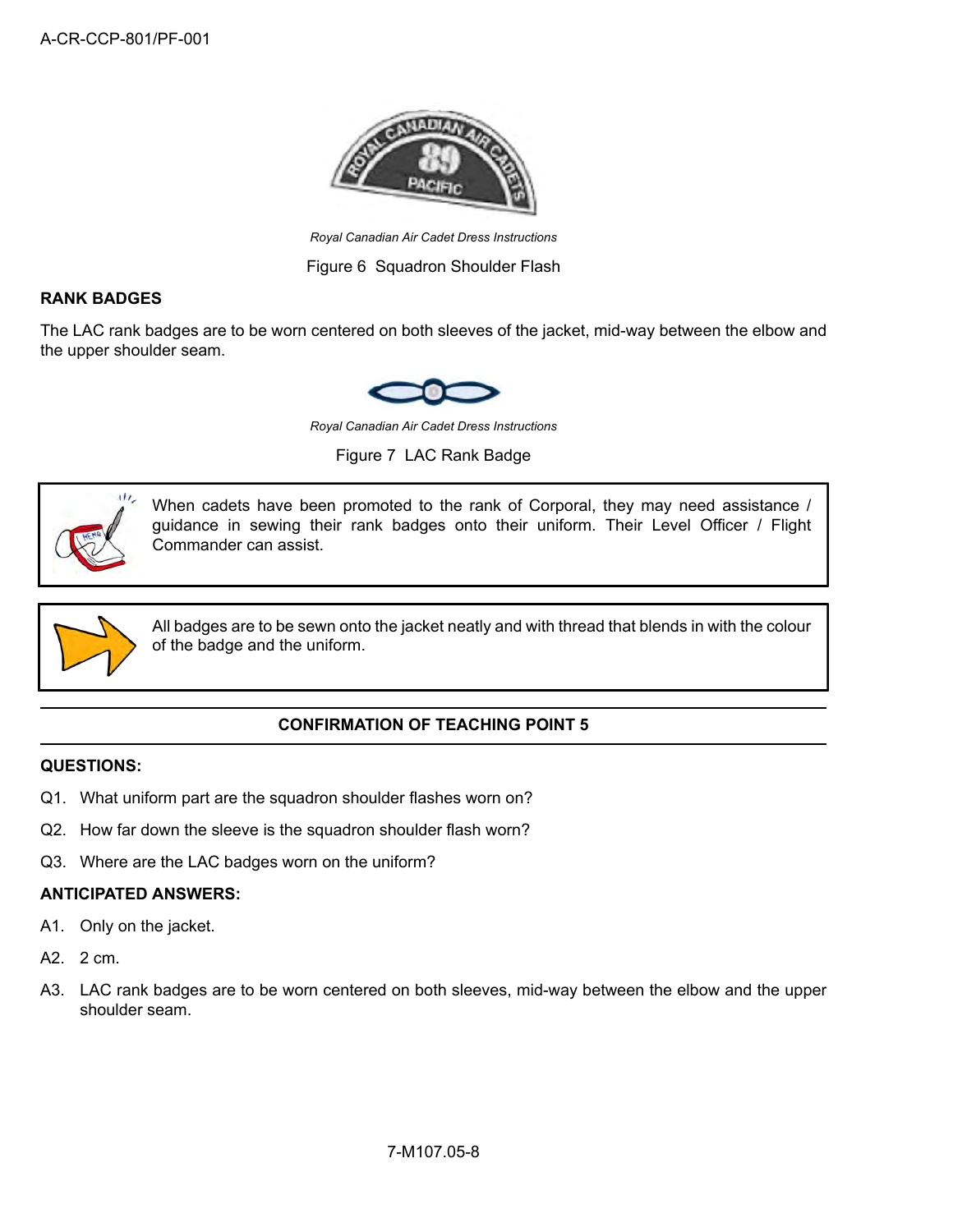

*Royal Canadian Air Cadet Dress Instructions*

Figure 6 Squadron Shoulder Flash

## **RANK BADGES**

The LAC rank badges are to be worn centered on both sleeves of the jacket, mid-way between the elbow and the upper shoulder seam.



*Royal Canadian Air Cadet Dress Instructions*

Figure 7 LAC Rank Badge



When cadets have been promoted to the rank of Corporal, they may need assistance / guidance in sewing their rank badges onto their uniform. Their Level Officer / Flight Commander can assist.



All badges are to be sewn onto the jacket neatly and with thread that blends in with the colour of the badge and the uniform.

## **CONFIRMATION OF TEACHING POINT 5**

### **QUESTIONS:**

- Q1. What uniform part are the squadron shoulder flashes worn on?
- Q2. How far down the sleeve is the squadron shoulder flash worn?
- Q3. Where are the LAC badges worn on the uniform?

### **ANTICIPATED ANSWERS:**

- A1. Only on the jacket.
- A2. 2 cm.
- A3. LAC rank badges are to be worn centered on both sleeves, mid-way between the elbow and the upper shoulder seam.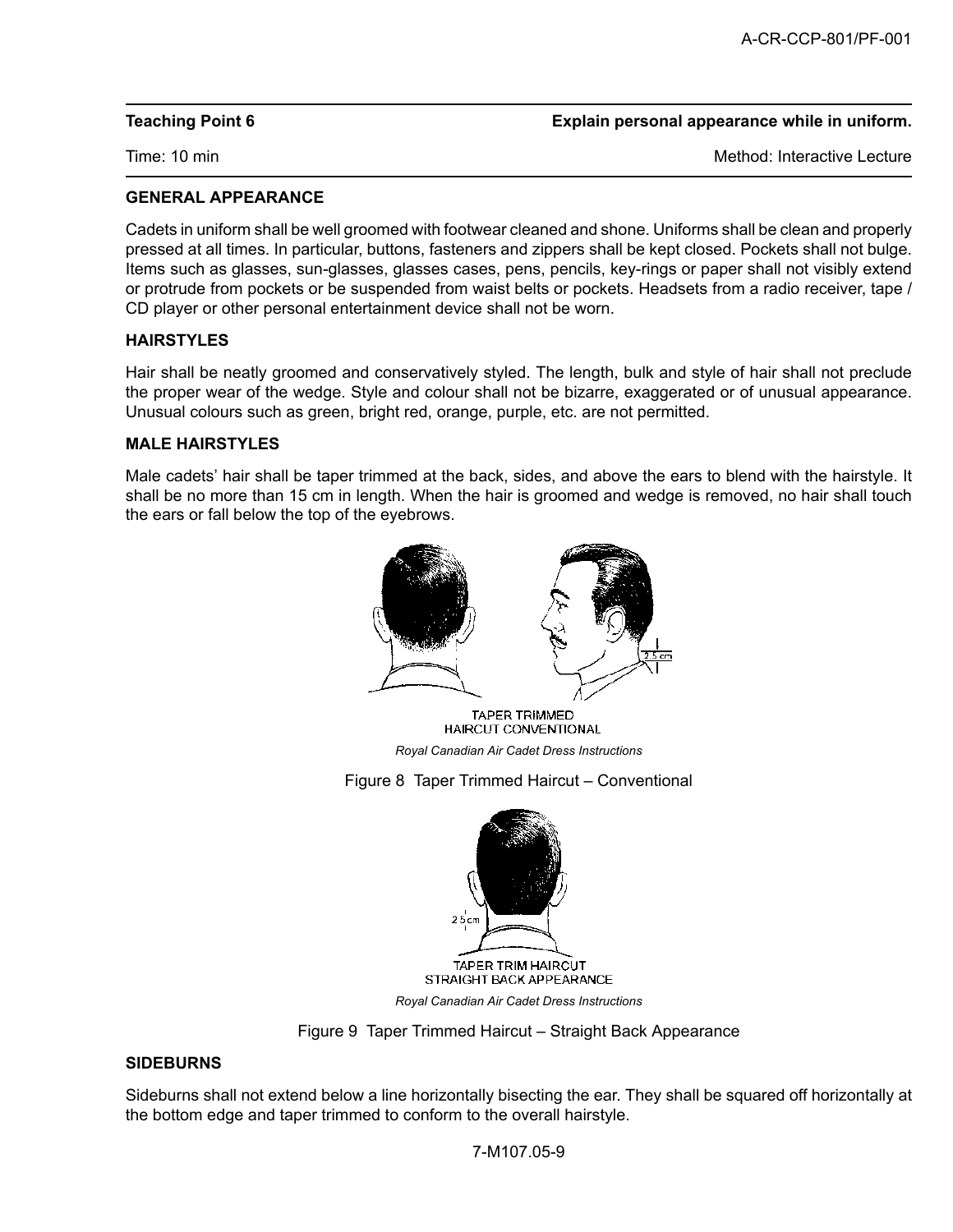#### **Teaching Point 6 Explain personal appearance while in uniform.**

Time: 10 min Method: Interactive Lecture Communication of the Method: Interactive Lecture

#### **GENERAL APPEARANCE**

Cadets in uniform shall be well groomed with footwear cleaned and shone. Uniforms shall be clean and properly pressed at all times. In particular, buttons, fasteners and zippers shall be kept closed. Pockets shall not bulge. Items such as glasses, sun-glasses, glasses cases, pens, pencils, key-rings or paper shall not visibly extend or protrude from pockets or be suspended from waist belts or pockets. Headsets from a radio receiver, tape / CD player or other personal entertainment device shall not be worn.

#### **HAIRSTYLES**

Hair shall be neatly groomed and conservatively styled. The length, bulk and style of hair shall not preclude the proper wear of the wedge. Style and colour shall not be bizarre, exaggerated or of unusual appearance. Unusual colours such as green, bright red, orange, purple, etc. are not permitted.

#### **MALE HAIRSTYLES**

Male cadets' hair shall be taper trimmed at the back, sides, and above the ears to blend with the hairstyle. It shall be no more than 15 cm in length. When the hair is groomed and wedge is removed, no hair shall touch the ears or fall below the top of the eyebrows.



HAIRCUT CONVENTIONAL *Royal Canadian Air Cadet Dress Instructions*

Figure 8 Taper Trimmed Haircut – Conventional



Figure 9 Taper Trimmed Haircut – Straight Back Appearance

## **SIDEBURNS**

Sideburns shall not extend below a line horizontally bisecting the ear. They shall be squared off horizontally at the bottom edge and taper trimmed to conform to the overall hairstyle.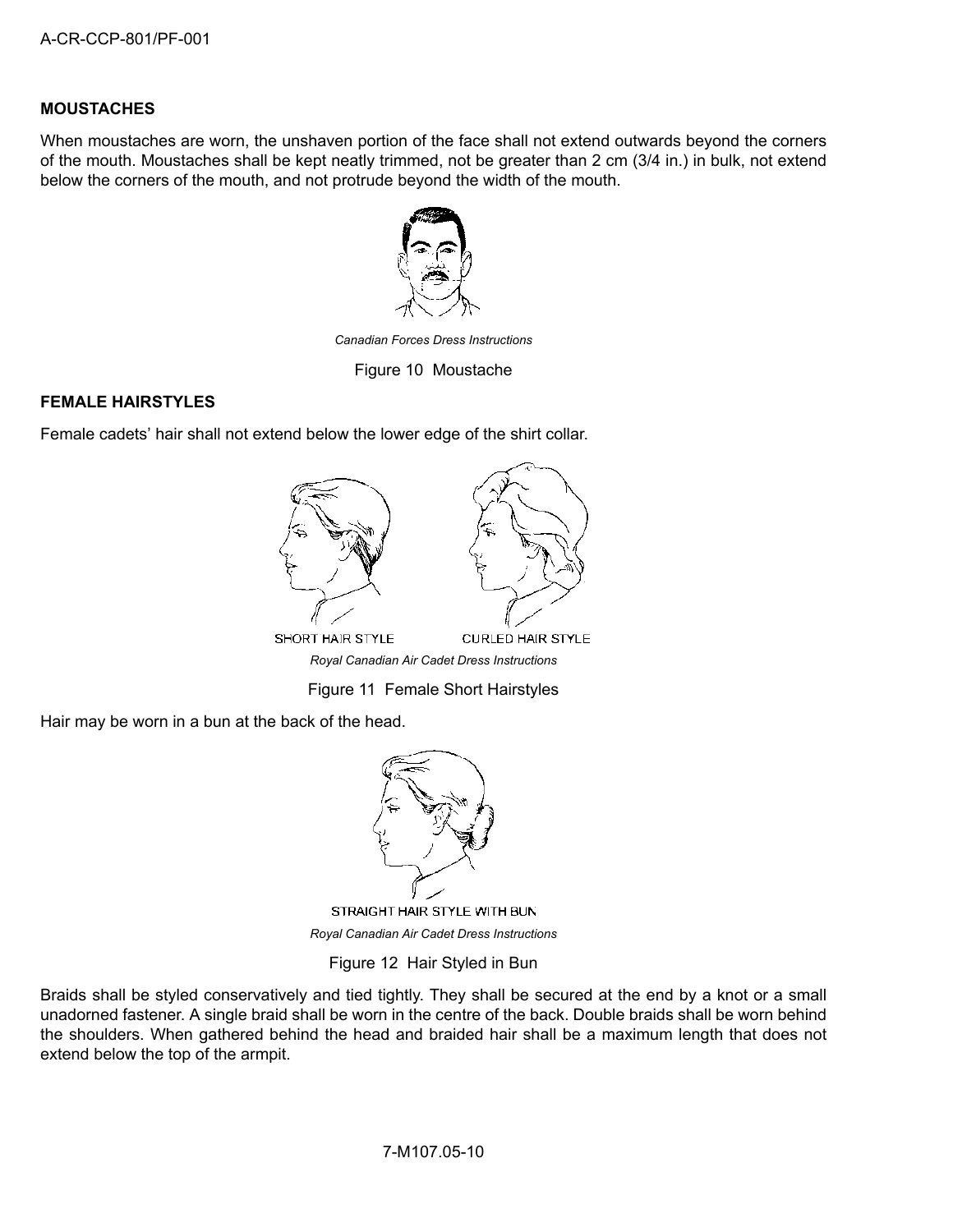## **MOUSTACHES**

When moustaches are worn, the unshaven portion of the face shall not extend outwards beyond the corners of the mouth. Moustaches shall be kept neatly trimmed, not be greater than 2 cm (3/4 in.) in bulk, not extend below the corners of the mouth, and not protrude beyond the width of the mouth.

![](_page_41_Picture_3.jpeg)

*Canadian Forces Dress Instructions*

Figure 10 Moustache

### **FEMALE HAIRSTYLES**

Female cadets' hair shall not extend below the lower edge of the shirt collar.

![](_page_41_Figure_8.jpeg)

Hair may be worn in a bun at the back of the head.

![](_page_41_Picture_10.jpeg)

STRAIGHT HAIR STYLE WITH BUN *Royal Canadian Air Cadet Dress Instructions*

Figure 12 Hair Styled in Bun

Braids shall be styled conservatively and tied tightly. They shall be secured at the end by a knot or a small unadorned fastener. A single braid shall be worn in the centre of the back. Double braids shall be worn behind the shoulders. When gathered behind the head and braided hair shall be a maximum length that does not extend below the top of the armpit.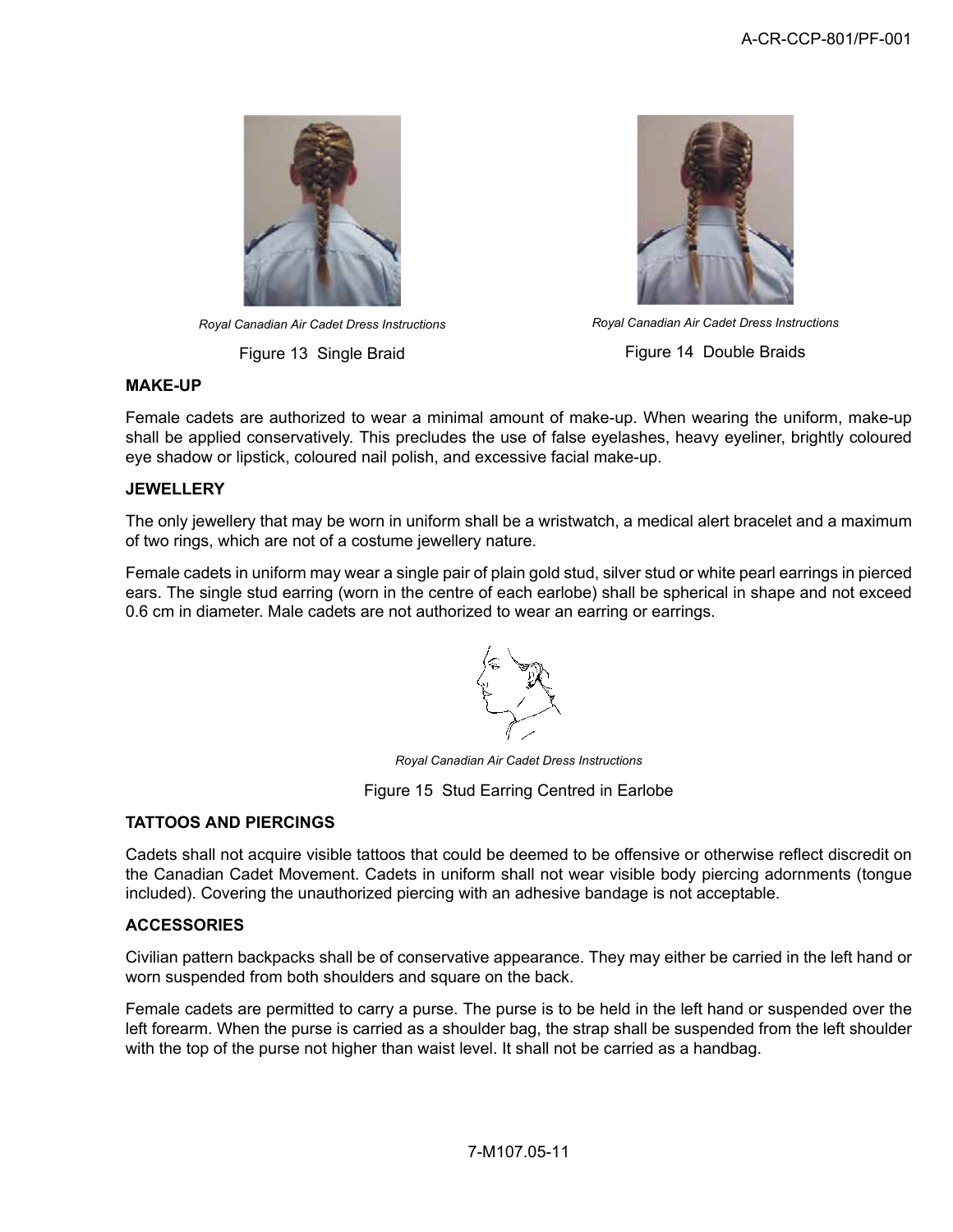![](_page_42_Picture_1.jpeg)

*Royal Canadian Air Cadet Dress Instructions*

Figure 13 Single Braid

![](_page_42_Picture_4.jpeg)

*Royal Canadian Air Cadet Dress Instructions*

Figure 14 Double Braids

### **MAKE-UP**

Female cadets are authorized to wear a minimal amount of make-up. When wearing the uniform, make-up shall be applied conservatively. This precludes the use of false eyelashes, heavy eyeliner, brightly coloured eye shadow or lipstick, coloured nail polish, and excessive facial make-up.

## **JEWELLERY**

The only jewellery that may be worn in uniform shall be a wristwatch, a medical alert bracelet and a maximum of two rings, which are not of a costume jewellery nature.

Female cadets in uniform may wear a single pair of plain gold stud, silver stud or white pearl earrings in pierced ears. The single stud earring (worn in the centre of each earlobe) shall be spherical in shape and not exceed 0.6 cm in diameter. Male cadets are not authorized to wear an earring or earrings.

![](_page_42_Picture_12.jpeg)

*Royal Canadian Air Cadet Dress Instructions*

Figure 15 Stud Earring Centred in Earlobe

## **TATTOOS AND PIERCINGS**

Cadets shall not acquire visible tattoos that could be deemed to be offensive or otherwise reflect discredit on the Canadian Cadet Movement. Cadets in uniform shall not wear visible body piercing adornments (tongue included). Covering the unauthorized piercing with an adhesive bandage is not acceptable.

## **ACCESSORIES**

Civilian pattern backpacks shall be of conservative appearance. They may either be carried in the left hand or worn suspended from both shoulders and square on the back.

Female cadets are permitted to carry a purse. The purse is to be held in the left hand or suspended over the left forearm. When the purse is carried as a shoulder bag, the strap shall be suspended from the left shoulder with the top of the purse not higher than waist level. It shall not be carried as a handbag.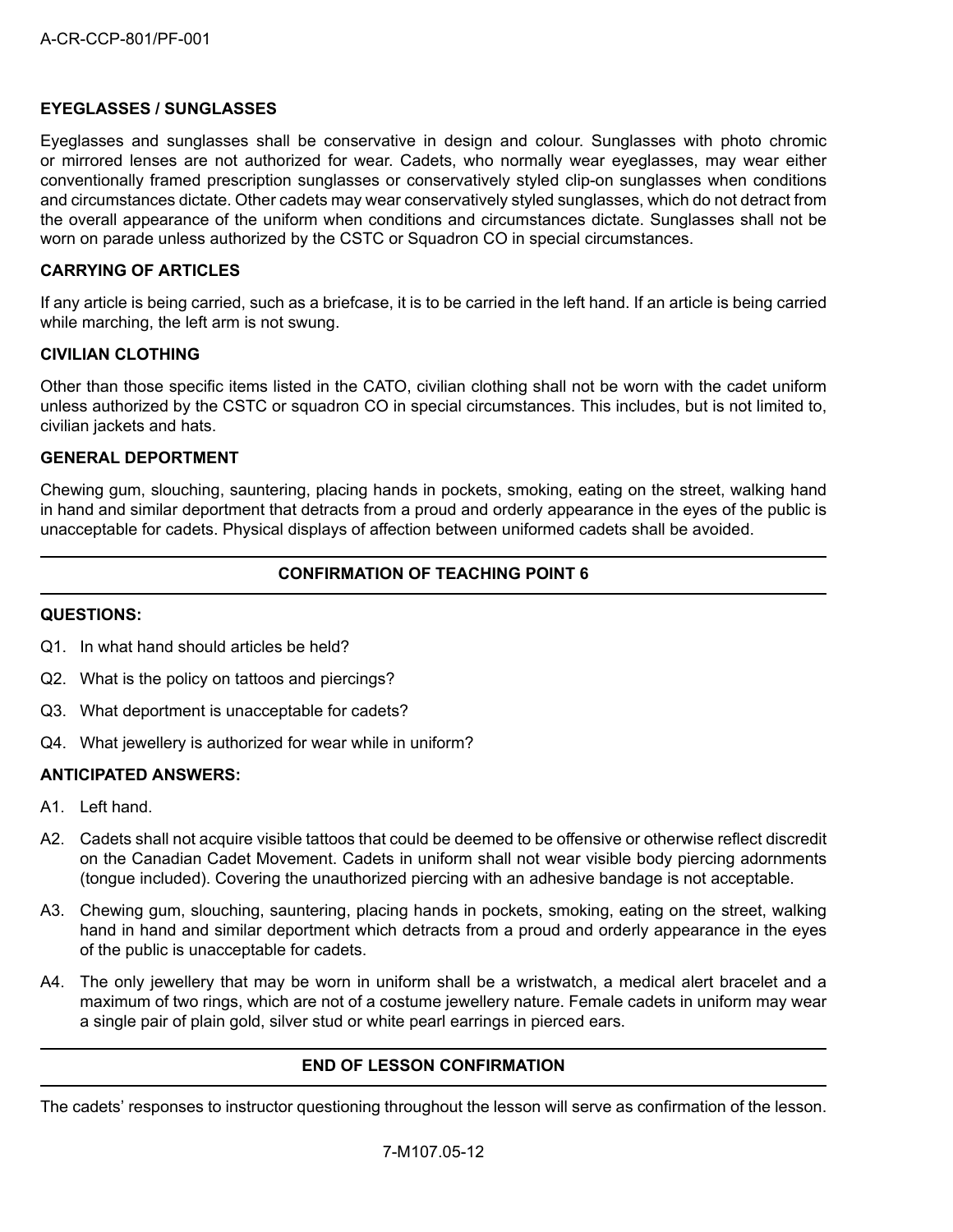## **EYEGLASSES / SUNGLASSES**

Eyeglasses and sunglasses shall be conservative in design and colour. Sunglasses with photo chromic or mirrored lenses are not authorized for wear. Cadets, who normally wear eyeglasses, may wear either conventionally framed prescription sunglasses or conservatively styled clip-on sunglasses when conditions and circumstances dictate. Other cadets may wear conservatively styled sunglasses, which do not detract from the overall appearance of the uniform when conditions and circumstances dictate. Sunglasses shall not be worn on parade unless authorized by the CSTC or Squadron CO in special circumstances.

#### **CARRYING OF ARTICLES**

If any article is being carried, such as a briefcase, it is to be carried in the left hand. If an article is being carried while marching, the left arm is not swung.

#### **CIVILIAN CLOTHING**

Other than those specific items listed in the CATO, civilian clothing shall not be worn with the cadet uniform unless authorized by the CSTC or squadron CO in special circumstances. This includes, but is not limited to, civilian jackets and hats.

#### **GENERAL DEPORTMENT**

Chewing gum, slouching, sauntering, placing hands in pockets, smoking, eating on the street, walking hand in hand and similar deportment that detracts from a proud and orderly appearance in the eyes of the public is unacceptable for cadets. Physical displays of affection between uniformed cadets shall be avoided.

## **CONFIRMATION OF TEACHING POINT 6**

#### **QUESTIONS:**

- Q1. In what hand should articles be held?
- Q2. What is the policy on tattoos and piercings?
- Q3. What deportment is unacceptable for cadets?
- Q4. What jewellery is authorized for wear while in uniform?

### **ANTICIPATED ANSWERS:**

- A1. Left hand.
- A2. Cadets shall not acquire visible tattoos that could be deemed to be offensive or otherwise reflect discredit on the Canadian Cadet Movement. Cadets in uniform shall not wear visible body piercing adornments (tongue included). Covering the unauthorized piercing with an adhesive bandage is not acceptable.
- A3. Chewing gum, slouching, sauntering, placing hands in pockets, smoking, eating on the street, walking hand in hand and similar deportment which detracts from a proud and orderly appearance in the eyes of the public is unacceptable for cadets.
- A4. The only jewellery that may be worn in uniform shall be a wristwatch, a medical alert bracelet and a maximum of two rings, which are not of a costume jewellery nature. Female cadets in uniform may wear a single pair of plain gold, silver stud or white pearl earrings in pierced ears.

### **END OF LESSON CONFIRMATION**

The cadets' responses to instructor questioning throughout the lesson will serve as confirmation of the lesson.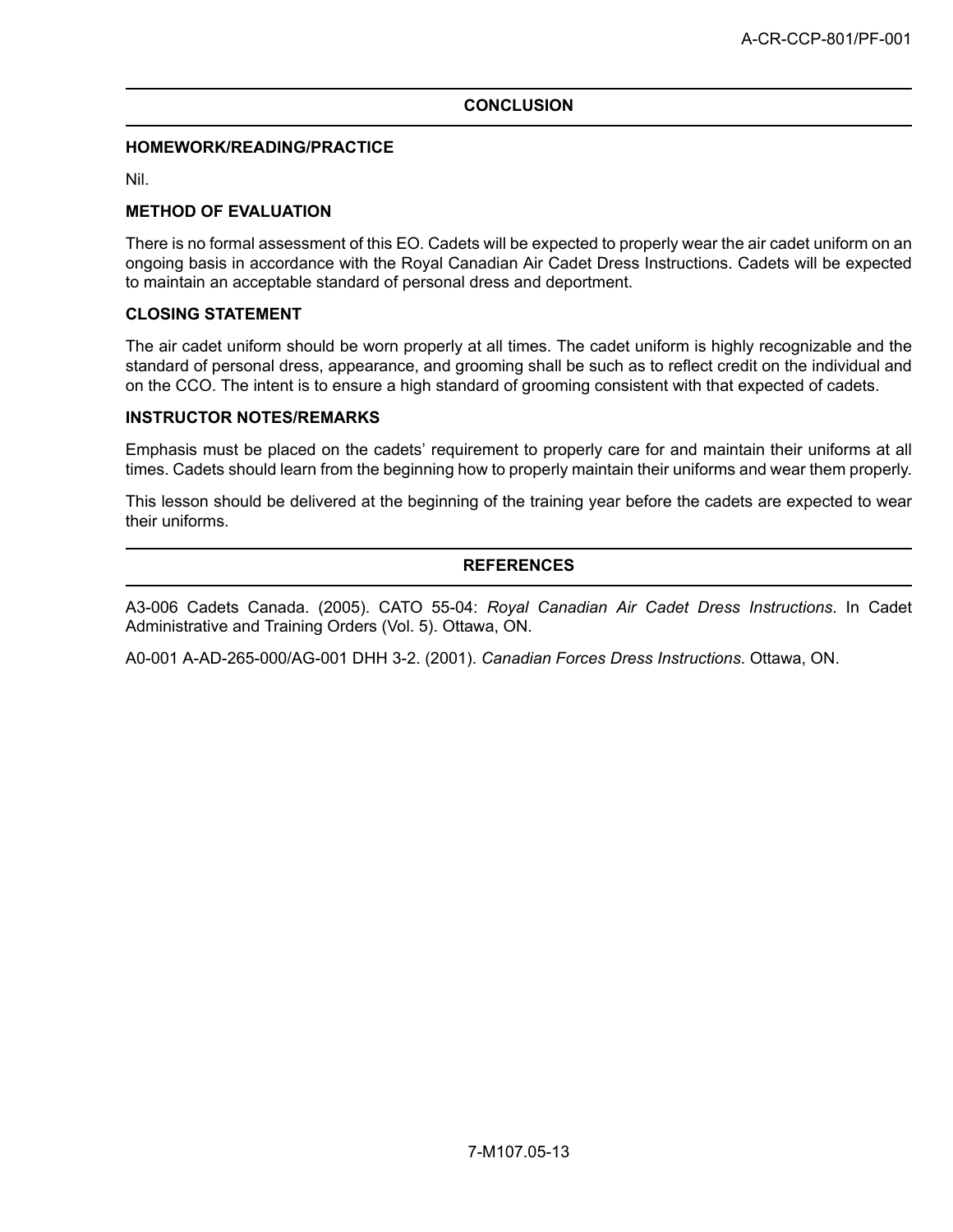## **CONCLUSION**

#### **HOMEWORK/READING/PRACTICE**

Nil.

#### **METHOD OF EVALUATION**

There is no formal assessment of this EO. Cadets will be expected to properly wear the air cadet uniform on an ongoing basis in accordance with the Royal Canadian Air Cadet Dress Instructions. Cadets will be expected to maintain an acceptable standard of personal dress and deportment.

#### **CLOSING STATEMENT**

The air cadet uniform should be worn properly at all times. The cadet uniform is highly recognizable and the standard of personal dress, appearance, and grooming shall be such as to reflect credit on the individual and on the CCO. The intent is to ensure a high standard of grooming consistent with that expected of cadets.

#### **INSTRUCTOR NOTES/REMARKS**

Emphasis must be placed on the cadets' requirement to properly care for and maintain their uniforms at all times. Cadets should learn from the beginning how to properly maintain their uniforms and wear them properly.

This lesson should be delivered at the beginning of the training year before the cadets are expected to wear their uniforms.

### **REFERENCES**

A3-006 Cadets Canada. (2005). CATO 55-04: *Royal Canadian Air Cadet Dress Instructions*. In Cadet Administrative and Training Orders (Vol. 5). Ottawa, ON.

A0-001 A-AD-265-000/AG-001 DHH 3-2. (2001). *Canadian Forces Dress Instructions*. Ottawa, ON.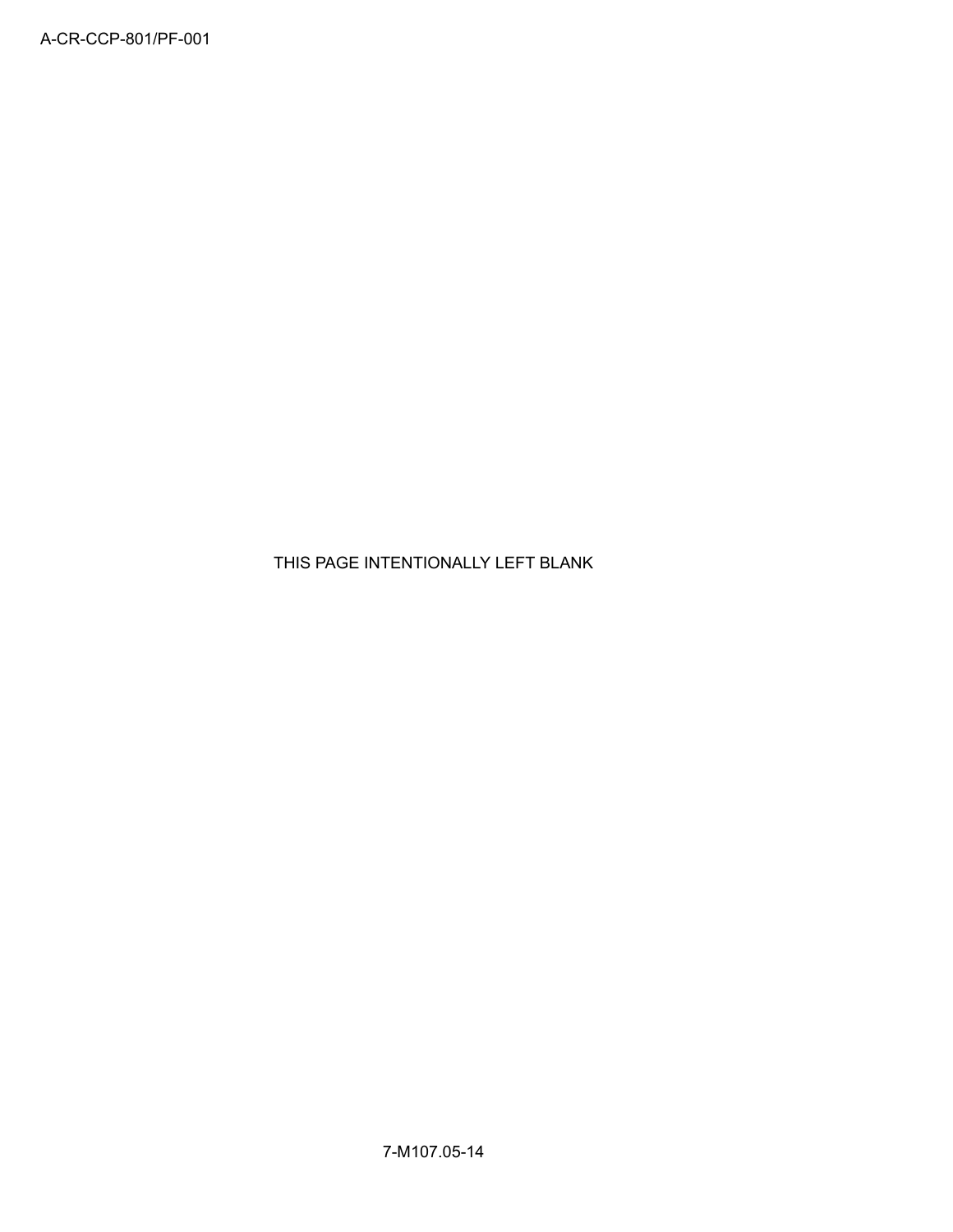THIS PAGE INTENTIONALLY LEFT BLANK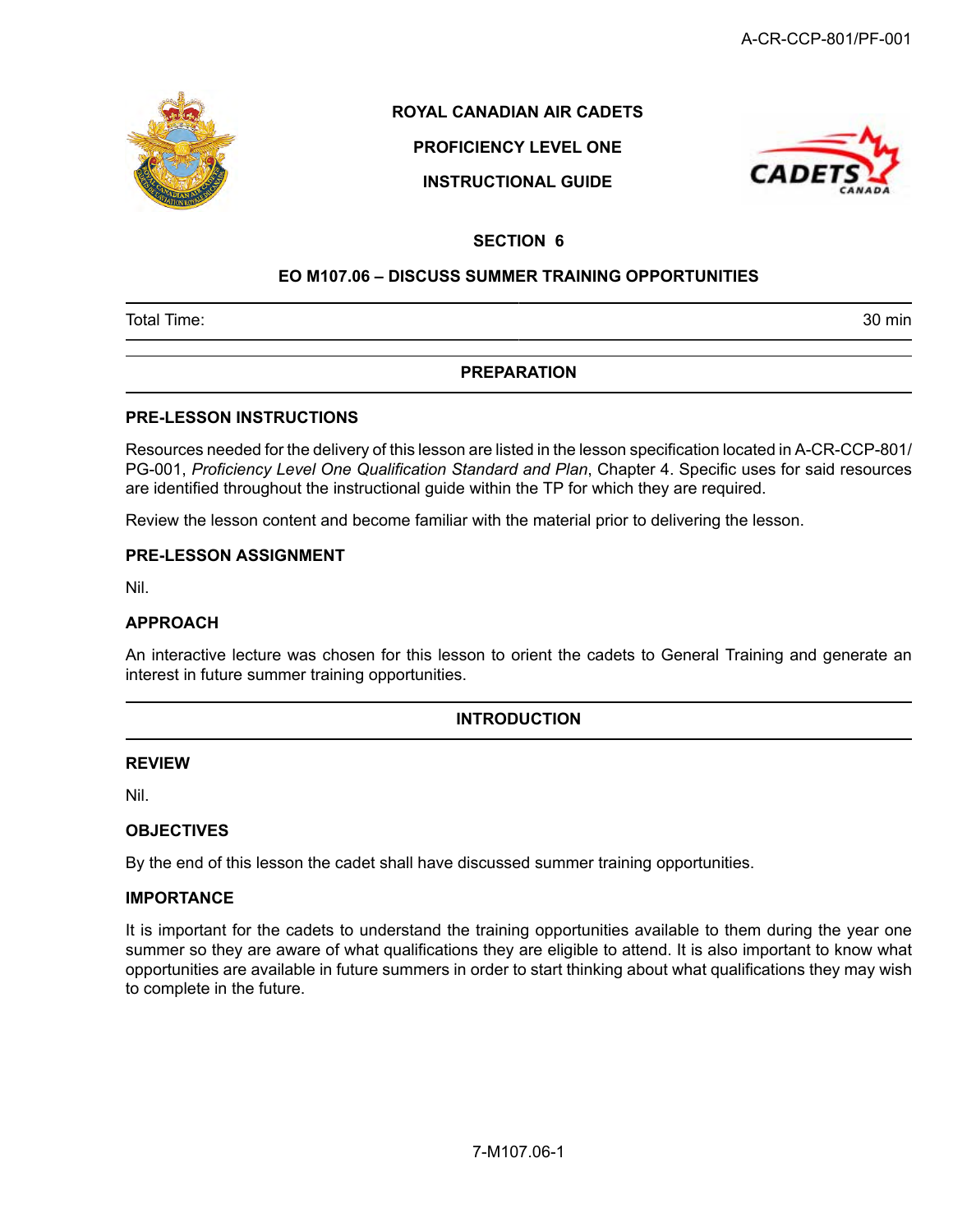![](_page_46_Picture_1.jpeg)

## **ROYAL CANADIAN AIR CADETS**

# **PROFICIENCY LEVEL ONE INSTRUCTIONAL GUIDE**

![](_page_46_Picture_4.jpeg)

## **SECTION 6**

#### **EO M107.06 – DISCUSS SUMMER TRAINING OPPORTUNITIES**

Total Time: 30 min

### **PREPARATION**

#### **PRE-LESSON INSTRUCTIONS**

Resources needed for the delivery of this lesson are listed in the lesson specification located in A-CR-CCP-801/ PG-001, *Proficiency Level One Qualification Standard and Plan*, Chapter 4. Specific uses for said resources are identified throughout the instructional guide within the TP for which they are required.

Review the lesson content and become familiar with the material prior to delivering the lesson.

#### **PRE-LESSON ASSIGNMENT**

Nil.

#### **APPROACH**

An interactive lecture was chosen for this lesson to orient the cadets to General Training and generate an interest in future summer training opportunities.

## **INTRODUCTION**

### **REVIEW**

Nil.

### **OBJECTIVES**

By the end of this lesson the cadet shall have discussed summer training opportunities.

## **IMPORTANCE**

It is important for the cadets to understand the training opportunities available to them during the year one summer so they are aware of what qualifications they are eligible to attend. It is also important to know what opportunities are available in future summers in order to start thinking about what qualifications they may wish to complete in the future.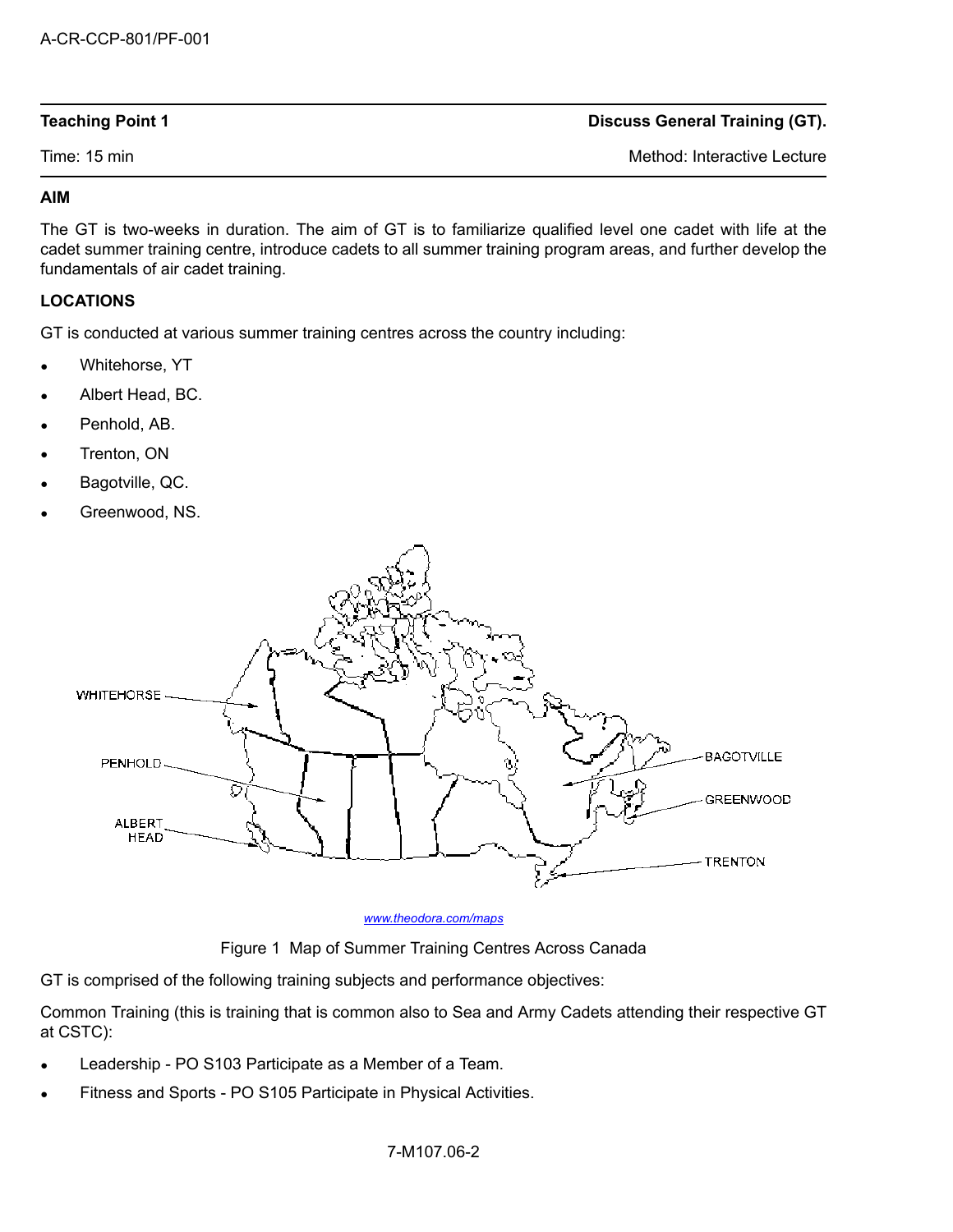**Teaching Point 1 Discuss General Training (GT).**

Time: 15 min Method: Interactive Lecture Communication of the Method: Interactive Lecture

### **AIM**

The GT is two-weeks in duration. The aim of GT is to familiarize qualified level one cadet with life at the cadet summer training centre, introduce cadets to all summer training program areas, and further develop the fundamentals of air cadet training.

#### **LOCATIONS**

GT is conducted at various summer training centres across the country including:

- Whitehorse, YT
- Albert Head, BC.
- Penhold, AB.
- Trenton, ON
- Bagotville, QC.
- Greenwood, NS.

![](_page_47_Picture_15.jpeg)

*www.theodora.com/maps*

Figure 1 Map of Summer Training Centres Across Canada

GT is comprised of the following training subjects and performance objectives:

Common Training (this is training that is common also to Sea and Army Cadets attending their respective GT at CSTC):

- Leadership PO S103 Participate as a Member of a Team.
- Fitness and Sports PO S105 Participate in Physical Activities.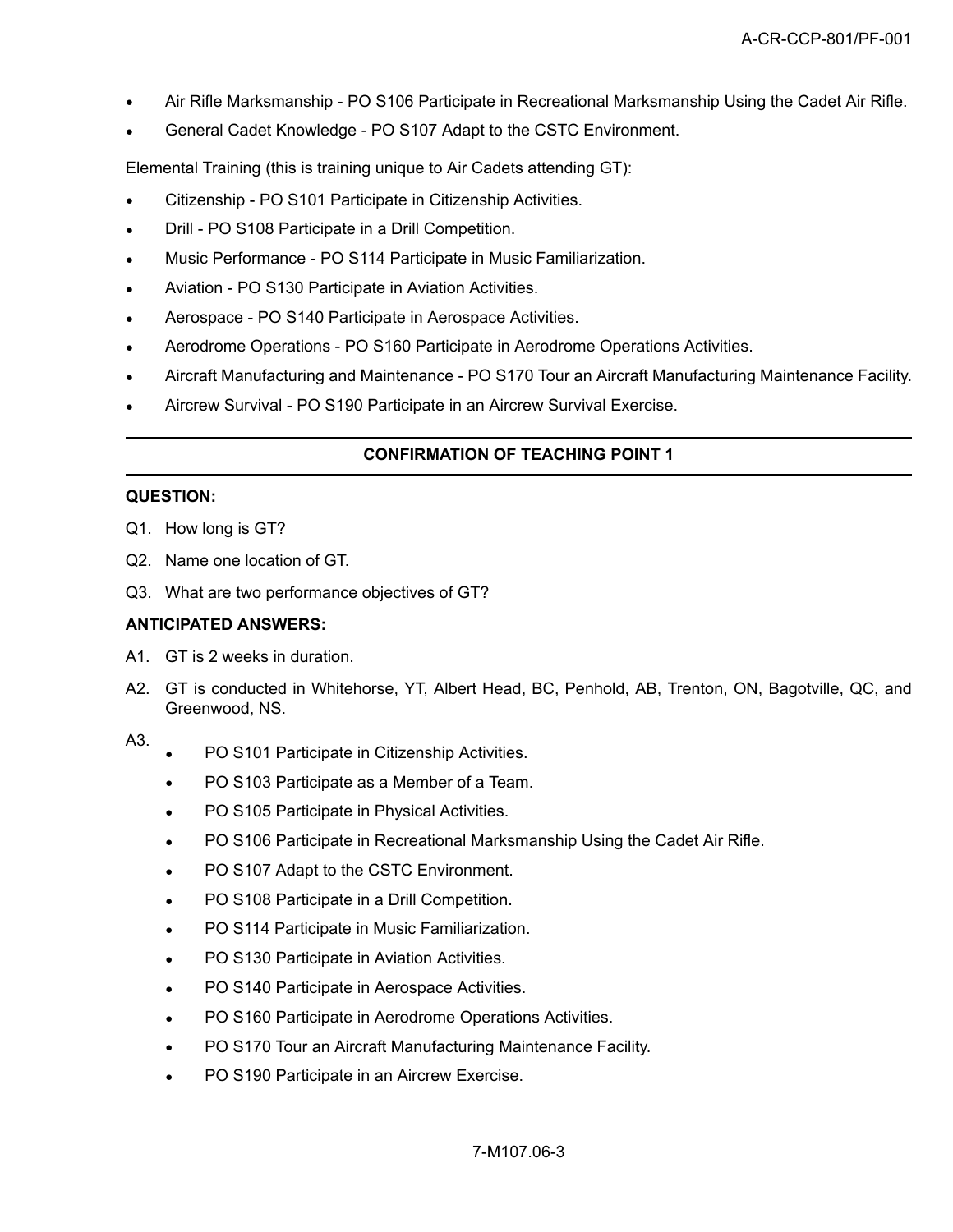- Air Rifle Marksmanship PO S106 Participate in Recreational Marksmanship Using the Cadet Air Rifle.
- General Cadet Knowledge PO S107 Adapt to the CSTC Environment.

Elemental Training (this is training unique to Air Cadets attending GT):

- Citizenship PO S101 Participate in Citizenship Activities.
- Drill PO S108 Participate in a Drill Competition.
- Music Performance PO S114 Participate in Music Familiarization.
- Aviation PO S130 Participate in Aviation Activities.
- Aerospace PO S140 Participate in Aerospace Activities.
- Aerodrome Operations PO S160 Participate in Aerodrome Operations Activities.
- Aircraft Manufacturing and Maintenance PO S170 Tour an Aircraft Manufacturing Maintenance Facility.
- Aircrew Survival PO S190 Participate in an Aircrew Survival Exercise.

### **CONFIRMATION OF TEACHING POINT 1**

#### **QUESTION:**

- Q1. How long is GT?
- Q2. Name one location of GT.
- Q3. What are two performance objectives of GT?

#### **ANTICIPATED ANSWERS:**

- A1. GT is 2 weeks in duration.
- A2. GT is conducted in Whitehorse, YT, Albert Head, BC, Penhold, AB, Trenton, ON, Bagotville, QC, and Greenwood, NS.
- A3.
- PO S101 Participate in Citizenship Activities.
- PO S103 Participate as a Member of a Team.
- PO S105 Participate in Physical Activities.
- PO S106 Participate in Recreational Marksmanship Using the Cadet Air Rifle.
- PO S107 Adapt to the CSTC Environment.
- PO S108 Participate in a Drill Competition.
- PO S114 Participate in Music Familiarization.
- PO S130 Participate in Aviation Activities.
- PO S140 Participate in Aerospace Activities.
- PO S160 Participate in Aerodrome Operations Activities.
- PO S170 Tour an Aircraft Manufacturing Maintenance Facility.
- PO S190 Participate in an Aircrew Exercise.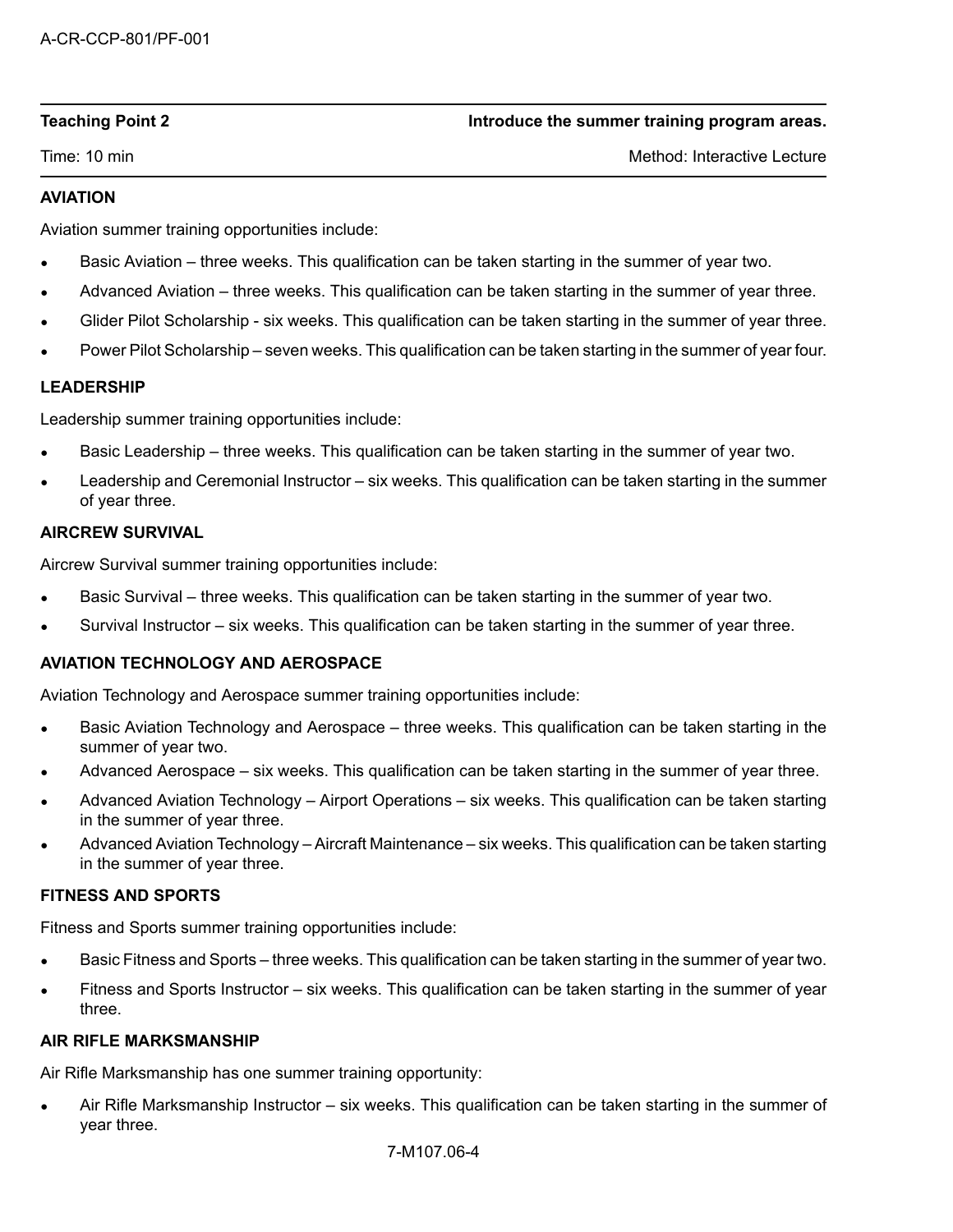**Teaching Point 2 Introduce the summer training program areas.**

Time: 10 min Method: Interactive Lecture Communication of the Method: Interactive Lecture

### **AVIATION**

Aviation summer training opportunities include:

- Basic Aviation three weeks. This qualification can be taken starting in the summer of year two.
- Advanced Aviation three weeks. This qualification can be taken starting in the summer of year three.
- Glider Pilot Scholarship six weeks. This qualification can be taken starting in the summer of year three.
- Power Pilot Scholarship seven weeks. This qualification can be taken starting in the summer of year four.

#### **LEADERSHIP**

Leadership summer training opportunities include:

- Basic Leadership three weeks. This qualification can be taken starting in the summer of year two.
- Leadership and Ceremonial Instructor six weeks. This qualification can be taken starting in the summer of year three.

#### **AIRCREW SURVIVAL**

Aircrew Survival summer training opportunities include:

- Basic Survival three weeks. This qualification can be taken starting in the summer of year two.
- Survival Instructor six weeks. This qualification can be taken starting in the summer of year three.

### **AVIATION TECHNOLOGY AND AEROSPACE**

Aviation Technology and Aerospace summer training opportunities include:

- Basic Aviation Technology and Aerospace three weeks. This qualification can be taken starting in the summer of year two.
- Advanced Aerospace six weeks. This qualification can be taken starting in the summer of year three.
- Advanced Aviation Technology Airport Operations six weeks. This qualification can be taken starting in the summer of year three.
- Advanced Aviation Technology Aircraft Maintenance six weeks. This qualification can be taken starting in the summer of year three.

#### **FITNESS AND SPORTS**

Fitness and Sports summer training opportunities include:

- Basic Fitness and Sports three weeks. This qualification can be taken starting in the summer of year two.
- Fitness and Sports Instructor six weeks. This qualification can be taken starting in the summer of year three.

#### **AIR RIFLE MARKSMANSHIP**

Air Rifle Marksmanship has one summer training opportunity:

• Air Rifle Marksmanship Instructor – six weeks. This qualification can be taken starting in the summer of year three.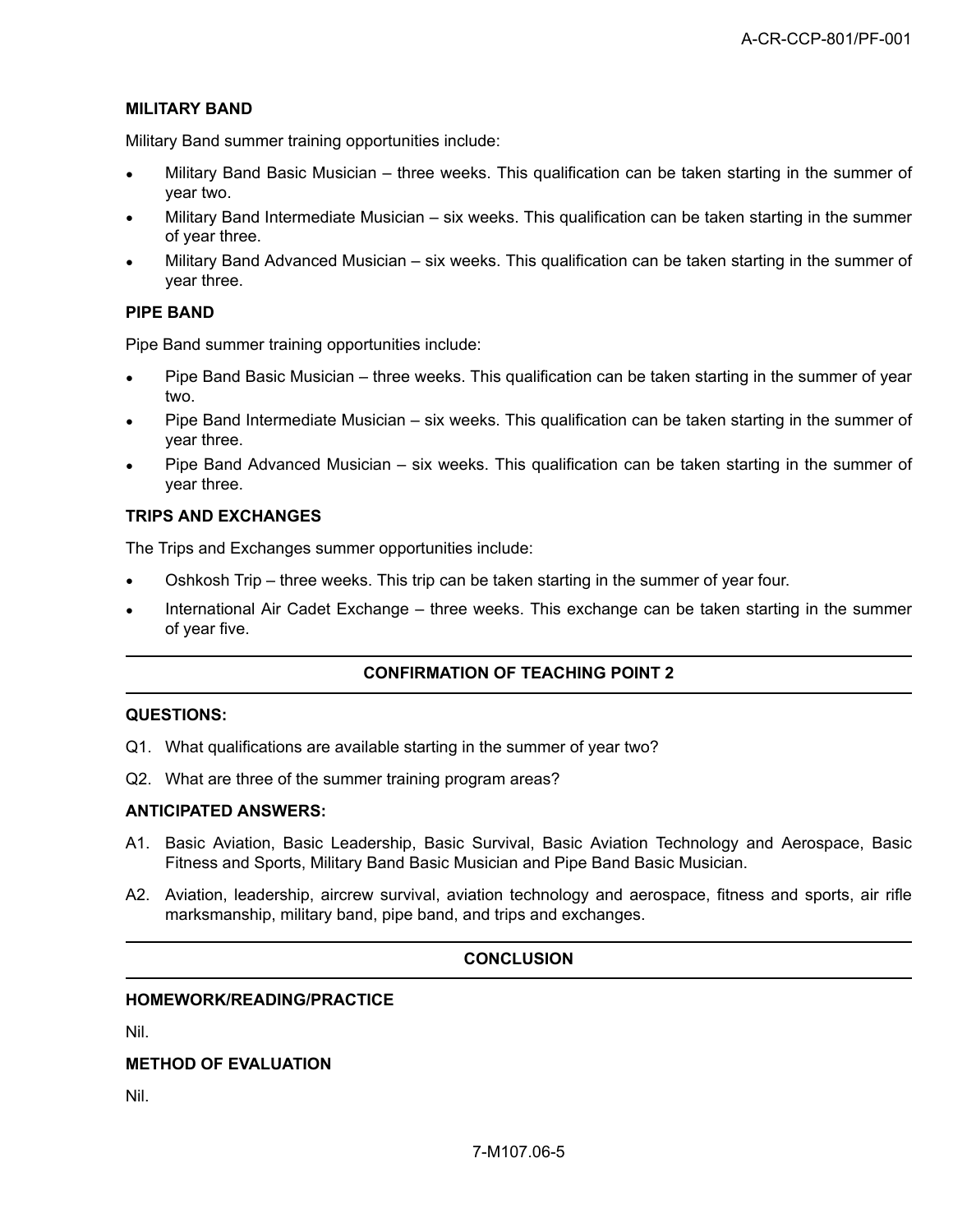### **MILITARY BAND**

Military Band summer training opportunities include:

- Military Band Basic Musician three weeks. This qualification can be taken starting in the summer of year two.
- Military Band Intermediate Musician six weeks. This qualification can be taken starting in the summer of year three.
- Military Band Advanced Musician six weeks. This qualification can be taken starting in the summer of year three.

### **PIPE BAND**

Pipe Band summer training opportunities include:

- Pipe Band Basic Musician three weeks. This qualification can be taken starting in the summer of year two.
- Pipe Band Intermediate Musician six weeks. This qualification can be taken starting in the summer of year three.
- Pipe Band Advanced Musician six weeks. This qualification can be taken starting in the summer of year three.

#### **TRIPS AND EXCHANGES**

The Trips and Exchanges summer opportunities include:

- Oshkosh Trip three weeks. This trip can be taken starting in the summer of year four.
- International Air Cadet Exchange – three weeks. This exchange can be taken starting in the summer of year five.

### **CONFIRMATION OF TEACHING POINT 2**

#### **QUESTIONS:**

- Q1. What qualifications are available starting in the summer of year two?
- Q2. What are three of the summer training program areas?

### **ANTICIPATED ANSWERS:**

- A1. Basic Aviation, Basic Leadership, Basic Survival, Basic Aviation Technology and Aerospace, Basic Fitness and Sports, Military Band Basic Musician and Pipe Band Basic Musician.
- A2. Aviation, leadership, aircrew survival, aviation technology and aerospace, fitness and sports, air rifle marksmanship, military band, pipe band, and trips and exchanges.

### **CONCLUSION**

### **HOMEWORK/READING/PRACTICE**

Nil.

### **METHOD OF EVALUATION**

Nil.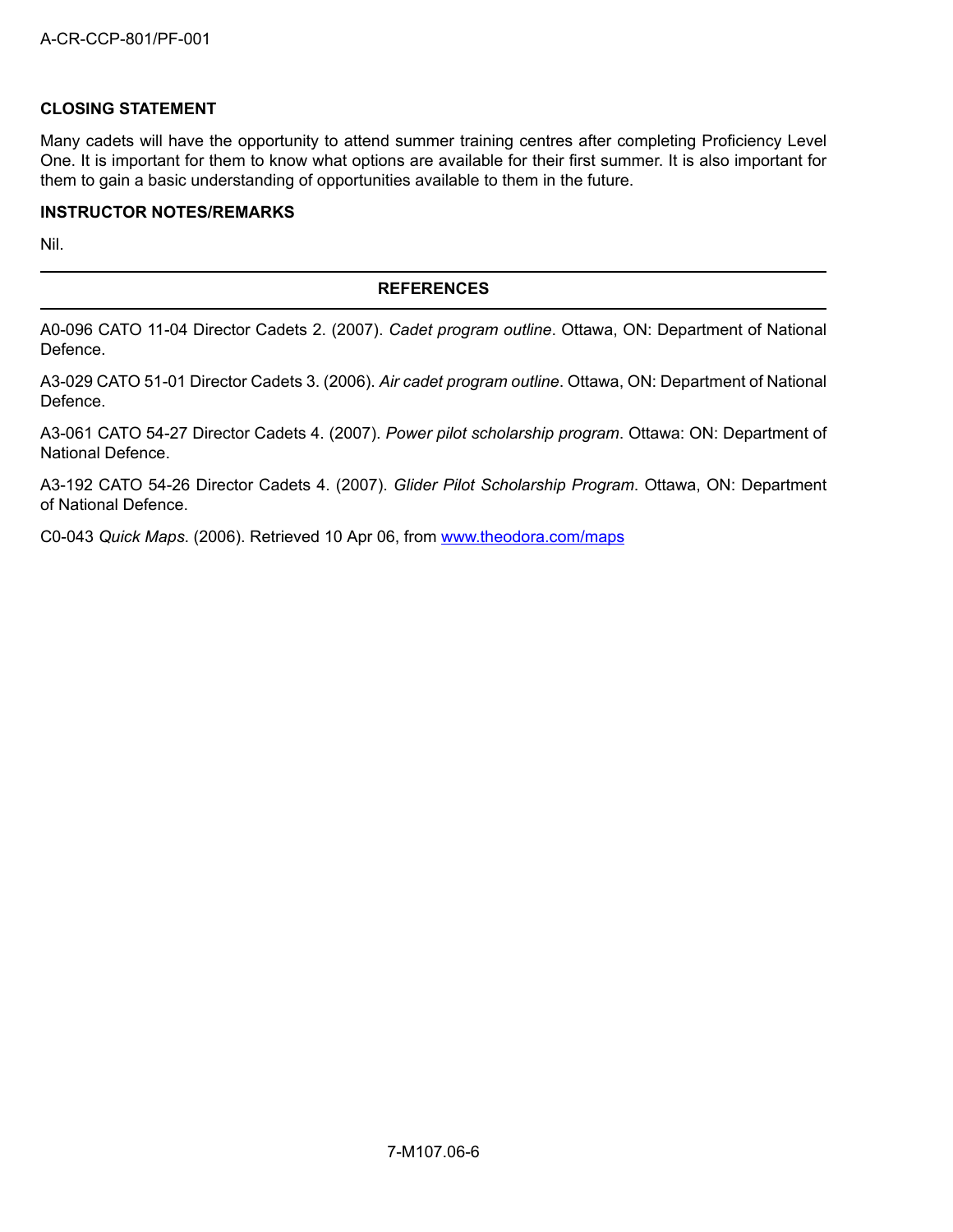## **CLOSING STATEMENT**

Many cadets will have the opportunity to attend summer training centres after completing Proficiency Level One. It is important for them to know what options are available for their first summer. It is also important for them to gain a basic understanding of opportunities available to them in the future.

#### **INSTRUCTOR NOTES/REMARKS**

Nil.

#### **REFERENCES**

A0-096 CATO 11-04 Director Cadets 2. (2007). *Cadet program outline*. Ottawa, ON: Department of National Defence.

A3-029 CATO 51-01 Director Cadets 3. (2006). *Air cadet program outline*. Ottawa, ON: Department of National Defence.

A3-061 CATO 54-27 Director Cadets 4. (2007). *Power pilot scholarship program*. Ottawa: ON: Department of National Defence.

A3-192 CATO 54-26 Director Cadets 4. (2007). *Glider Pilot Scholarship Program*. Ottawa, ON: Department of National Defence.

C0-043 *Quick Maps*. (2006). Retrieved 10 Apr 06, from www.theodora.com/maps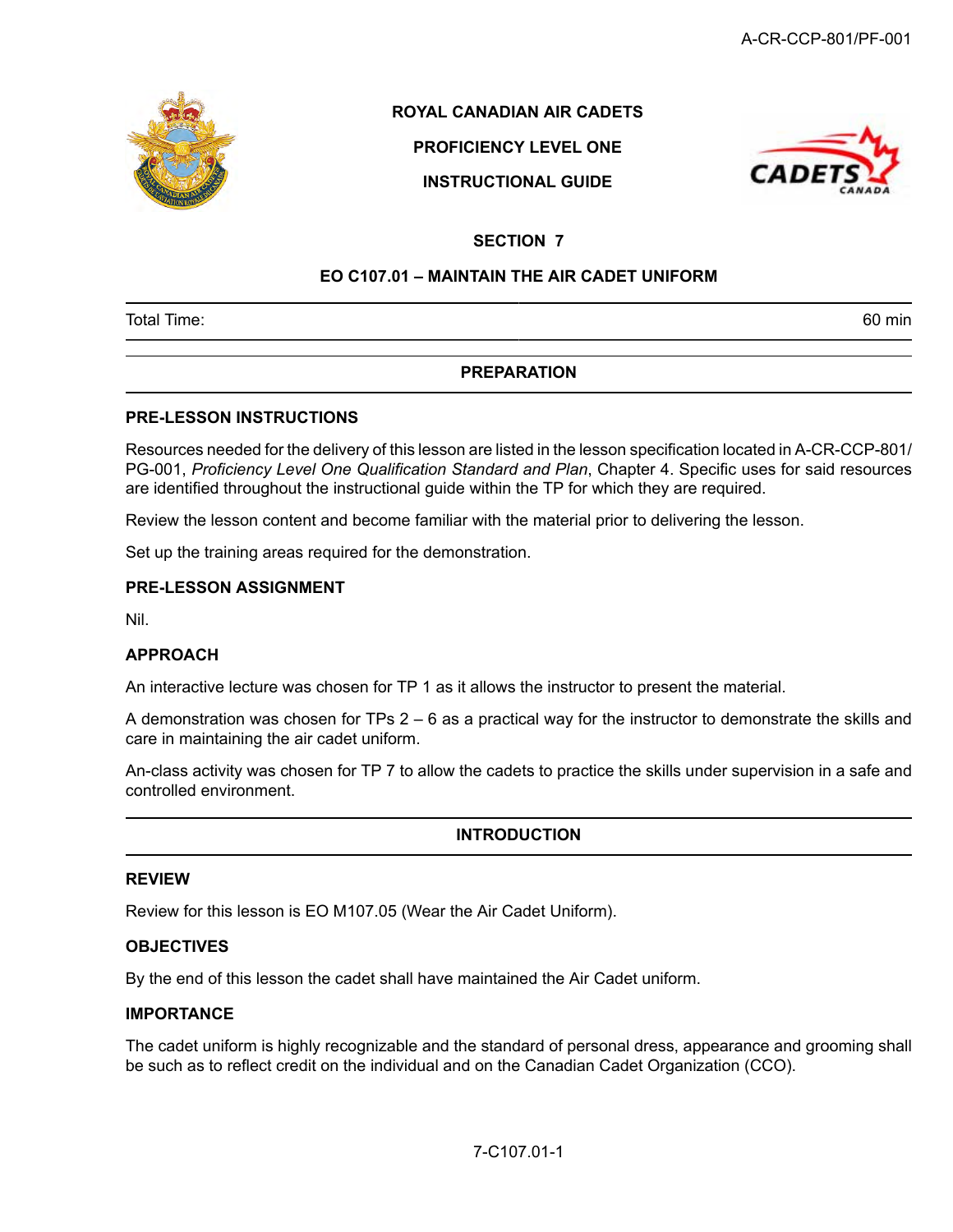![](_page_52_Picture_1.jpeg)

## **ROYAL CANADIAN AIR CADETS**

# **PROFICIENCY LEVEL ONE**

## **INSTRUCTIONAL GUIDE**

![](_page_52_Picture_5.jpeg)

## **SECTION 7**

#### **EO C107.01 – MAINTAIN THE AIR CADET UNIFORM**

Total Time: 60 min

### **PREPARATION**

#### **PRE-LESSON INSTRUCTIONS**

Resources needed for the delivery of this lesson are listed in the lesson specification located in A-CR-CCP-801/ PG-001, *Proficiency Level One Qualification Standard and Plan*, Chapter 4. Specific uses for said resources are identified throughout the instructional guide within the TP for which they are required.

Review the lesson content and become familiar with the material prior to delivering the lesson.

Set up the training areas required for the demonstration.

#### **PRE-LESSON ASSIGNMENT**

Nil.

### **APPROACH**

An interactive lecture was chosen for TP 1 as it allows the instructor to present the material.

A demonstration was chosen for TPs 2 – 6 as a practical way for the instructor to demonstrate the skills and care in maintaining the air cadet uniform.

An-class activity was chosen for TP 7 to allow the cadets to practice the skills under supervision in a safe and controlled environment.

### **INTRODUCTION**

#### **REVIEW**

Review for this lesson is EO M107.05 (Wear the Air Cadet Uniform).

#### **OBJECTIVES**

By the end of this lesson the cadet shall have maintained the Air Cadet uniform.

#### **IMPORTANCE**

The cadet uniform is highly recognizable and the standard of personal dress, appearance and grooming shall be such as to reflect credit on the individual and on the Canadian Cadet Organization (CCO).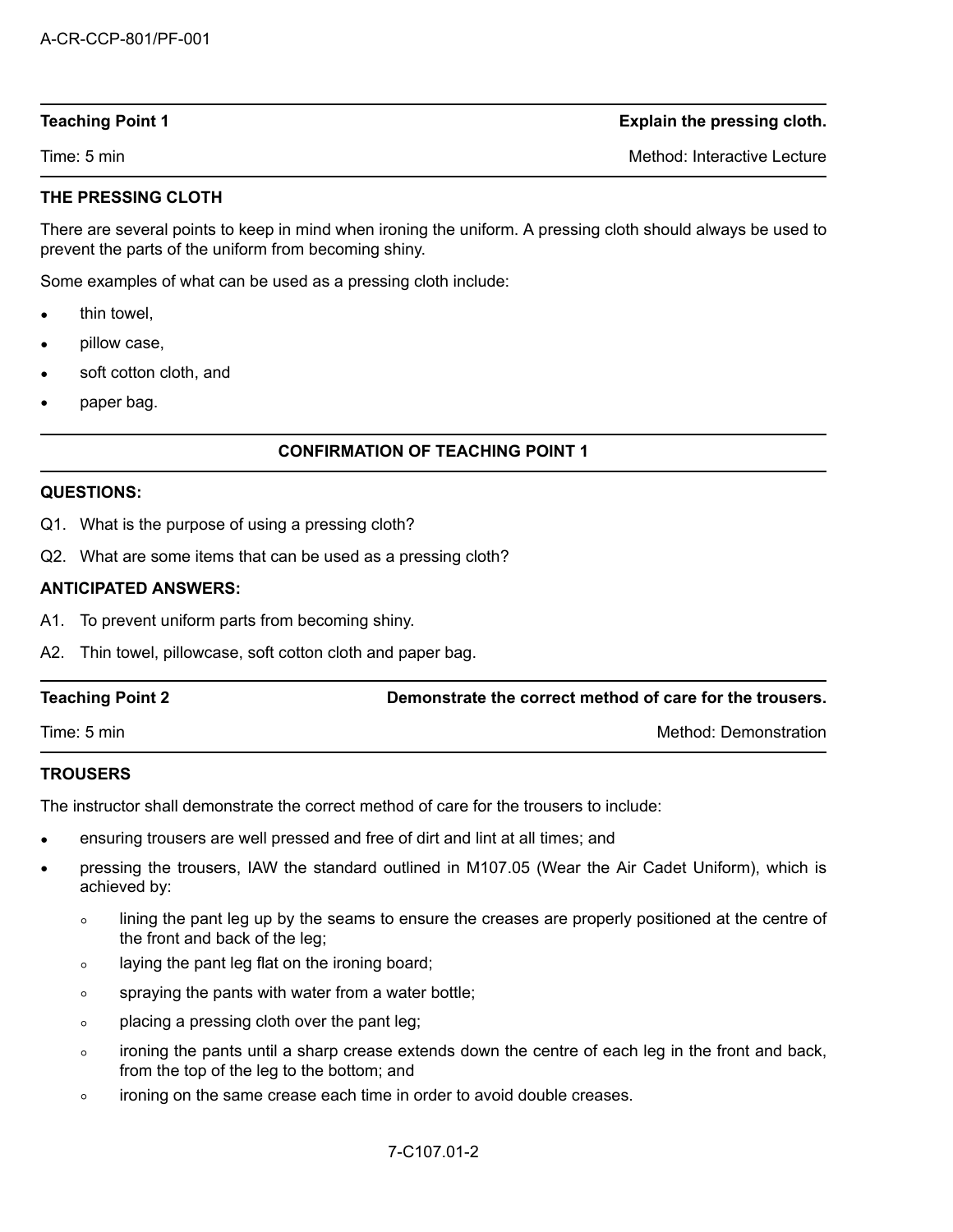**Teaching Point 1 Explain the pressing cloth.**

Time: 5 min Method: Interactive Lecture Company of Time: 5 min Method: Interactive Lecture

## **THE PRESSING CLOTH**

There are several points to keep in mind when ironing the uniform. A pressing cloth should always be used to prevent the parts of the uniform from becoming shiny.

Some examples of what can be used as a pressing cloth include:

- thin towel,
- pillow case,
- soft cotton cloth, and
- paper bag.

## **CONFIRMATION OF TEACHING POINT 1**

#### **QUESTIONS:**

- Q1. What is the purpose of using a pressing cloth?
- Q2. What are some items that can be used as a pressing cloth?

### **ANTICIPATED ANSWERS:**

- A1. To prevent uniform parts from becoming shiny.
- A2. Thin towel, pillowcase, soft cotton cloth and paper bag.

| <b>Teaching Point 2</b> | Demonstrate the correct method of care for the trousers. |
|-------------------------|----------------------------------------------------------|
|                         |                                                          |

Time: 5 min Method: Demonstration Number of Time: 5 min Method: Demonstration Number of Time: 5 min Method: Demonstration

### **TROUSERS**

The instructor shall demonstrate the correct method of care for the trousers to include:

- ensuring trousers are well pressed and free of dirt and lint at all times; and
- pressing the trousers, IAW the standard outlined in M107.05 (Wear the Air Cadet Uniform), which is achieved by:
	- lining the pant leg up by the seams to ensure the creases are properly positioned at the centre of the front and back of the leg;
	- $\circ$ laying the pant leg flat on the ironing board;
	- spraying the pants with water from a water bottle;
	- placing a pressing cloth over the pant leg;
	- ironing the pants until a sharp crease extends down the centre of each leg in the front and back, from the top of the leg to the bottom; and
	- ironing on the same crease each time in order to avoid double creases.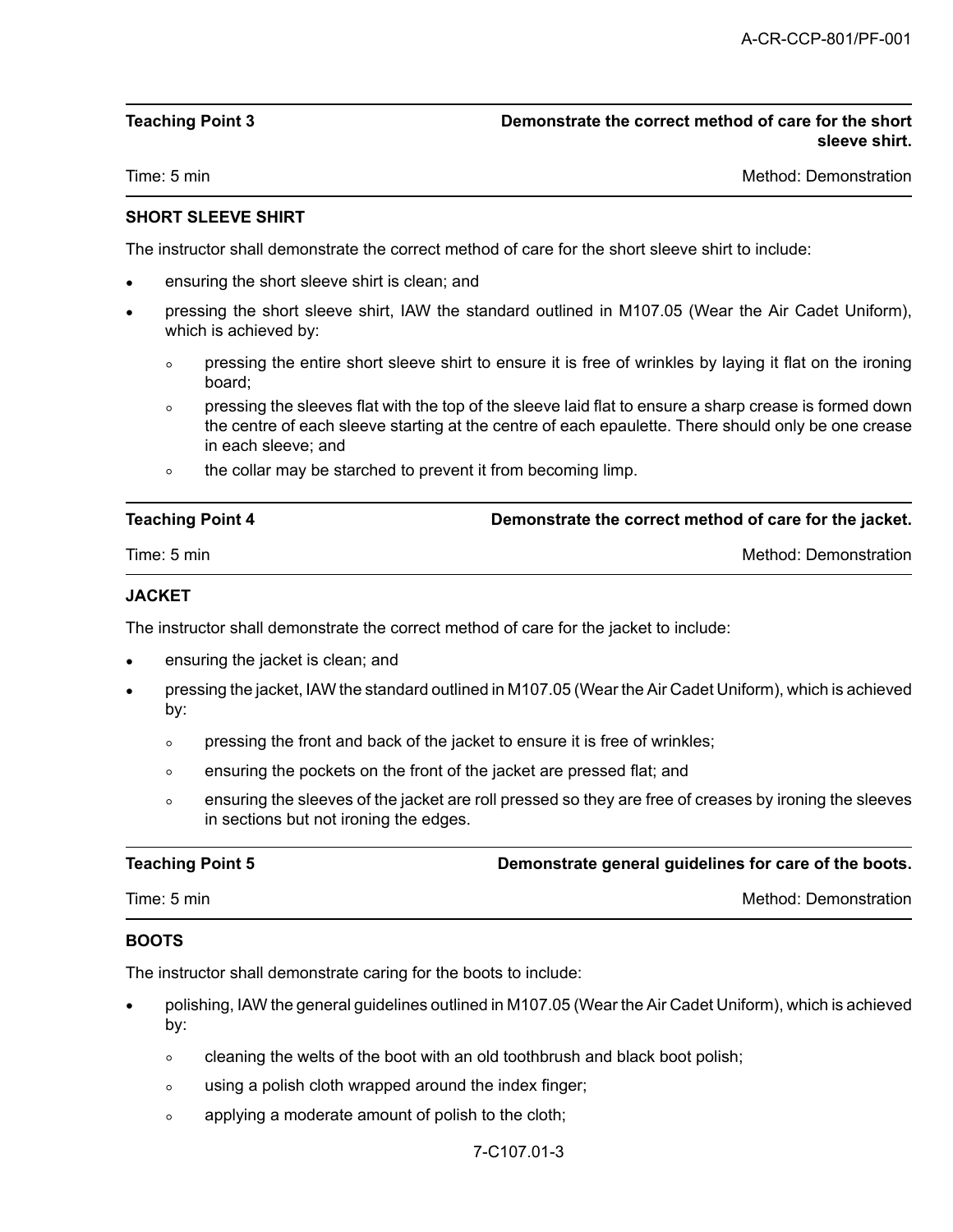#### **Teaching Point 3 Demonstrate the correct method of care for the short sleeve shirt.**

Time: 5 min Method: Demonstration Number of Time: 5 min Method: Demonstration Number of Time: 5 min Method: Demonstration

#### **SHORT SLEEVE SHIRT**

The instructor shall demonstrate the correct method of care for the short sleeve shirt to include:

- ensuring the short sleeve shirt is clean; and
- pressing the short sleeve shirt, IAW the standard outlined in M107.05 (Wear the Air Cadet Uniform), which is achieved by:
	- pressing the entire short sleeve shirt to ensure it is free of wrinkles by laying it flat on the ironing board;
	- pressing the sleeves flat with the top of the sleeve laid flat to ensure a sharp crease is formed down the centre of each sleeve starting at the centre of each epaulette. There should only be one crease in each sleeve; and
	- the collar may be starched to prevent it from becoming limp.

| <b>Teaching Point 4</b> | Demonstrate the correct method of care for the jacket. |
|-------------------------|--------------------------------------------------------|
| Time: 5 min             | Method: Demonstration                                  |

#### **JACKET**

The instructor shall demonstrate the correct method of care for the jacket to include:

- ensuring the jacket is clean; and
- pressing the jacket, IAW the standard outlined in M107.05 (Wear the Air Cadet Uniform), which is achieved by:
	- pressing the front and back of the jacket to ensure it is free of wrinkles;
	- ensuring the pockets on the front of the jacket are pressed flat; and
	- ensuring the sleeves of the jacket are roll pressed so they are free of creases by ironing the sleeves in sections but not ironing the edges.

**Teaching Point 5 Demonstrate general guidelines for care of the boots.**

Time: 5 min Method: Demonstration and Time: 5 min Method: Demonstration and Time: 5 min Method: Demonstration

#### **BOOTS**

The instructor shall demonstrate caring for the boots to include:

- polishing, IAW the general guidelines outlined in M107.05 (Wear the Air Cadet Uniform), which is achieved by:
	- cleaning the welts of the boot with an old toothbrush and black boot polish;
	- using a polish cloth wrapped around the index finger;
	- applying a moderate amount of polish to the cloth;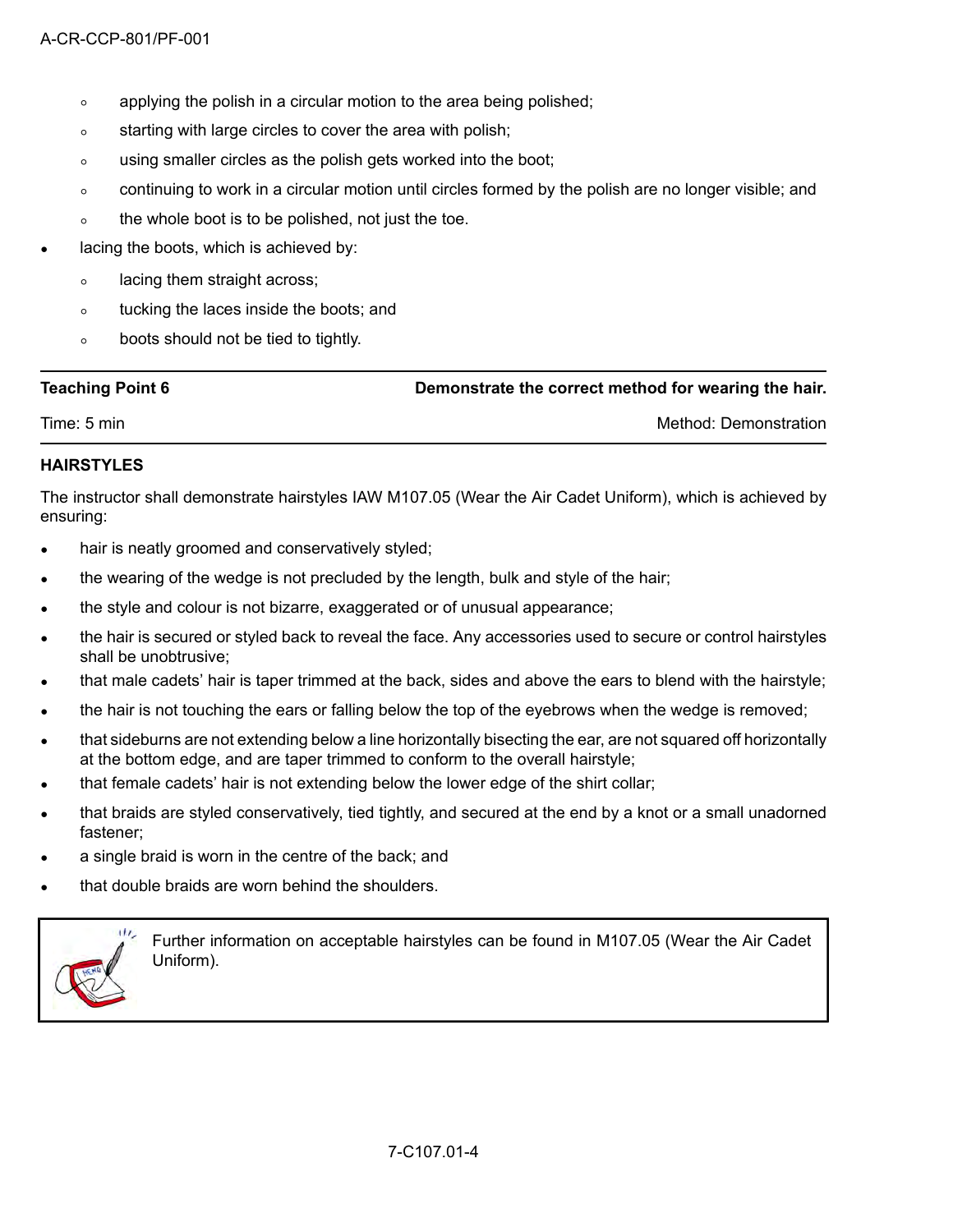- applying the polish in a circular motion to the area being polished;
- starting with large circles to cover the area with polish;
- using smaller circles as the polish gets worked into the boot;
- continuing to work in a circular motion until circles formed by the polish are no longer visible; and
- $\circ$ the whole boot is to be polished, not just the toe.
- lacing the boots, which is achieved by:
	- lacing them straight across;
	- $\circ$ tucking the laces inside the boots; and
	- boots should not be tied to tightly.

**Teaching Point 6 Demonstrate the correct method for wearing the hair.**

Time: 5 min Method: Demonstration Number of Time: 5 min Method: Demonstration Number of Time: 5 min Method: Demonstration

### **HAIRSTYLES**

The instructor shall demonstrate hairstyles IAW M107.05 (Wear the Air Cadet Uniform), which is achieved by ensuring:

- hair is neatly groomed and conservatively styled;
- the wearing of the wedge is not precluded by the length, bulk and style of the hair;
- the style and colour is not bizarre, exaggerated or of unusual appearance;
- the hair is secured or styled back to reveal the face. Any accessories used to secure or control hairstyles shall be unobtrusive;
- that male cadets' hair is taper trimmed at the back, sides and above the ears to blend with the hairstyle;
- the hair is not touching the ears or falling below the top of the eyebrows when the wedge is removed;
- that sideburns are not extending below a line horizontally bisecting the ear, are not squared off horizontally at the bottom edge, and are taper trimmed to conform to the overall hairstyle;
- that female cadets' hair is not extending below the lower edge of the shirt collar;
- that braids are styled conservatively, tied tightly, and secured at the end by a knot or a small unadorned fastener;
- a single braid is worn in the centre of the back; and
- that double braids are worn behind the shoulders.

![](_page_55_Picture_26.jpeg)

Further information on acceptable hairstyles can be found in M107.05 (Wear the Air Cadet Uniform).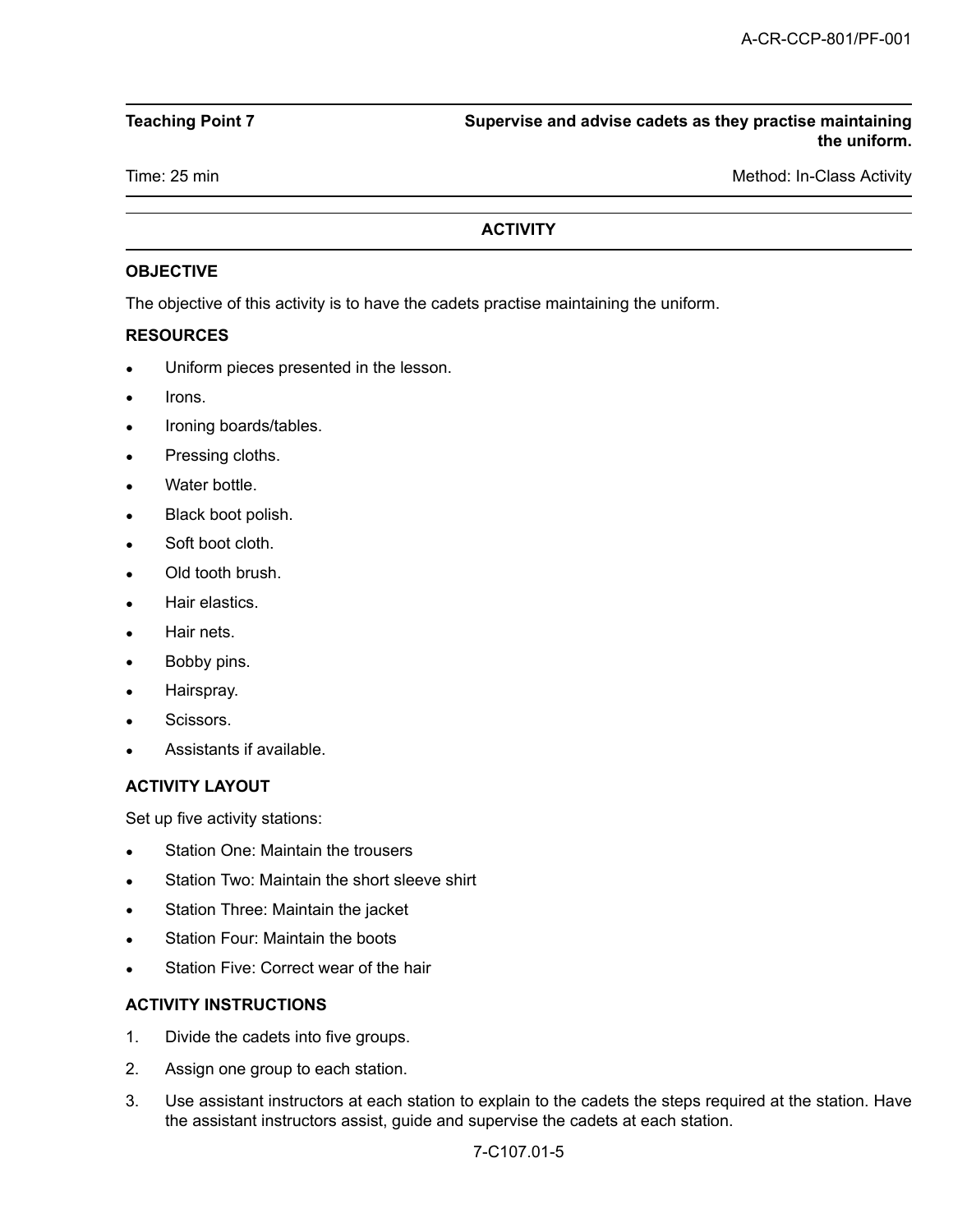#### **Teaching Point 7 Supervise and advise cadets as they practise maintaining the uniform.**

Time: 25 min Method: In-Class Activity

## **ACTIVITY**

#### **OBJECTIVE**

The objective of this activity is to have the cadets practise maintaining the uniform.

### **RESOURCES**

- Uniform pieces presented in the lesson.
- Irons.
- Ironing boards/tables.
- Pressing cloths.
- Water bottle.
- Black boot polish.
- Soft boot cloth.
- Old tooth brush.
- Hair elastics.
- Hair nets.
- Bobby pins.
- Hairspray.
- Scissors.
- Assistants if available.

## **ACTIVITY LAYOUT**

Set up five activity stations:

- Station One: Maintain the trousers
- Station Two: Maintain the short sleeve shirt
- Station Three: Maintain the jacket
- Station Four: Maintain the boots
- Station Five: Correct wear of the hair

#### **ACTIVITY INSTRUCTIONS**

- 1. Divide the cadets into five groups.
- 2. Assign one group to each station.
- 3. Use assistant instructors at each station to explain to the cadets the steps required at the station. Have the assistant instructors assist, guide and supervise the cadets at each station.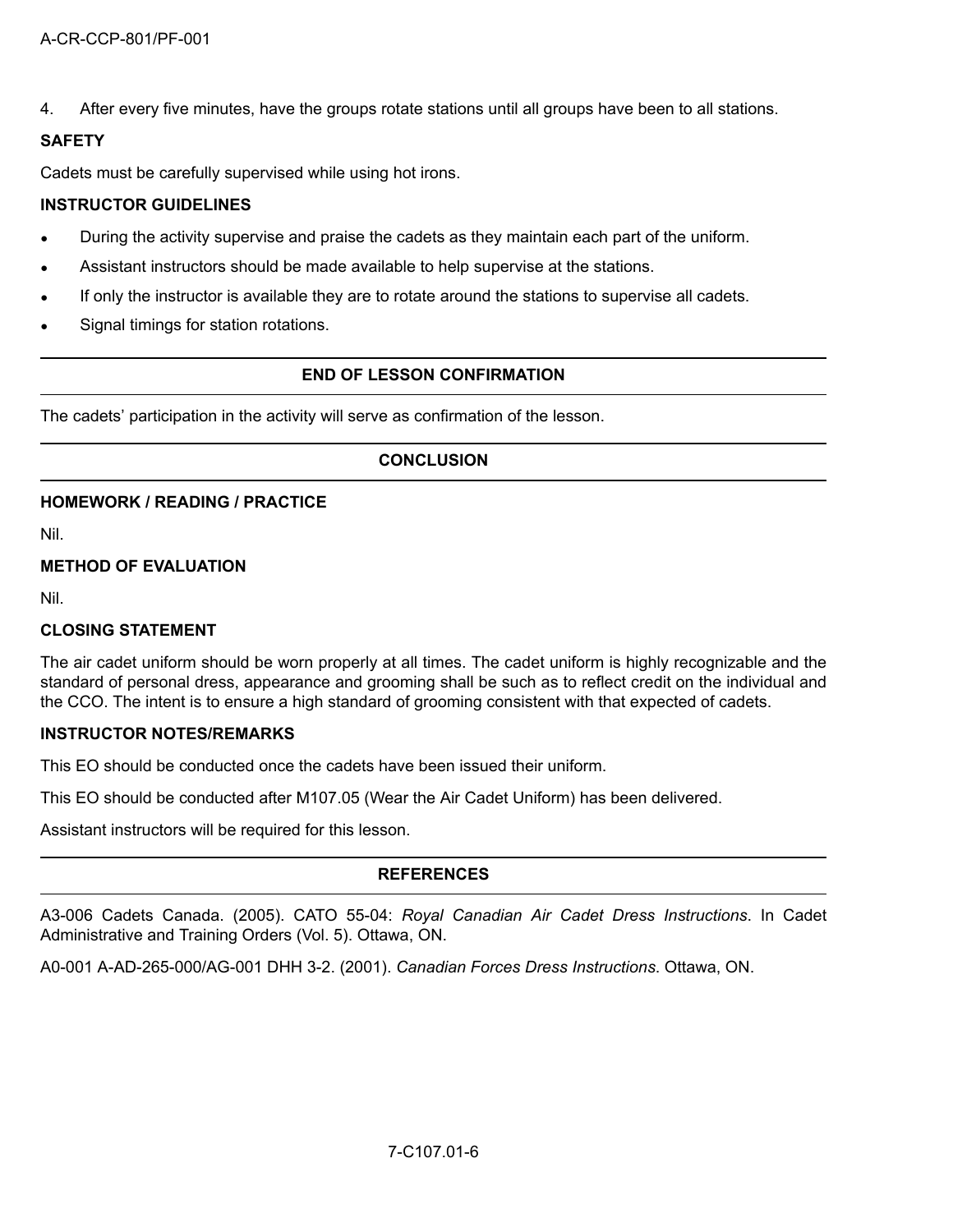4. After every five minutes, have the groups rotate stations until all groups have been to all stations.

## **SAFETY**

Cadets must be carefully supervised while using hot irons.

## **INSTRUCTOR GUIDELINES**

- During the activity supervise and praise the cadets as they maintain each part of the uniform.
- Assistant instructors should be made available to help supervise at the stations.
- If only the instructor is available they are to rotate around the stations to supervise all cadets.
- Signal timings for station rotations.

## **END OF LESSON CONFIRMATION**

The cadets' participation in the activity will serve as confirmation of the lesson.

## **CONCLUSION**

### **HOMEWORK / READING / PRACTICE**

Nil.

### **METHOD OF EVALUATION**

Nil.

## **CLOSING STATEMENT**

The air cadet uniform should be worn properly at all times. The cadet uniform is highly recognizable and the standard of personal dress, appearance and grooming shall be such as to reflect credit on the individual and the CCO. The intent is to ensure a high standard of grooming consistent with that expected of cadets.

### **INSTRUCTOR NOTES/REMARKS**

This EO should be conducted once the cadets have been issued their uniform.

This EO should be conducted after M107.05 (Wear the Air Cadet Uniform) has been delivered.

Assistant instructors will be required for this lesson.

## **REFERENCES**

A3-006 Cadets Canada. (2005). CATO 55-04: *Royal Canadian Air Cadet Dress Instructions*. In Cadet Administrative and Training Orders (Vol. 5). Ottawa, ON.

A0-001 A-AD-265-000/AG-001 DHH 3-2. (2001). *Canadian Forces Dress Instructions*. Ottawa, ON.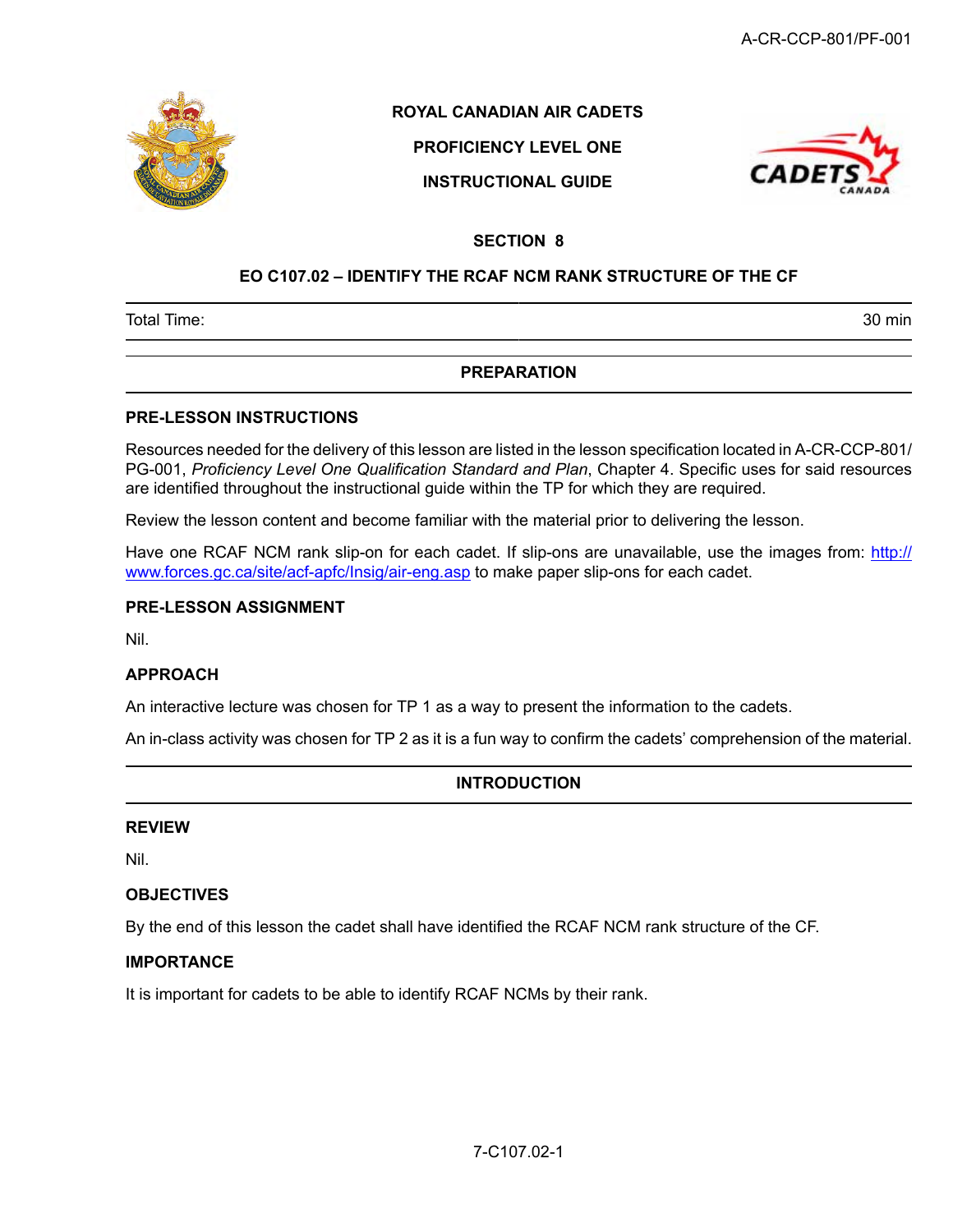![](_page_58_Picture_1.jpeg)

## **ROYAL CANADIAN AIR CADETS**

## **PROFICIENCY LEVEL ONE**

## **INSTRUCTIONAL GUIDE**

![](_page_58_Picture_5.jpeg)

## **SECTION 8**

### **EO C107.02 – IDENTIFY THE RCAF NCM RANK STRUCTURE OF THE CF**

Total Time: 30 min

### **PREPARATION**

#### **PRE-LESSON INSTRUCTIONS**

Resources needed for the delivery of this lesson are listed in the lesson specification located in A-CR-CCP-801/ PG-001, *Proficiency Level One Qualification Standard and Plan*, Chapter 4. Specific uses for said resources are identified throughout the instructional guide within the TP for which they are required.

Review the lesson content and become familiar with the material prior to delivering the lesson.

Have one RCAF NCM rank slip-on for each cadet. If slip-ons are unavailable, use the images from: http:// www.forces.gc.ca/site/acf-apfc/Insig/air-eng.asp to make paper slip-ons for each cadet.

### **PRE-LESSON ASSIGNMENT**

Nil.

#### **APPROACH**

An interactive lecture was chosen for TP 1 as a way to present the information to the cadets.

An in-class activity was chosen for TP 2 as it is a fun way to confirm the cadets' comprehension of the material.

## **INTRODUCTION**

#### **REVIEW**

Nil.

### **OBJECTIVES**

By the end of this lesson the cadet shall have identified the RCAF NCM rank structure of the CF.

## **IMPORTANCE**

It is important for cadets to be able to identify RCAF NCMs by their rank.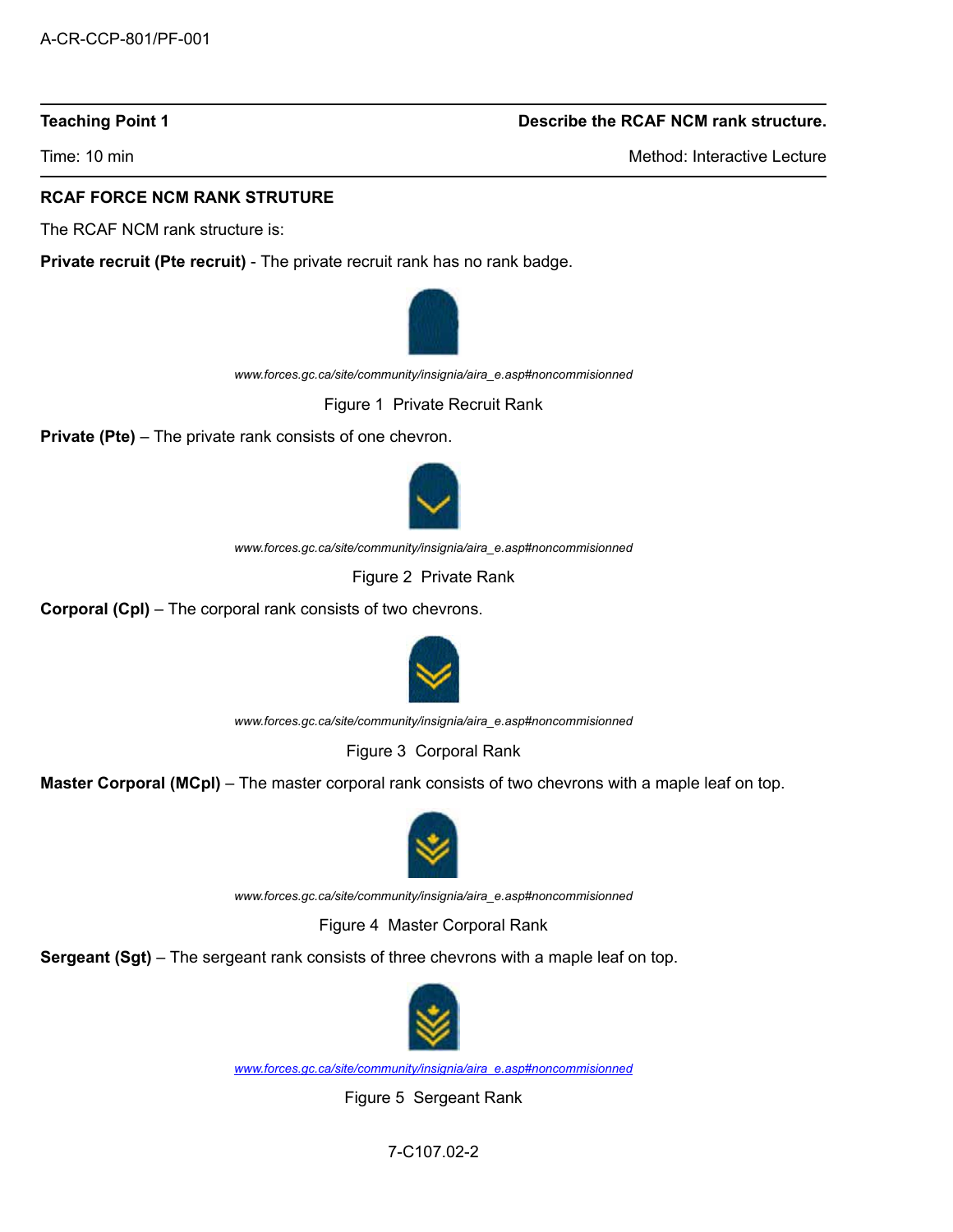#### **Teaching Point 1 Describe the RCAF NCM rank structure.**

Time: 10 min Method: Interactive Lecture Company of Time: 10 min Method: Interactive Lecture

## **RCAF FORCE NCM RANK STRUTURE**

The RCAF NCM rank structure is:

**Private recruit (Pte recruit)** - The private recruit rank has no rank badge.

![](_page_59_Picture_8.jpeg)

*www.forces.gc.ca/site/community/insignia/aira\_e.asp#noncommisionned*

Figure 1 Private Recruit Rank

**Private (Pte)** – The private rank consists of one chevron.

![](_page_59_Picture_12.jpeg)

*www.forces.gc.ca/site/community/insignia/aira\_e.asp#noncommisionned*

Figure 2 Private Rank

**Corporal (Cpl)** – The corporal rank consists of two chevrons.

![](_page_59_Picture_16.jpeg)

*www.forces.gc.ca/site/community/insignia/aira\_e.asp#noncommisionned*

Figure 3 Corporal Rank

**Master Corporal (MCpl)** – The master corporal rank consists of two chevrons with a maple leaf on top.

![](_page_59_Picture_20.jpeg)

*www.forces.gc.ca/site/community/insignia/aira\_e.asp#noncommisionned*

Figure 4 Master Corporal Rank

**Sergeant (Sgt)** – The sergeant rank consists of three chevrons with a maple leaf on top.

![](_page_59_Picture_24.jpeg)

*www.forces.gc.ca/site/community/insignia/aira\_e.asp#noncommisionned*

Figure 5 Sergeant Rank

7-C107.02-2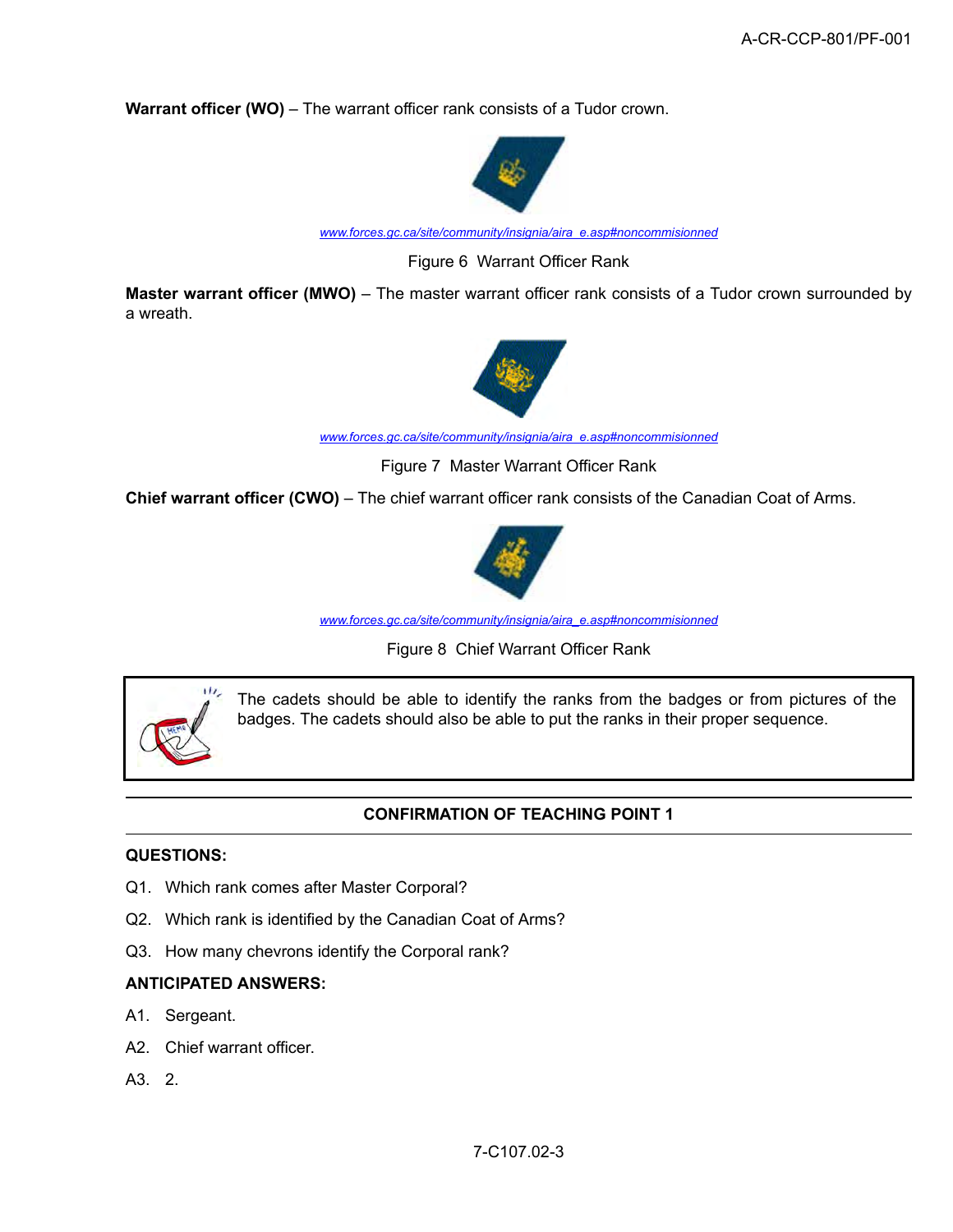**Warrant officer (WO)** – The warrant officer rank consists of a Tudor crown.

![](_page_60_Picture_2.jpeg)

*www.forces.gc.ca/site/community/insignia/aira\_e.asp#noncommisionned*

Figure 6 Warrant Officer Rank

**Master warrant officer (MWO)** – The master warrant officer rank consists of a Tudor crown surrounded by a wreath.

![](_page_60_Picture_6.jpeg)

*www.forces.gc.ca/site/community/insignia/aira\_e.asp#noncommisionned*

Figure 7 Master Warrant Officer Rank

**Chief warrant officer (CWO)** – The chief warrant officer rank consists of the Canadian Coat of Arms.

![](_page_60_Picture_10.jpeg)

*www.forces.gc.ca/site/community/insignia/aira\_e.asp#noncommisionned*

Figure 8 Chief Warrant Officer Rank

![](_page_60_Picture_13.jpeg)

The cadets should be able to identify the ranks from the badges or from pictures of the badges. The cadets should also be able to put the ranks in their proper sequence.

## **CONFIRMATION OF TEACHING POINT 1**

### **QUESTIONS:**

- Q1. Which rank comes after Master Corporal?
- Q2. Which rank is identified by the Canadian Coat of Arms?
- Q3. How many chevrons identify the Corporal rank?

### **ANTICIPATED ANSWERS:**

- A1. Sergeant.
- A2. Chief warrant officer.
- A3. 2.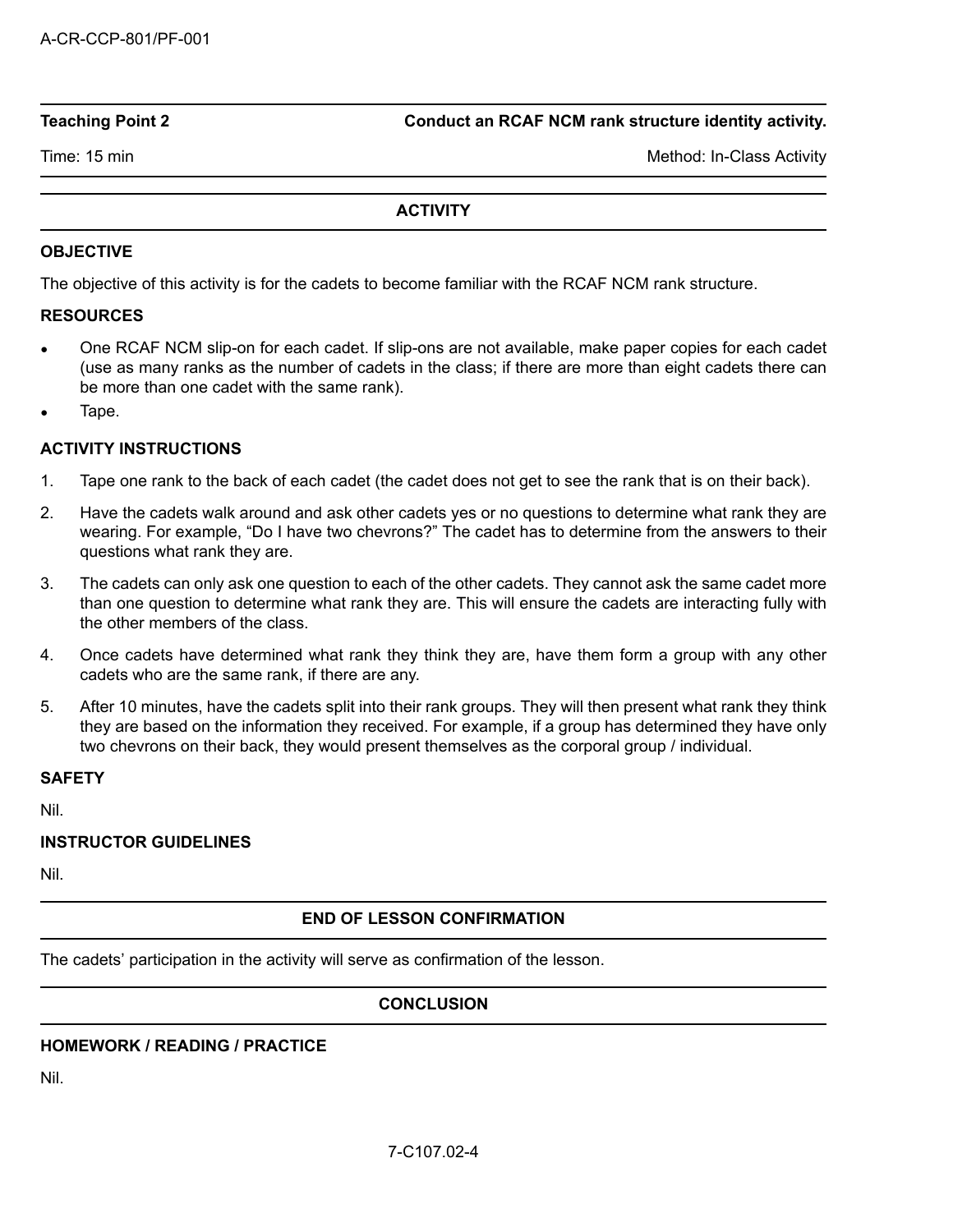**Teaching Point 2 Conduct an RCAF NCM rank structure identity activity.**

Time: 15 min Method: In-Class Activity

#### **ACTIVITY**

#### **OBJECTIVE**

The objective of this activity is for the cadets to become familiar with the RCAF NCM rank structure.

#### **RESOURCES**

- One RCAF NCM slip-on for each cadet. If slip-ons are not available, make paper copies for each cadet (use as many ranks as the number of cadets in the class; if there are more than eight cadets there can be more than one cadet with the same rank).
- Tape.

### **ACTIVITY INSTRUCTIONS**

- 1. Tape one rank to the back of each cadet (the cadet does not get to see the rank that is on their back).
- 2. Have the cadets walk around and ask other cadets yes or no questions to determine what rank they are wearing. For example, "Do I have two chevrons?" The cadet has to determine from the answers to their questions what rank they are.
- 3. The cadets can only ask one question to each of the other cadets. They cannot ask the same cadet more than one question to determine what rank they are. This will ensure the cadets are interacting fully with the other members of the class.
- 4. Once cadets have determined what rank they think they are, have them form a group with any other cadets who are the same rank, if there are any.
- 5. After 10 minutes, have the cadets split into their rank groups. They will then present what rank they think they are based on the information they received. For example, if a group has determined they have only two chevrons on their back, they would present themselves as the corporal group / individual.

#### **SAFETY**

Nil.

### **INSTRUCTOR GUIDELINES**

Nil.

### **END OF LESSON CONFIRMATION**

The cadets' participation in the activity will serve as confirmation of the lesson.

### **CONCLUSION**

### **HOMEWORK / READING / PRACTICE**

Nil.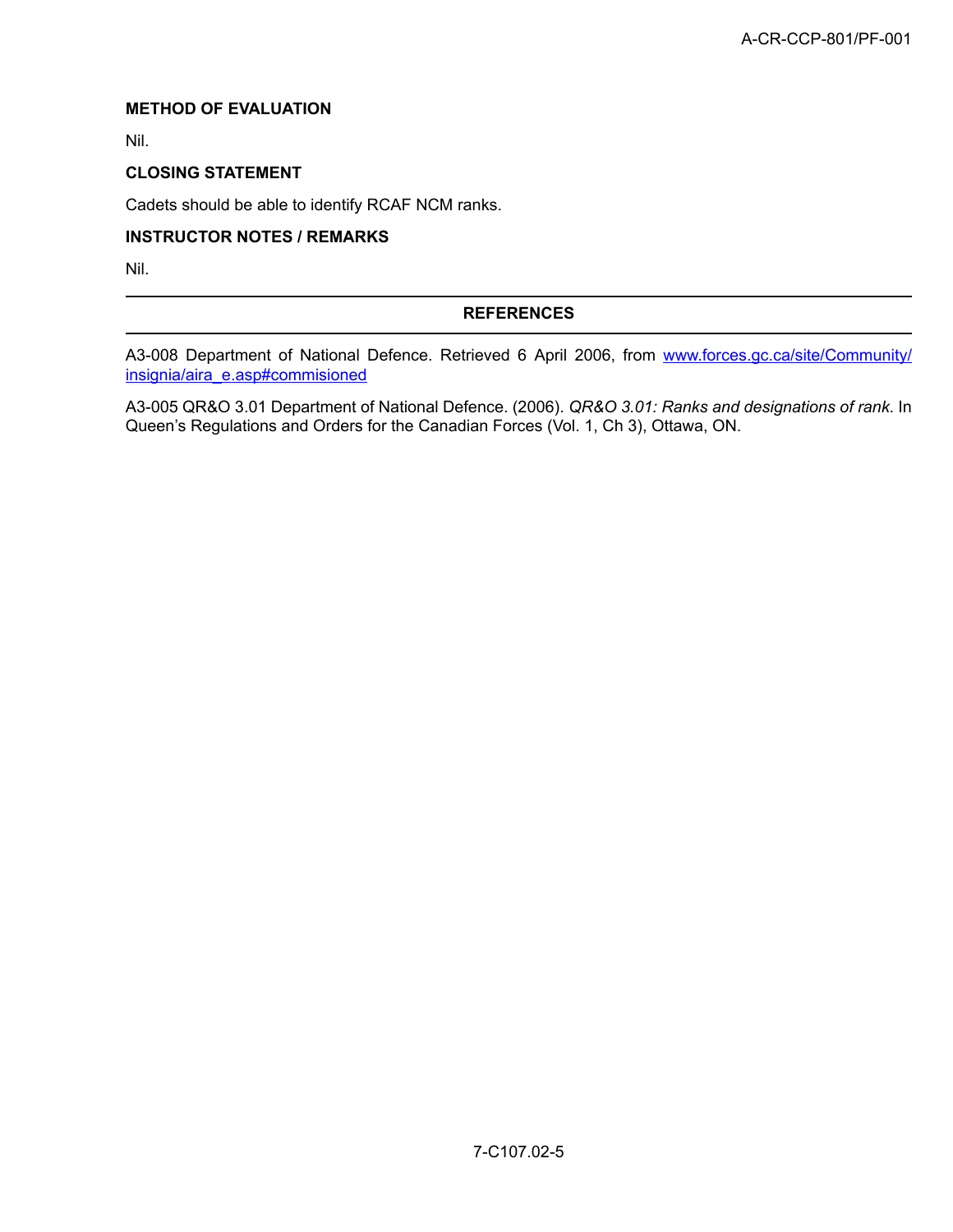## **METHOD OF EVALUATION**

Nil.

## **CLOSING STATEMENT**

Cadets should be able to identify RCAF NCM ranks.

## **INSTRUCTOR NOTES / REMARKS**

Nil.

## **REFERENCES**

A3-008 Department of National Defence. Retrieved 6 April 2006, from www.forces.gc.ca/site/Community/ insignia/aira\_e.asp#commisioned

A3-005 QR&O 3.01 Department of National Defence. (2006). *QR&O 3.01: Ranks and designations of rank*. In Queen's Regulations and Orders for the Canadian Forces (Vol. 1, Ch 3), Ottawa, ON.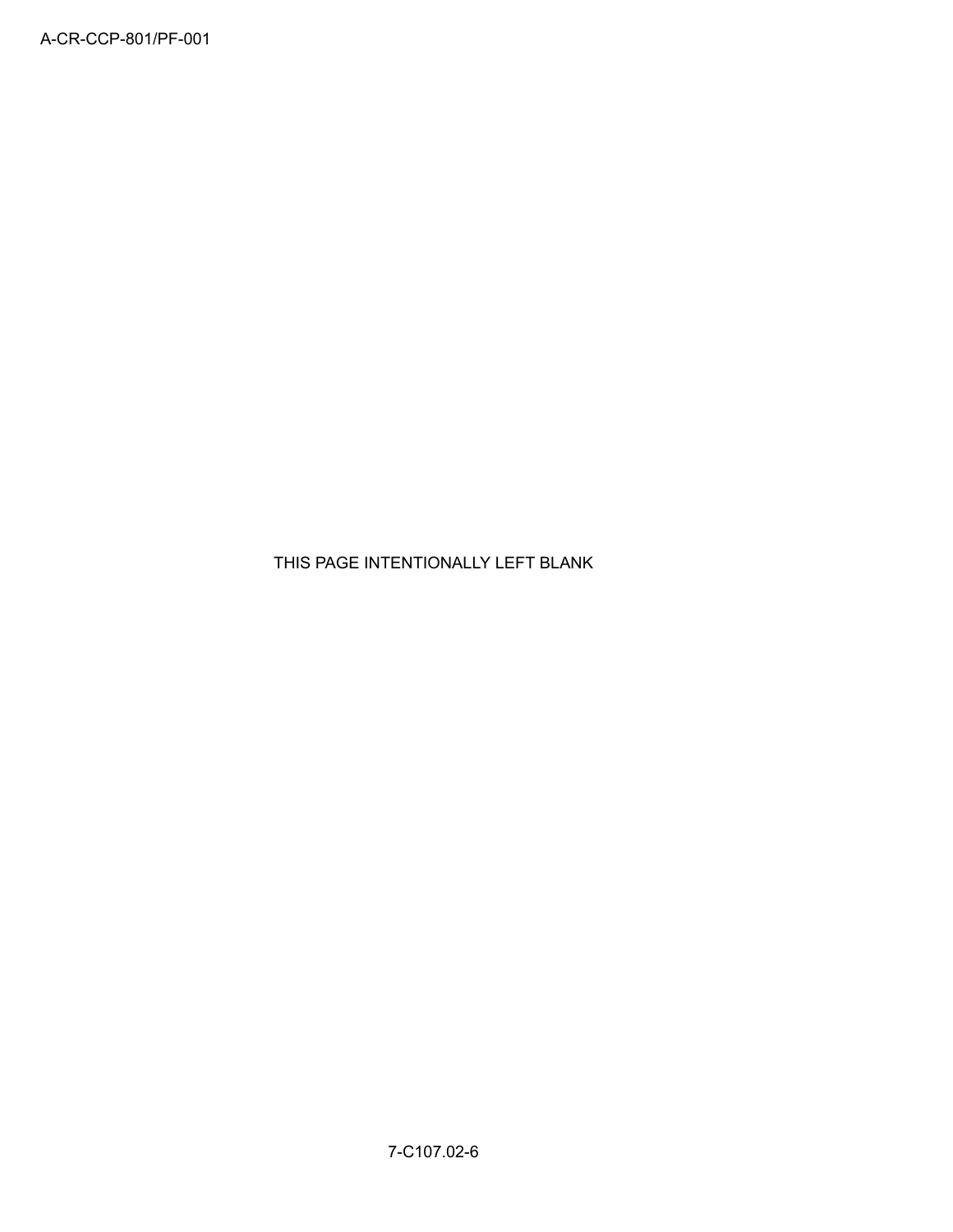THIS PAGE INTENTIONALLY LEFT BLANK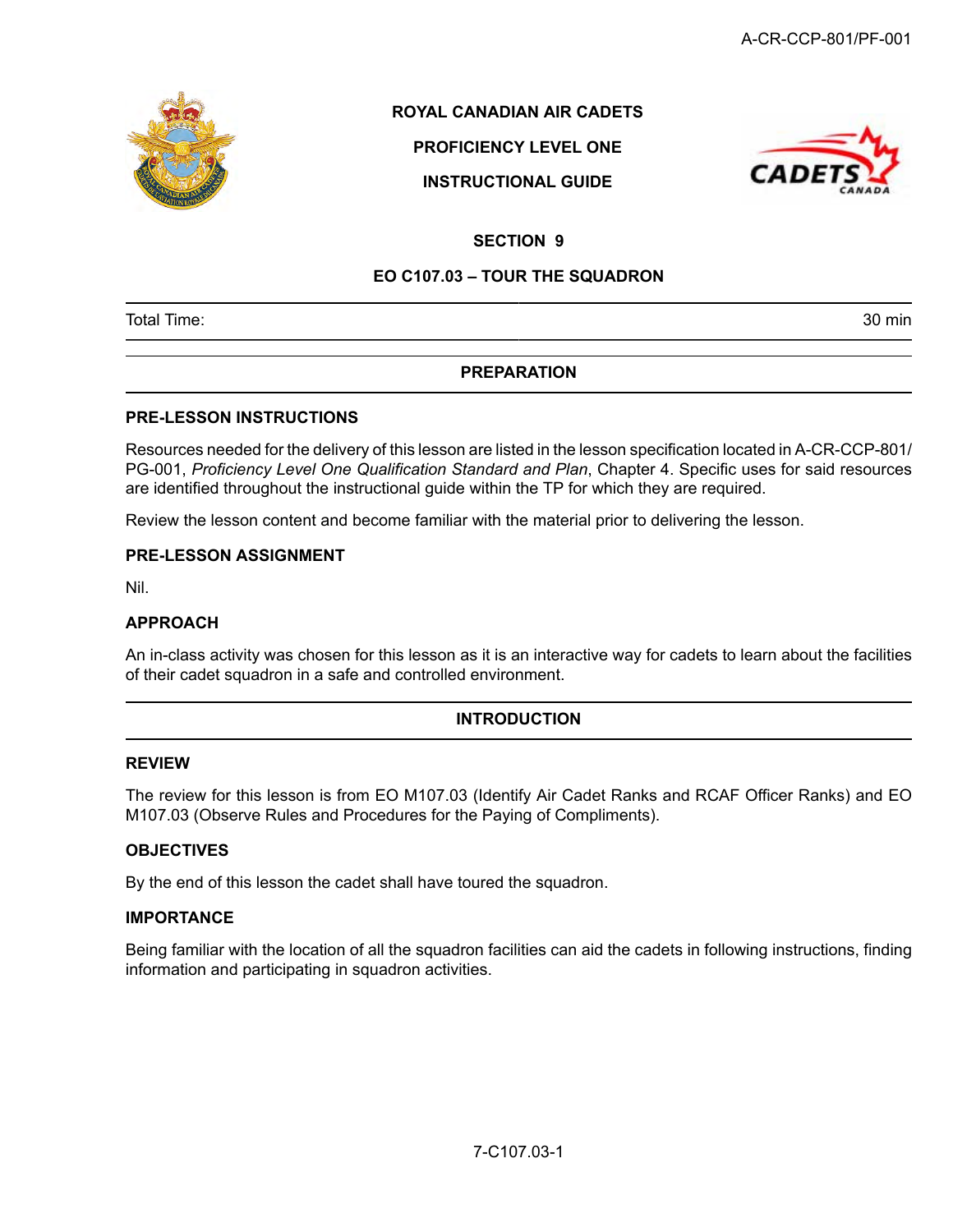![](_page_64_Picture_1.jpeg)

## **ROYAL CANADIAN AIR CADETS**

# **PROFICIENCY LEVEL ONE**

## **INSTRUCTIONAL GUIDE**

![](_page_64_Picture_5.jpeg)

## **SECTION 9**

### **EO C107.03 – TOUR THE SQUADRON**

Total Time: 30 min

### **PREPARATION**

#### **PRE-LESSON INSTRUCTIONS**

Resources needed for the delivery of this lesson are listed in the lesson specification located in A-CR-CCP-801/ PG-001, *Proficiency Level One Qualification Standard and Plan*, Chapter 4. Specific uses for said resources are identified throughout the instructional guide within the TP for which they are required.

Review the lesson content and become familiar with the material prior to delivering the lesson.

#### **PRE-LESSON ASSIGNMENT**

Nil.

#### **APPROACH**

An in-class activity was chosen for this lesson as it is an interactive way for cadets to learn about the facilities of their cadet squadron in a safe and controlled environment.

## **INTRODUCTION**

### **REVIEW**

The review for this lesson is from EO M107.03 (Identify Air Cadet Ranks and RCAF Officer Ranks) and EO M107.03 (Observe Rules and Procedures for the Paying of Compliments).

### **OBJECTIVES**

By the end of this lesson the cadet shall have toured the squadron.

#### **IMPORTANCE**

Being familiar with the location of all the squadron facilities can aid the cadets in following instructions, finding information and participating in squadron activities.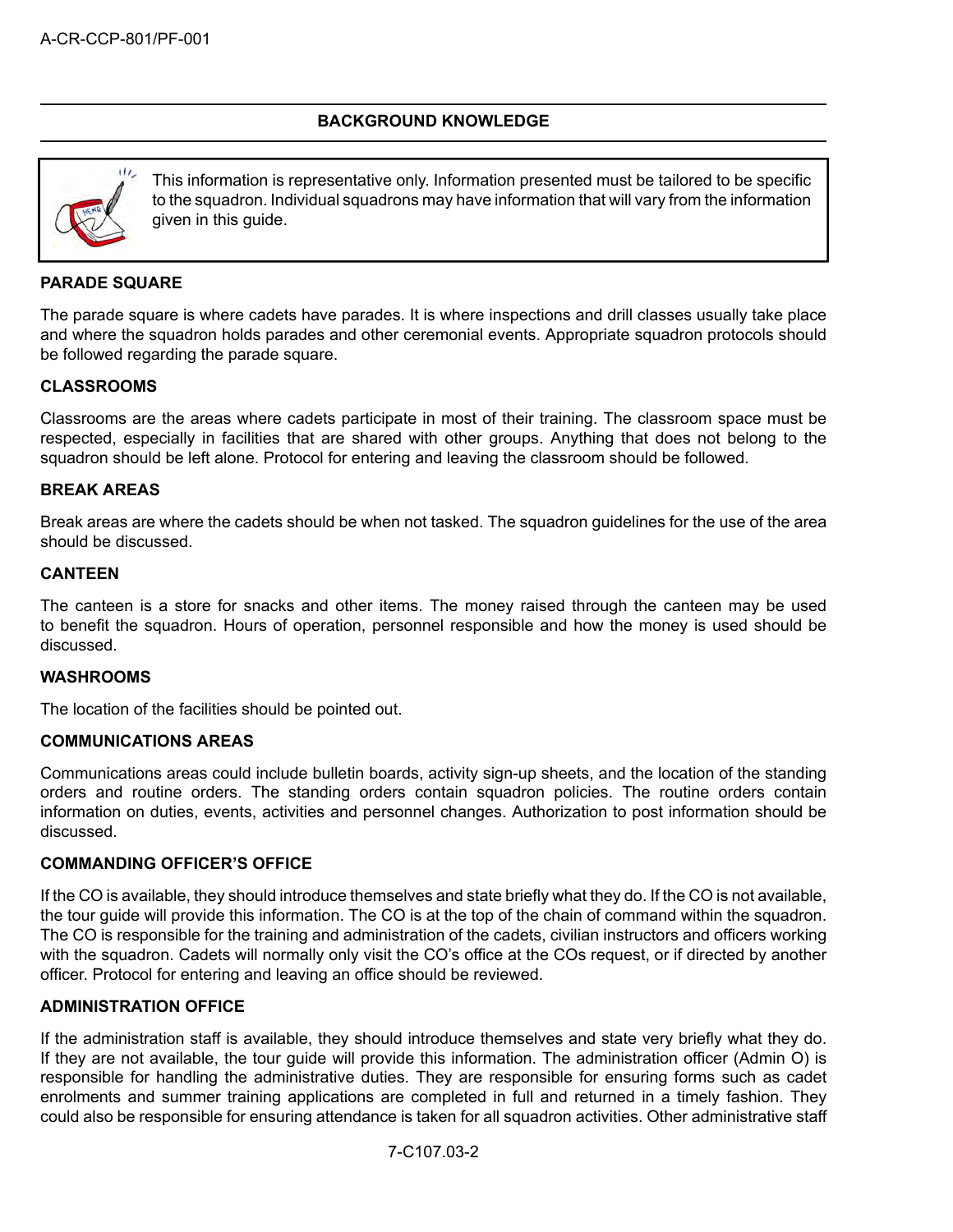### **BACKGROUND KNOWLEDGE**

![](_page_65_Picture_2.jpeg)

This information is representative only. Information presented must be tailored to be specific to the squadron. Individual squadrons may have information that will vary from the information given in this guide.

#### **PARADE SQUARE**

The parade square is where cadets have parades. It is where inspections and drill classes usually take place and where the squadron holds parades and other ceremonial events. Appropriate squadron protocols should be followed regarding the parade square.

#### **CLASSROOMS**

Classrooms are the areas where cadets participate in most of their training. The classroom space must be respected, especially in facilities that are shared with other groups. Anything that does not belong to the squadron should be left alone. Protocol for entering and leaving the classroom should be followed.

#### **BREAK AREAS**

Break areas are where the cadets should be when not tasked. The squadron guidelines for the use of the area should be discussed.

## **CANTEEN**

The canteen is a store for snacks and other items. The money raised through the canteen may be used to benefit the squadron. Hours of operation, personnel responsible and how the money is used should be discussed.

#### **WASHROOMS**

The location of the facilities should be pointed out.

#### **COMMUNICATIONS AREAS**

Communications areas could include bulletin boards, activity sign-up sheets, and the location of the standing orders and routine orders. The standing orders contain squadron policies. The routine orders contain information on duties, events, activities and personnel changes. Authorization to post information should be discussed.

#### **COMMANDING OFFICER'S OFFICE**

If the CO is available, they should introduce themselves and state briefly what they do. If the CO is not available, the tour guide will provide this information. The CO is at the top of the chain of command within the squadron. The CO is responsible for the training and administration of the cadets, civilian instructors and officers working with the squadron. Cadets will normally only visit the CO's office at the COs request, or if directed by another officer. Protocol for entering and leaving an office should be reviewed.

#### **ADMINISTRATION OFFICE**

If the administration staff is available, they should introduce themselves and state very briefly what they do. If they are not available, the tour guide will provide this information. The administration officer (Admin O) is responsible for handling the administrative duties. They are responsible for ensuring forms such as cadet enrolments and summer training applications are completed in full and returned in a timely fashion. They could also be responsible for ensuring attendance is taken for all squadron activities. Other administrative staff

7-C107.03-2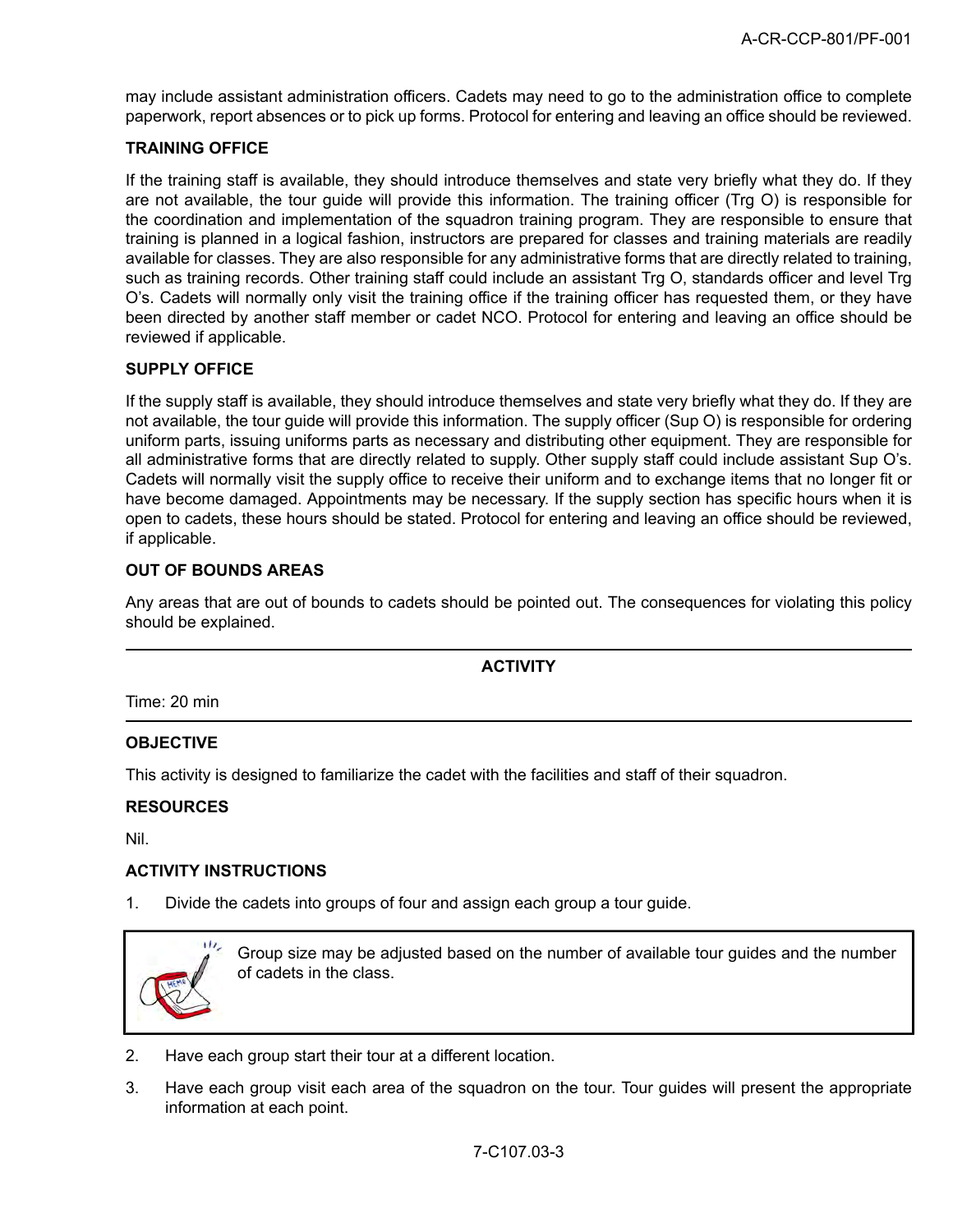may include assistant administration officers. Cadets may need to go to the administration office to complete paperwork, report absences or to pick up forms. Protocol for entering and leaving an office should be reviewed.

#### **TRAINING OFFICE**

If the training staff is available, they should introduce themselves and state very briefly what they do. If they are not available, the tour guide will provide this information. The training officer (Trg O) is responsible for the coordination and implementation of the squadron training program. They are responsible to ensure that training is planned in a logical fashion, instructors are prepared for classes and training materials are readily available for classes. They are also responsible for any administrative forms that are directly related to training, such as training records. Other training staff could include an assistant Trg O, standards officer and level Trg O's. Cadets will normally only visit the training office if the training officer has requested them, or they have been directed by another staff member or cadet NCO. Protocol for entering and leaving an office should be reviewed if applicable.

#### **SUPPLY OFFICE**

If the supply staff is available, they should introduce themselves and state very briefly what they do. If they are not available, the tour guide will provide this information. The supply officer (Sup O) is responsible for ordering uniform parts, issuing uniforms parts as necessary and distributing other equipment. They are responsible for all administrative forms that are directly related to supply. Other supply staff could include assistant Sup O's. Cadets will normally visit the supply office to receive their uniform and to exchange items that no longer fit or have become damaged. Appointments may be necessary. If the supply section has specific hours when it is open to cadets, these hours should be stated. Protocol for entering and leaving an office should be reviewed, if applicable.

#### **OUT OF BOUNDS AREAS**

Any areas that are out of bounds to cadets should be pointed out. The consequences for violating this policy should be explained.

**ACTIVITY**

Time: 20 min

### **OBJECTIVE**

This activity is designed to familiarize the cadet with the facilities and staff of their squadron.

#### **RESOURCES**

Nil.

### **ACTIVITY INSTRUCTIONS**

1. Divide the cadets into groups of four and assign each group a tour guide.

![](_page_66_Picture_16.jpeg)

Group size may be adjusted based on the number of available tour guides and the number of cadets in the class.

- 2. Have each group start their tour at a different location.
- 3. Have each group visit each area of the squadron on the tour. Tour guides will present the appropriate information at each point.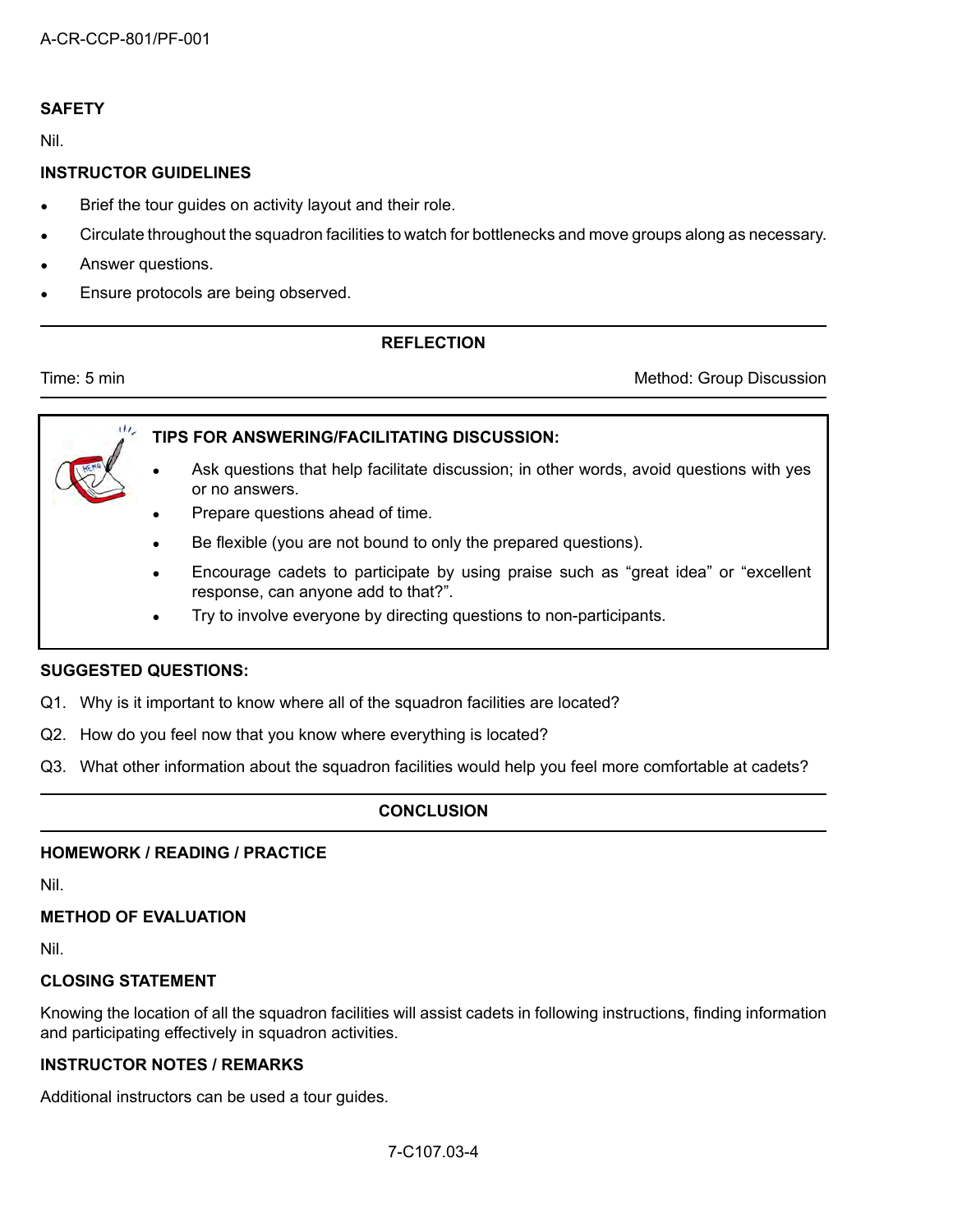## **SAFETY**

Nil.

## **INSTRUCTOR GUIDELINES**

- Brief the tour guides on activity layout and their role.
- Circulate throughout the squadron facilities to watch for bottlenecks and move groups along as necessary.
- Answer questions.
- Ensure protocols are being observed.

## **REFLECTION**

Time: 5 min Method: Group Discussion and Method: Group Discussion

 $4L$ 

## **TIPS FOR ANSWERING/FACILITATING DISCUSSION:**

- Ask questions that help facilitate discussion; in other words, avoid questions with yes or no answers.
- Prepare questions ahead of time.
- Be flexible (you are not bound to only the prepared questions).
- Encourage cadets to participate by using praise such as "great idea" or "excellent response, can anyone add to that?".
- Try to involve everyone by directing questions to non-participants.

### **SUGGESTED QUESTIONS:**

- Q1. Why is it important to know where all of the squadron facilities are located?
- Q2. How do you feel now that you know where everything is located?
- Q3. What other information about the squadron facilities would help you feel more comfortable at cadets?

### **CONCLUSION**

### **HOMEWORK / READING / PRACTICE**

Nil.

## **METHOD OF EVALUATION**

Nil.

## **CLOSING STATEMENT**

Knowing the location of all the squadron facilities will assist cadets in following instructions, finding information and participating effectively in squadron activities.

## **INSTRUCTOR NOTES / REMARKS**

Additional instructors can be used a tour guides.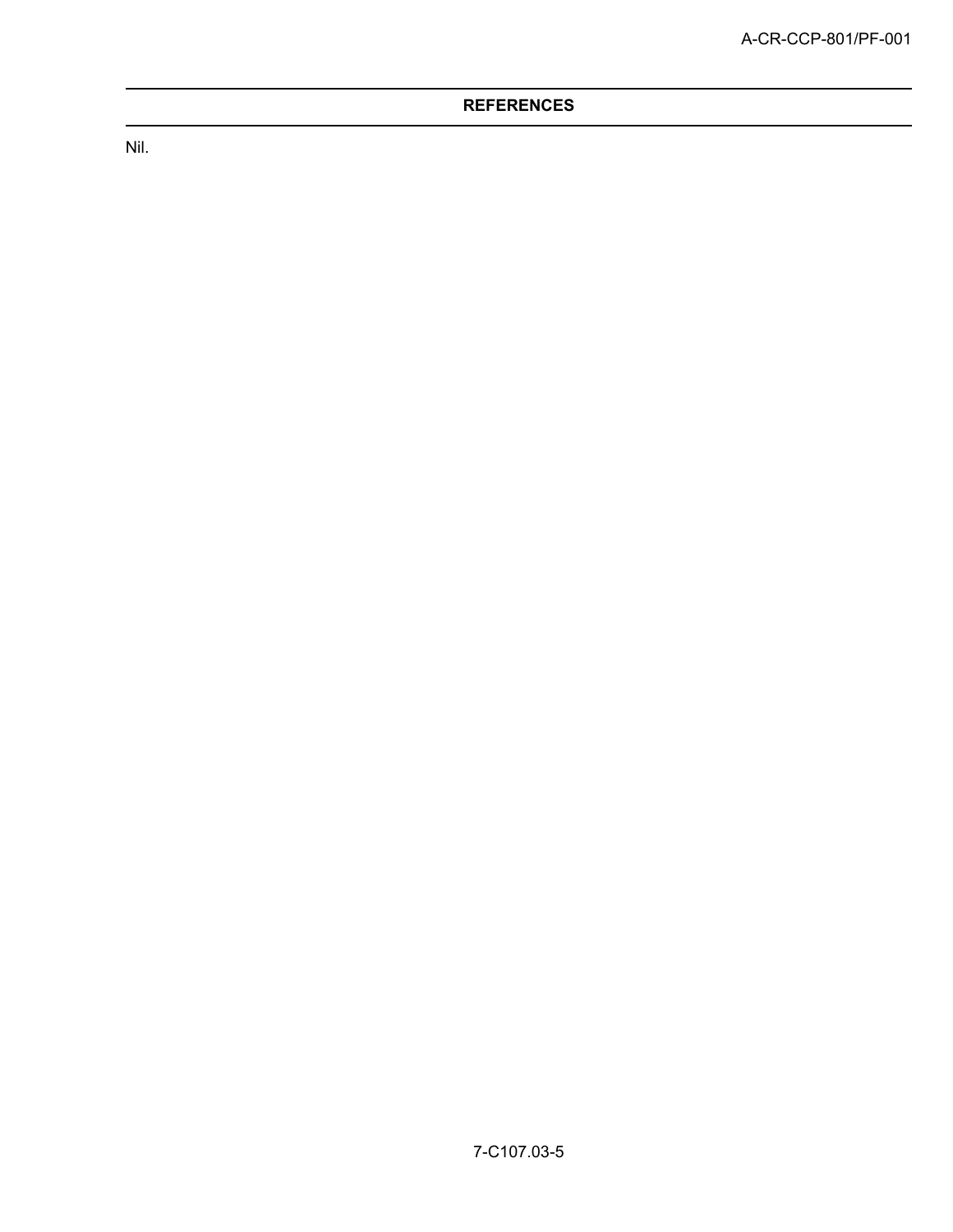**REFERENCES**

Nil.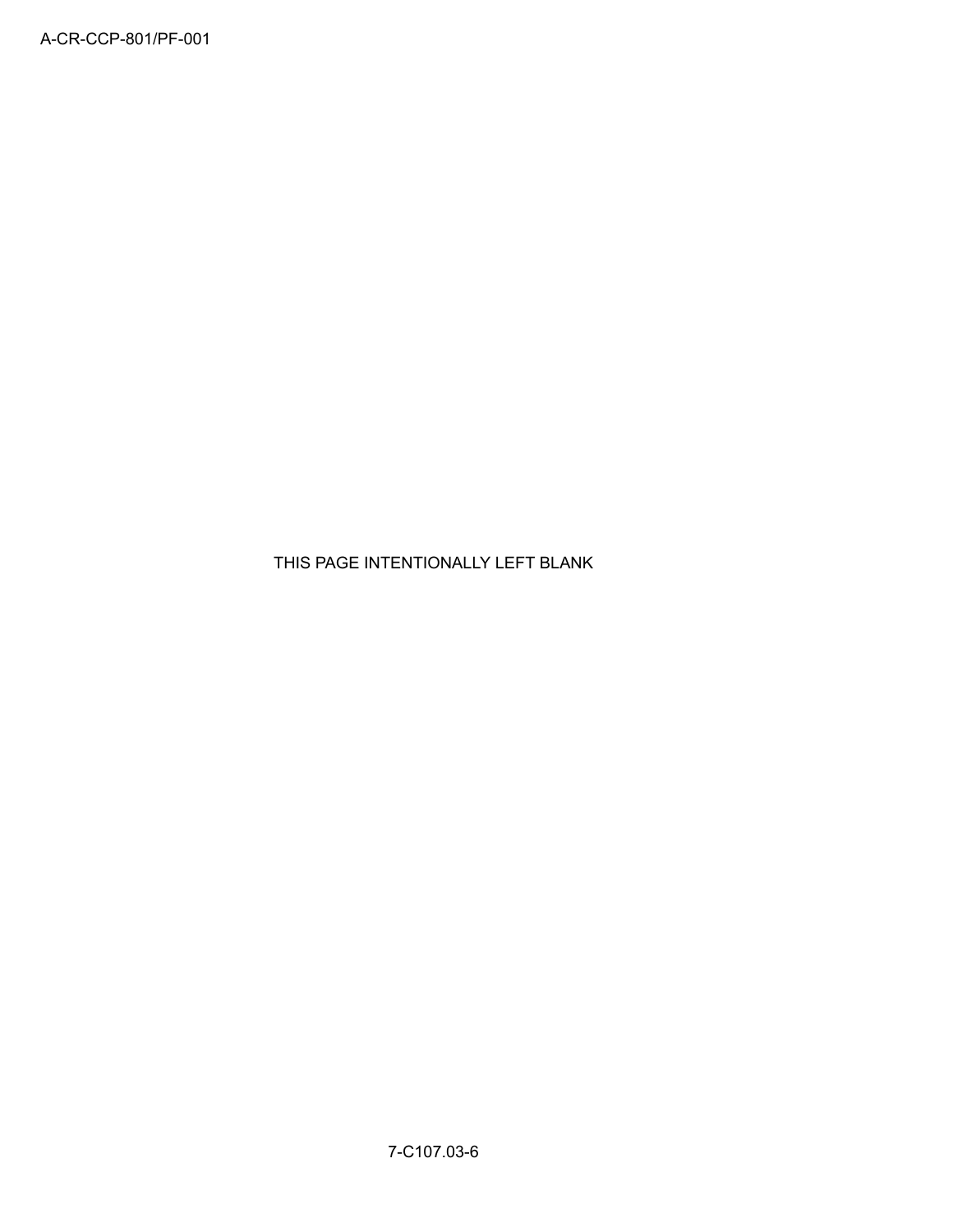THIS PAGE INTENTIONALLY LEFT BLANK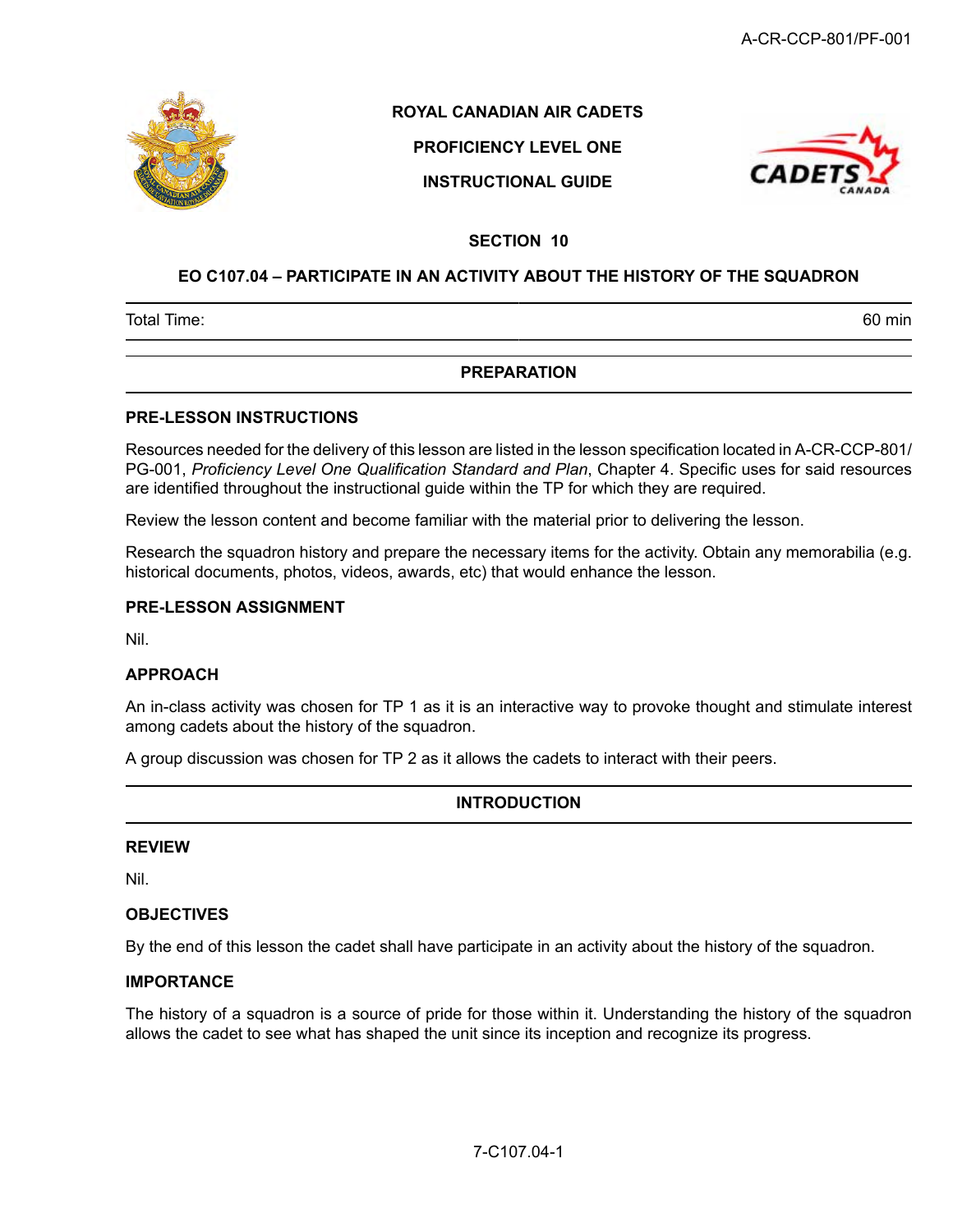![](_page_70_Picture_1.jpeg)

## **ROYAL CANADIAN AIR CADETS**

## **PROFICIENCY LEVEL ONE**

## **INSTRUCTIONAL GUIDE**

![](_page_70_Picture_5.jpeg)

## **SECTION 10**

## **EO C107.04 – PARTICIPATE IN AN ACTIVITY ABOUT THE HISTORY OF THE SQUADRON**

Total Time: 60 min

### **PREPARATION**

#### **PRE-LESSON INSTRUCTIONS**

Resources needed for the delivery of this lesson are listed in the lesson specification located in A-CR-CCP-801/ PG-001, *Proficiency Level One Qualification Standard and Plan*, Chapter 4. Specific uses for said resources are identified throughout the instructional guide within the TP for which they are required.

Review the lesson content and become familiar with the material prior to delivering the lesson.

Research the squadron history and prepare the necessary items for the activity. Obtain any memorabilia (e.g. historical documents, photos, videos, awards, etc) that would enhance the lesson.

#### **PRE-LESSON ASSIGNMENT**

Nil.

#### **APPROACH**

An in-class activity was chosen for TP 1 as it is an interactive way to provoke thought and stimulate interest among cadets about the history of the squadron.

A group discussion was chosen for TP 2 as it allows the cadets to interact with their peers.

## **INTRODUCTION**

#### **REVIEW**

Nil.

### **OBJECTIVES**

By the end of this lesson the cadet shall have participate in an activity about the history of the squadron.

#### **IMPORTANCE**

The history of a squadron is a source of pride for those within it. Understanding the history of the squadron allows the cadet to see what has shaped the unit since its inception and recognize its progress.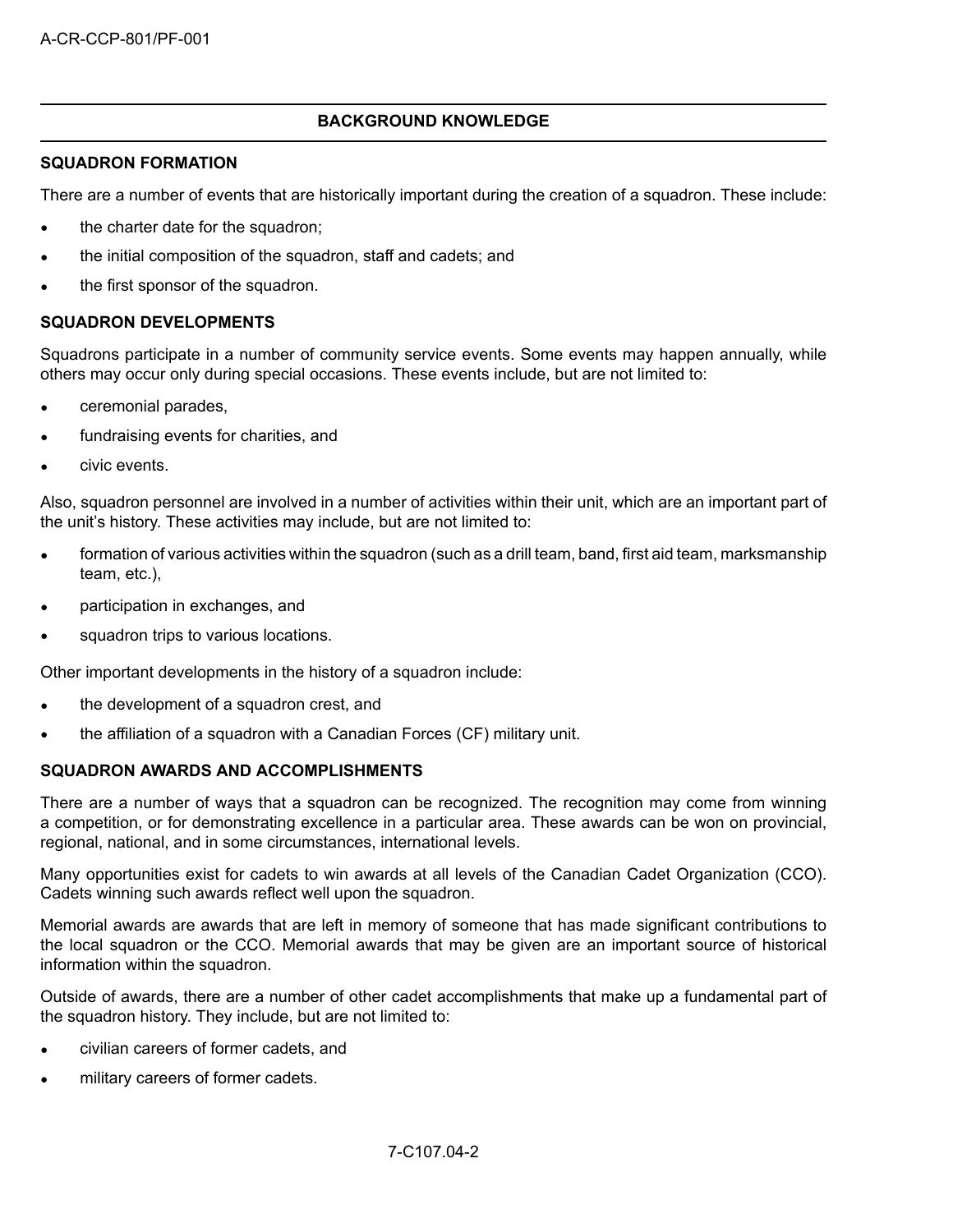#### **BACKGROUND KNOWLEDGE**

#### **SQUADRON FORMATION**

There are a number of events that are historically important during the creation of a squadron. These include:

- the charter date for the squadron;
- the initial composition of the squadron, staff and cadets; and
- the first sponsor of the squadron.

#### **SQUADRON DEVELOPMENTS**

Squadrons participate in a number of community service events. Some events may happen annually, while others may occur only during special occasions. These events include, but are not limited to:

- ceremonial parades,
- fundraising events for charities, and
- civic events.

Also, squadron personnel are involved in a number of activities within their unit, which are an important part of the unit's history. These activities may include, but are not limited to:

- formation of various activities within the squadron (such as a drill team, band, first aid team, marksmanship team, etc.),
- participation in exchanges, and
- squadron trips to various locations.

Other important developments in the history of a squadron include:

- the development of a squadron crest, and
- the affiliation of a squadron with a Canadian Forces (CF) military unit.

## **SQUADRON AWARDS AND ACCOMPLISHMENTS**

There are a number of ways that a squadron can be recognized. The recognition may come from winning a competition, or for demonstrating excellence in a particular area. These awards can be won on provincial, regional, national, and in some circumstances, international levels.

Many opportunities exist for cadets to win awards at all levels of the Canadian Cadet Organization (CCO). Cadets winning such awards reflect well upon the squadron.

Memorial awards are awards that are left in memory of someone that has made significant contributions to the local squadron or the CCO. Memorial awards that may be given are an important source of historical information within the squadron.

Outside of awards, there are a number of other cadet accomplishments that make up a fundamental part of the squadron history. They include, but are not limited to:

- civilian careers of former cadets, and
- military careers of former cadets.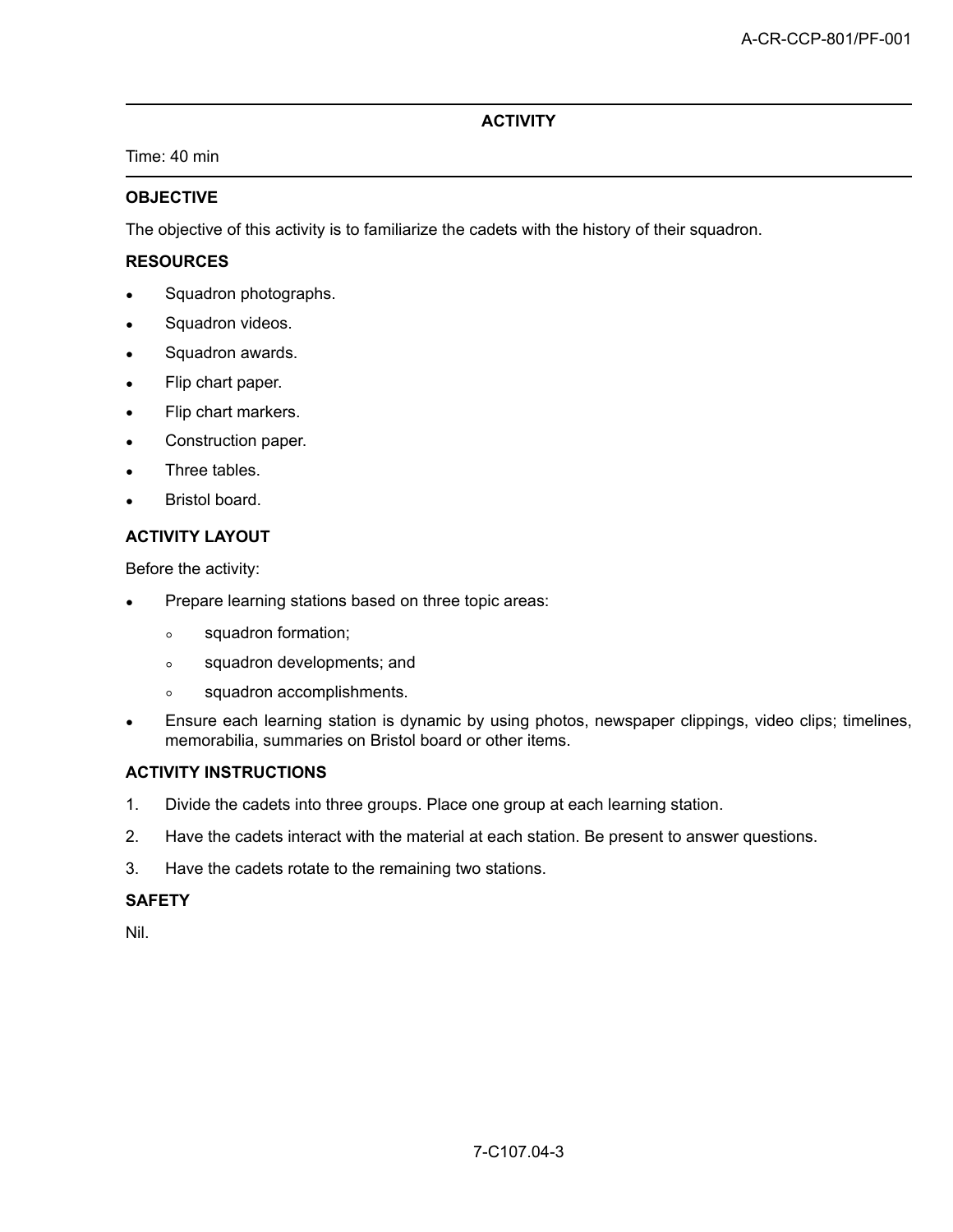# **ACTIVITY**

Time: 40 min

## **OBJECTIVE**

The objective of this activity is to familiarize the cadets with the history of their squadron.

## **RESOURCES**

- Squadron photographs.
- Squadron videos.
- Squadron awards.
- Flip chart paper.
- Flip chart markers.
- Construction paper.
- Three tables.
- Bristol board.

# **ACTIVITY LAYOUT**

Before the activity:

- Prepare learning stations based on three topic areas:
	- squadron formation;
	- squadron developments; and
	- squadron accomplishments.
- Ensure each learning station is dynamic by using photos, newspaper clippings, video clips; timelines, memorabilia, summaries on Bristol board or other items.

### **ACTIVITY INSTRUCTIONS**

- 1. Divide the cadets into three groups. Place one group at each learning station.
- 2. Have the cadets interact with the material at each station. Be present to answer questions.
- 3. Have the cadets rotate to the remaining two stations.

### **SAFETY**

Nil.